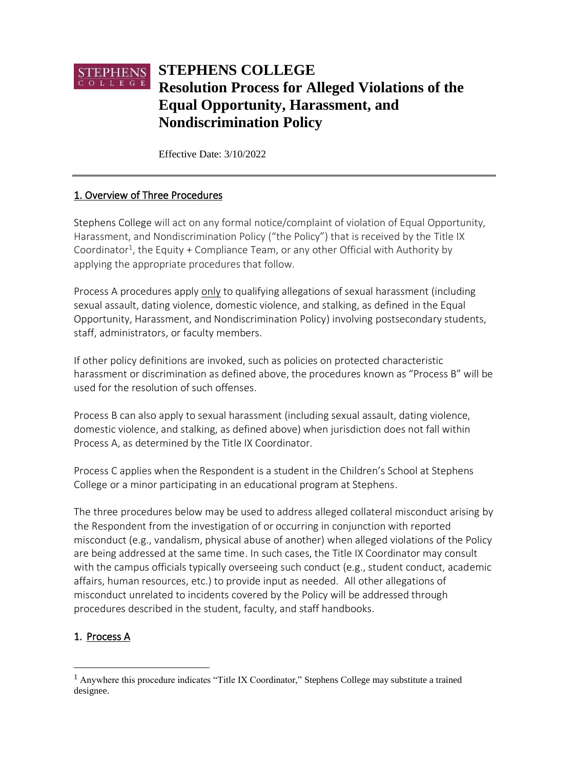# $\underset{\text{C o L L E G E}}{\text{STEPHENS}}$ **STEPHENS COLLEGE Resolution Process for Alleged Violations of the Equal Opportunity, Harassment, and Nondiscrimination Policy**

Effective Date: 3/10/2022

## 1. Overview of Three Procedures

Stephens College will act on any formal notice/complaint of violation of Equal Opportunity, Harassment, and Nondiscrimination Policy ("the Policy") that is received by the Title IX Coordinator<sup>1</sup>, the Equity + Compliance Team, or any other Official with Authority by applying the appropriate procedures that follow.

Process A procedures apply only to qualifying allegations of sexual harassment (including sexual assault, dating violence, domestic violence, and stalking, as defined in the Equal Opportunity, Harassment, and Nondiscrimination Policy) involving postsecondary students, staff, administrators, or faculty members.

If other policy definitions are invoked, such as policies on protected characteristic harassment or discrimination as defined above, the procedures known as "Process B" will be used for the resolution of such offenses.

Process B can also apply to sexual harassment (including sexual assault, dating violence, domestic violence, and stalking, as defined above) when jurisdiction does not fall within Process A, as determined by the Title IX Coordinator.

Process C applies when the Respondent is a student in the Children's School at Stephens College or a minor participating in an educational program at Stephens.

The three procedures below may be used to address alleged collateral misconduct arising by the Respondent from the investigation of or occurring in conjunction with reported misconduct (e.g., vandalism, physical abuse of another) when alleged violations of the Policy are being addressed at the same time. In such cases, the Title IX Coordinator may consult with the campus officials typically overseeing such conduct (e.g., student conduct, academic affairs, human resources, etc.) to provide input as needed. All other allegations of misconduct unrelated to incidents covered by the Policy will be addressed through procedures described in the student, faculty, and staff handbooks.

# 1. Process A

 $<sup>1</sup>$  Anywhere this procedure indicates "Title IX Coordinator," Stephens College may substitute a trained</sup> designee.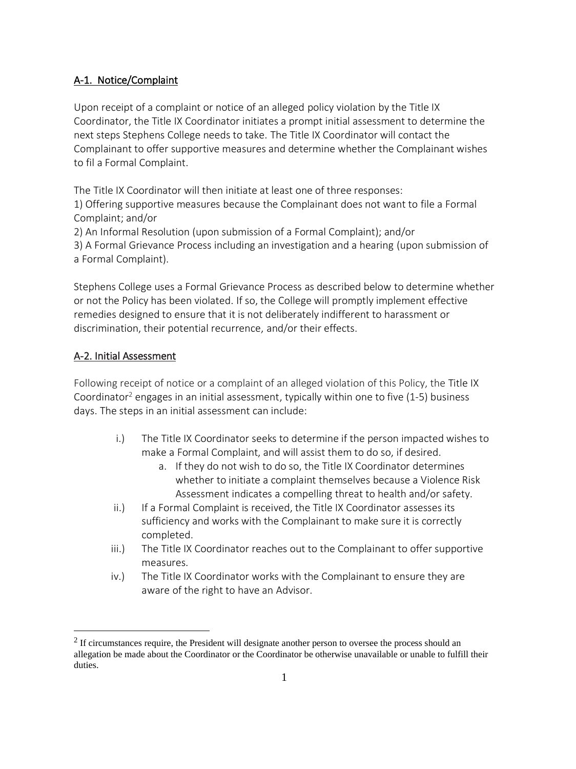## A-1. Notice/Complaint

Upon receipt of a complaint or notice of an alleged policy violation by the Title IX Coordinator, the Title IX Coordinator initiates a prompt initial assessment to determine the next steps Stephens College needs to take. The Title IX Coordinator will contact the Complainant to offer supportive measures and determine whether the Complainant wishes to fil a Formal Complaint.

The Title IX Coordinator will then initiate at least one of three responses:

1) Offering supportive measures because the Complainant does not want to file a Formal Complaint; and/or

2) An Informal Resolution (upon submission of a Formal Complaint); and/or

3) A Formal Grievance Process including an investigation and a hearing (upon submission of a Formal Complaint).

Stephens College uses a Formal Grievance Process as described below to determine whether or not the Policy has been violated. If so, the College will promptly implement effective remedies designed to ensure that it is not deliberately indifferent to harassment or discrimination, their potential recurrence, and/or their effects.

## A-2. Initial Assessment

Following receipt of notice or a complaint of an alleged violation of this Policy, the Title IX Coordinator<sup>2</sup> engages in an initial assessment, typically within one to five (1-5) business days. The steps in an initial assessment can include:

- i.) The Title IX Coordinator seeks to determine if the person impacted wishes to make a Formal Complaint, and will assist them to do so, if desired.
	- a. If they do not wish to do so, the Title IX Coordinator determines whether to initiate a complaint themselves because a Violence Risk Assessment indicates a compelling threat to health and/or safety.
- ii.) If a Formal Complaint is received, the Title IX Coordinator assesses its sufficiency and works with the Complainant to make sure it is correctly completed.
- iii.) The Title IX Coordinator reaches out to the Complainant to offer supportive measures.
- iv.) The Title IX Coordinator works with the Complainant to ensure they are aware of the right to have an Advisor.

 $2$  If circumstances require, the President will designate another person to oversee the process should an allegation be made about the Coordinator or the Coordinator be otherwise unavailable or unable to fulfill their duties.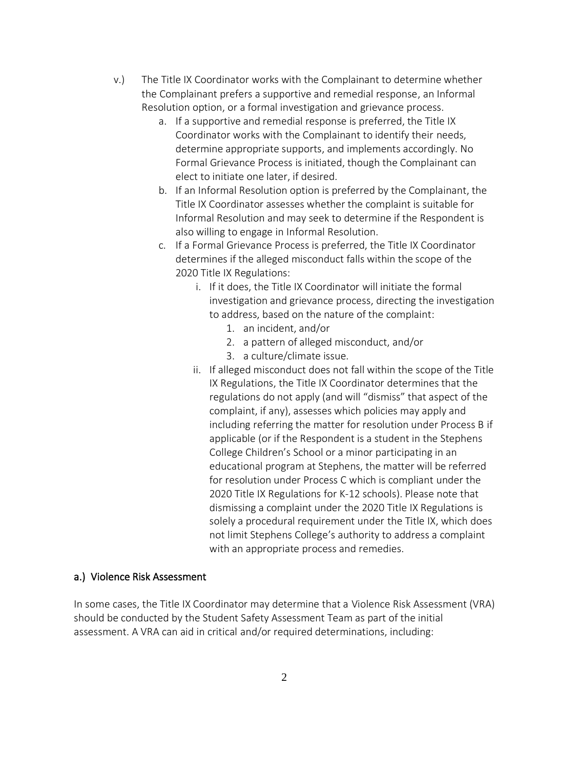- v.) The Title IX Coordinator works with the Complainant to determine whether the Complainant prefers a supportive and remedial response, an Informal Resolution option, or a formal investigation and grievance process.
	- a. If a supportive and remedial response is preferred, the Title IX Coordinator works with the Complainant to identify their needs, determine appropriate supports, and implements accordingly. No Formal Grievance Process is initiated, though the Complainant can elect to initiate one later, if desired.
	- b. If an Informal Resolution option is preferred by the Complainant, the Title IX Coordinator assesses whether the complaint is suitable for Informal Resolution and may seek to determine if the Respondent is also willing to engage in Informal Resolution.
	- c. If a Formal Grievance Process is preferred, the Title IX Coordinator determines if the alleged misconduct falls within the scope of the 2020 Title IX Regulations:
		- i. If it does, the Title IX Coordinator will initiate the formal investigation and grievance process, directing the investigation to address, based on the nature of the complaint:
			- 1. an incident, and/or
			- 2. a pattern of alleged misconduct, and/or
			- 3. a culture/climate issue.
		- ii. If alleged misconduct does not fall within the scope of the Title IX Regulations, the Title IX Coordinator determines that the regulations do not apply (and will "dismiss" that aspect of the complaint, if any), assesses which policies may apply and including referring the matter for resolution under Process B if applicable (or if the Respondent is a student in the Stephens College Children's School or a minor participating in an educational program at Stephens, the matter will be referred for resolution under Process C which is compliant under the 2020 Title IX Regulations for K-12 schools). Please note that dismissing a complaint under the 2020 Title IX Regulations is solely a procedural requirement under the Title IX, which does not limit Stephens College's authority to address a complaint with an appropriate process and remedies.

#### a.) Violence Risk Assessment

In some cases, the Title IX Coordinator may determine that a Violence Risk Assessment (VRA) should be conducted by the Student Safety Assessment Team as part of the initial assessment. A VRA can aid in critical and/or required determinations, including: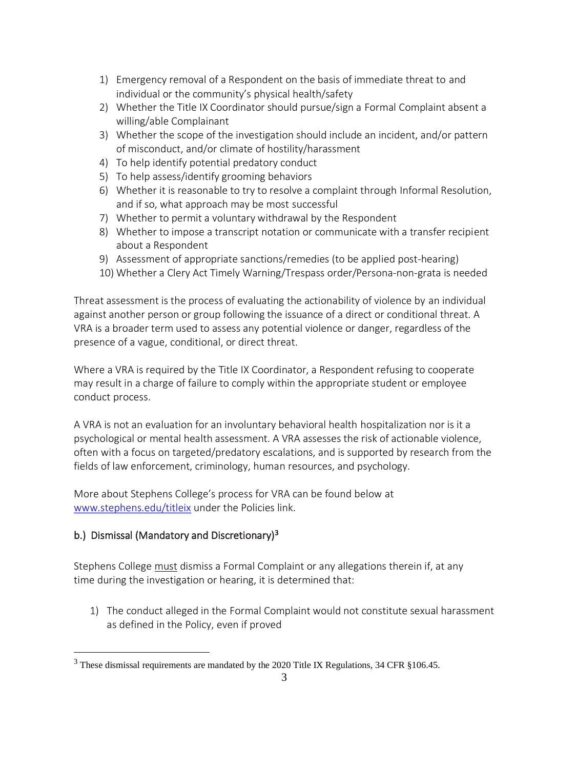- 1) Emergency removal of a Respondent on the basis of immediate threat to and individual or the community's physical health/safety
- 2) Whether the Title IX Coordinator should pursue/sign a Formal Complaint absent a willing/able Complainant
- 3) Whether the scope of the investigation should include an incident, and/or pattern of misconduct, and/or climate of hostility/harassment
- 4) To help identify potential predatory conduct
- 5) To help assess/identify grooming behaviors
- 6) Whether it is reasonable to try to resolve a complaint through Informal Resolution, and if so, what approach may be most successful
- 7) Whether to permit a voluntary withdrawal by the Respondent
- 8) Whether to impose a transcript notation or communicate with a transfer recipient about a Respondent
- 9) Assessment of appropriate sanctions/remedies (to be applied post-hearing)
- 10) Whether a Clery Act Timely Warning/Trespass order/Persona-non-grata is needed

Threat assessment is the process of evaluating the actionability of violence by an individual against another person or group following the issuance of a direct or conditional threat. A VRA is a broader term used to assess any potential violence or danger, regardless of the presence of a vague, conditional, or direct threat.

Where a VRA is required by the Title IX Coordinator, a Respondent refusing to cooperate may result in a charge of failure to comply within the appropriate student or employee conduct process.

A VRA is not an evaluation for an involuntary behavioral health hospitalization nor is it a psychological or mental health assessment. A VRA assesses the risk of actionable violence, often with a focus on targeted/predatory escalations, and is supported by research from the fields of law enforcement, criminology, human resources, and psychology.

More about Stephens College's process for VRA can be found below at [www.stephens.edu/titleix](http://www.stephens.edu/titleix) under the Policies link.

# b.) Dismissal (Mandatory and Discretionary)<sup>3</sup>

Stephens College must dismiss a Formal Complaint or any allegations therein if, at any time during the investigation or hearing, it is determined that:

1) The conduct alleged in the Formal Complaint would not constitute sexual harassment as defined in the Policy, even if proved

 $3$  These dismissal requirements are mandated by the 2020 Title IX Regulations, 34 CFR §106.45.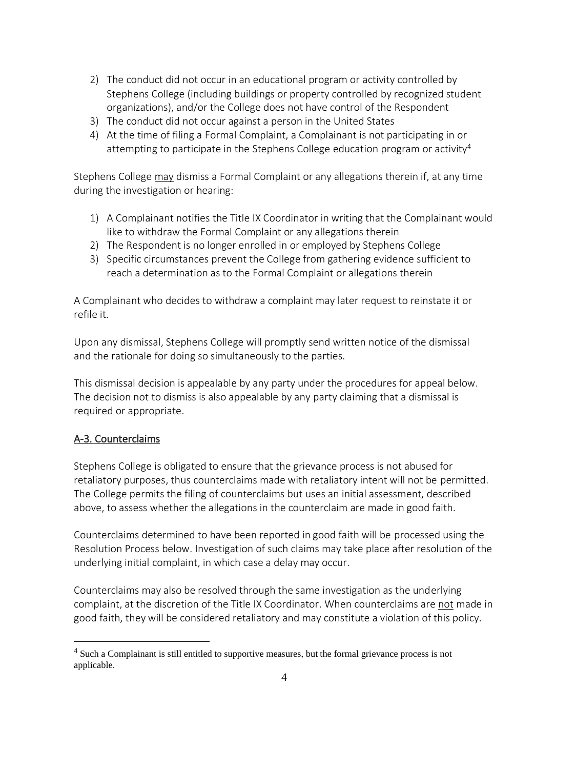- 2) The conduct did not occur in an educational program or activity controlled by Stephens College (including buildings or property controlled by recognized student organizations), and/or the College does not have control of the Respondent
- 3) The conduct did not occur against a person in the United States
- 4) At the time of filing a Formal Complaint, a Complainant is not participating in or attempting to participate in the Stephens College education program or activity<sup>4</sup>

Stephens College may dismiss a Formal Complaint or any allegations therein if, at any time during the investigation or hearing:

- 1) A Complainant notifies the Title IX Coordinator in writing that the Complainant would like to withdraw the Formal Complaint or any allegations therein
- 2) The Respondent is no longer enrolled in or employed by Stephens College
- 3) Specific circumstances prevent the College from gathering evidence sufficient to reach a determination as to the Formal Complaint or allegations therein

A Complainant who decides to withdraw a complaint may later request to reinstate it or refile it.

Upon any dismissal, Stephens College will promptly send written notice of the dismissal and the rationale for doing so simultaneously to the parties.

This dismissal decision is appealable by any party under the procedures for appeal below. The decision not to dismiss is also appealable by any party claiming that a dismissal is required or appropriate.

## A-3. Counterclaims

Stephens College is obligated to ensure that the grievance process is not abused for retaliatory purposes, thus counterclaims made with retaliatory intent will not be permitted. The College permits the filing of counterclaims but uses an initial assessment, described above, to assess whether the allegations in the counterclaim are made in good faith.

Counterclaims determined to have been reported in good faith will be processed using the Resolution Process below. Investigation of such claims may take place after resolution of the underlying initial complaint, in which case a delay may occur.

Counterclaims may also be resolved through the same investigation as the underlying complaint, at the discretion of the Title IX Coordinator. When counterclaims are not made in good faith, they will be considered retaliatory and may constitute a violation of this policy.

<sup>&</sup>lt;sup>4</sup> Such a Complainant is still entitled to supportive measures, but the formal grievance process is not applicable.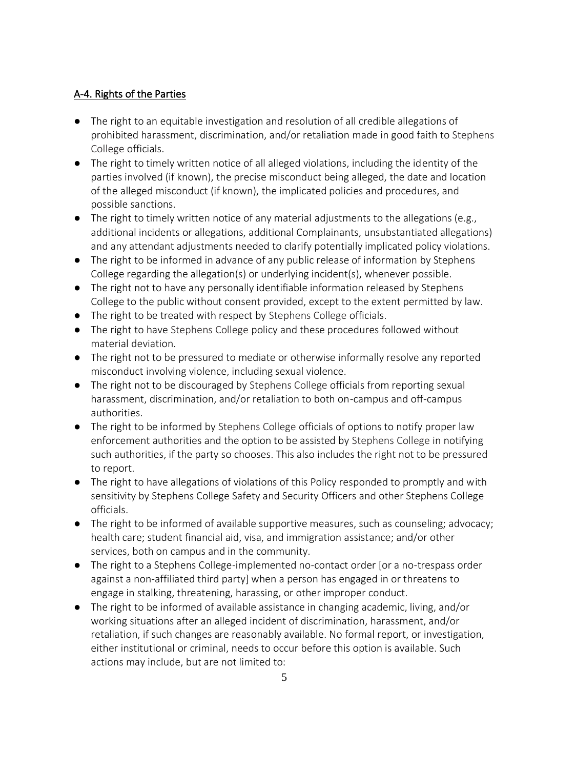# A-4. Rights of the Parties

- The right to an equitable investigation and resolution of all credible allegations of prohibited harassment, discrimination, and/or retaliation made in good faith to Stephens College officials.
- The right to timely written notice of all alleged violations, including the identity of the parties involved (if known), the precise misconduct being alleged, the date and location of the alleged misconduct (if known), the implicated policies and procedures, and possible sanctions.
- The right to timely written notice of any material adjustments to the allegations (e.g., additional incidents or allegations, additional Complainants, unsubstantiated allegations) and any attendant adjustments needed to clarify potentially implicated policy violations.
- The right to be informed in advance of any public release of information by Stephens College regarding the allegation(s) or underlying incident(s), whenever possible.
- The right not to have any personally identifiable information released by Stephens College to the public without consent provided, except to the extent permitted by law.
- The right to be treated with respect by Stephens College officials.
- The right to have Stephens College policy and these procedures followed without material deviation.
- The right not to be pressured to mediate or otherwise informally resolve any reported misconduct involving violence, including sexual violence.
- The right not to be discouraged by Stephens College officials from reporting sexual harassment, discrimination, and/or retaliation to both on-campus and off-campus authorities.
- The right to be informed by Stephens College officials of options to notify proper law enforcement authorities and the option to be assisted by Stephens College in notifying such authorities, if the party so chooses. This also includes the right not to be pressured to report.
- The right to have allegations of violations of this Policy responded to promptly and with sensitivity by Stephens College Safety and Security Officers and other Stephens College officials.
- The right to be informed of available supportive measures, such as counseling; advocacy; health care; student financial aid, visa, and immigration assistance; and/or other services, both on campus and in the community.
- The right to a Stephens College-implemented no-contact order [or a no-trespass order against a non-affiliated third party] when a person has engaged in or threatens to engage in stalking, threatening, harassing, or other improper conduct.
- The right to be informed of available assistance in changing academic, living, and/or working situations after an alleged incident of discrimination, harassment, and/or retaliation, if such changes are reasonably available. No formal report, or investigation, either institutional or criminal, needs to occur before this option is available. Such actions may include, but are not limited to: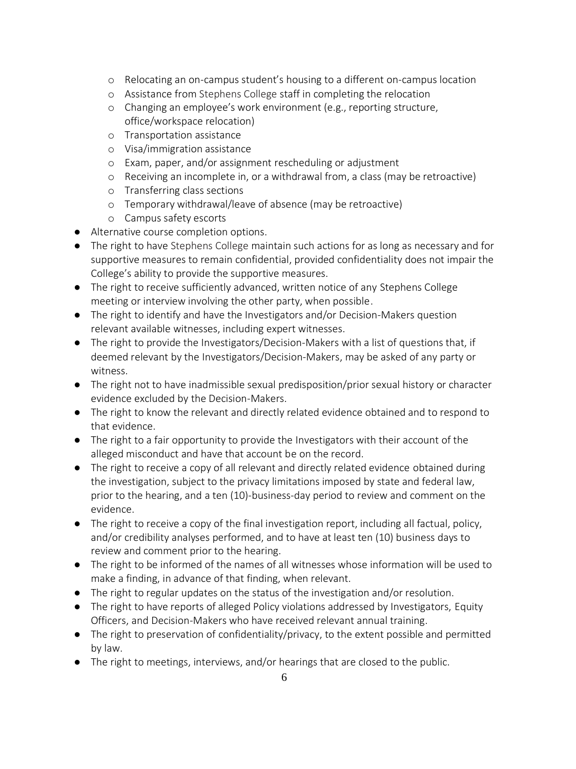- o Relocating an on-campus student's housing to a different on-campus location
- o Assistance from Stephens College staff in completing the relocation
- o Changing an employee's work environment (e.g., reporting structure, office/workspace relocation)
- o Transportation assistance
- o Visa/immigration assistance
- o Exam, paper, and/or assignment rescheduling or adjustment
- o Receiving an incomplete in, or a withdrawal from, a class (may be retroactive)
- o Transferring class sections
- o Temporary withdrawal/leave of absence (may be retroactive)
- o Campus safety escorts
- Alternative course completion options.
- The right to have Stephens College maintain such actions for as long as necessary and for supportive measures to remain confidential, provided confidentiality does not impair the College's ability to provide the supportive measures.
- The right to receive sufficiently advanced, written notice of any Stephens College meeting or interview involving the other party, when possible.
- The right to identify and have the Investigators and/or Decision-Makers question relevant available witnesses, including expert witnesses.
- The right to provide the Investigators/Decision-Makers with a list of questions that, if deemed relevant by the Investigators/Decision-Makers, may be asked of any party or witness.
- The right not to have inadmissible sexual predisposition/prior sexual history or character evidence excluded by the Decision-Makers.
- The right to know the relevant and directly related evidence obtained and to respond to that evidence.
- The right to a fair opportunity to provide the Investigators with their account of the alleged misconduct and have that account be on the record.
- The right to receive a copy of all relevant and directly related evidence obtained during the investigation, subject to the privacy limitations imposed by state and federal law, prior to the hearing, and a ten (10)-business-day period to review and comment on the evidence.
- The right to receive a copy of the final investigation report, including all factual, policy, and/or credibility analyses performed, and to have at least ten (10) business days to review and comment prior to the hearing.
- The right to be informed of the names of all witnesses whose information will be used to make a finding, in advance of that finding, when relevant.
- The right to regular updates on the status of the investigation and/or resolution.
- The right to have reports of alleged Policy violations addressed by Investigators, Equity Officers, and Decision-Makers who have received relevant annual training.
- The right to preservation of confidentiality/privacy, to the extent possible and permitted by law.
- The right to meetings, interviews, and/or hearings that are closed to the public.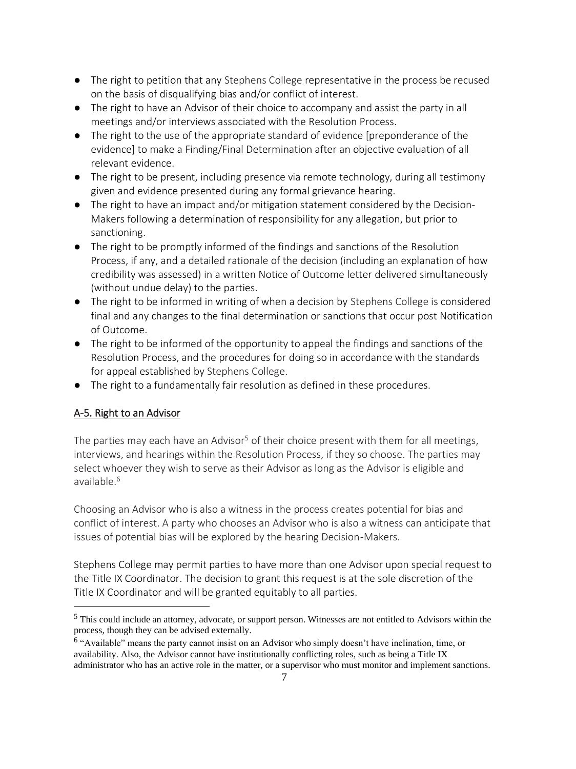- The right to petition that any Stephens College representative in the process be recused on the basis of disqualifying bias and/or conflict of interest.
- The right to have an Advisor of their choice to accompany and assist the party in all meetings and/or interviews associated with the Resolution Process.
- The right to the use of the appropriate standard of evidence [preponderance of the evidence] to make a Finding/Final Determination after an objective evaluation of all relevant evidence.
- The right to be present, including presence via remote technology, during all testimony given and evidence presented during any formal grievance hearing.
- The right to have an impact and/or mitigation statement considered by the Decision-Makers following a determination of responsibility for any allegation, but prior to sanctioning.
- The right to be promptly informed of the findings and sanctions of the Resolution Process, if any, and a detailed rationale of the decision (including an explanation of how credibility was assessed) in a written Notice of Outcome letter delivered simultaneously (without undue delay) to the parties.
- The right to be informed in writing of when a decision by Stephens College is considered final and any changes to the final determination or sanctions that occur post Notification of Outcome.
- The right to be informed of the opportunity to appeal the findings and sanctions of the Resolution Process, and the procedures for doing so in accordance with the standards for appeal established by Stephens College.
- The right to a fundamentally fair resolution as defined in these procedures.

## A-5. Right to an Advisor

The parties may each have an Advisor<sup>5</sup> of their choice present with them for all meetings, interviews, and hearings within the Resolution Process, if they so choose. The parties may select whoever they wish to serve as their Advisor as long as the Advisor is eligible and available.<sup>6</sup>

Choosing an Advisor who is also a witness in the process creates potential for bias and conflict of interest. A party who chooses an Advisor who is also a witness can anticipate that issues of potential bias will be explored by the hearing Decision-Makers.

Stephens College may permit parties to have more than one Advisor upon special request to the Title IX Coordinator. The decision to grant this request is at the sole discretion of the Title IX Coordinator and will be granted equitably to all parties.

<sup>5</sup> This could include an attorney, advocate, or support person. Witnesses are not entitled to Advisors within the process, though they can be advised externally.

<sup>&</sup>lt;sup>6</sup> "Available" means the party cannot insist on an Advisor who simply doesn't have inclination, time, or availability. Also, the Advisor cannot have institutionally conflicting roles, such as being a Title IX administrator who has an active role in the matter, or a supervisor who must monitor and implement sanctions.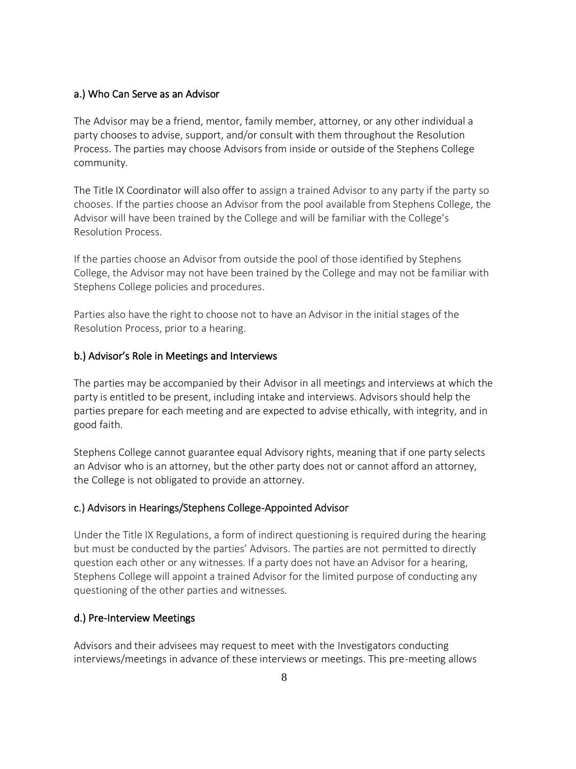#### a.) Who Can Serve as an Advisor

The Advisor may be a friend, mentor, family member, attorney, or any other individual a party chooses to advise, support, and/or consult with them throughout the Resolution Process. The parties may choose Advisors from inside or outside of the Stephens College community.

The Title IX Coordinator will also offer to assign a trained Advisor to any party if the party so chooses. If the parties choose an Advisor from the pool available from Stephens College, the Advisor will have been trained by the College and will be familiar with the College's Resolution Process.

If the parties choose an Advisor from outside the pool of those identified by Stephens College, the Advisor may not have been trained by the College and may not be familiar with Stephens College policies and procedures.

Parties also have the right to choose not to have an Advisor in the initial stages of the Resolution Process, prior to a hearing.

#### b.) Advisor's Role in Meetings and Interviews

The parties may be accompanied by their Advisor in all meetings and interviews at which the party is entitled to be present, including intake and interviews. Advisors should help the parties prepare for each meeting and are expected to advise ethically, with integrity, and in good faith.

Stephens College cannot guarantee equal Advisory rights, meaning that if one party selects an Advisor who is an attorney, but the other party does not or cannot afford an attorney, the College is not obligated to provide an attorney.

#### c.) Advisors in Hearings/Stephens College-Appointed Advisor

Under the Title IX Regulations, a form of indirect questioning is required during the hearing but must be conducted by the parties' Advisors. The parties are not permitted to directly question each other or any witnesses. If a party does not have an Advisor for a hearing, Stephens College will appoint a trained Advisor for the limited purpose of conducting any questioning of the other parties and witnesses.

#### d.) Pre-Interview Meetings

Advisors and their advisees may request to meet with the Investigators conducting interviews/meetings in advance of these interviews or meetings. This pre-meeting allows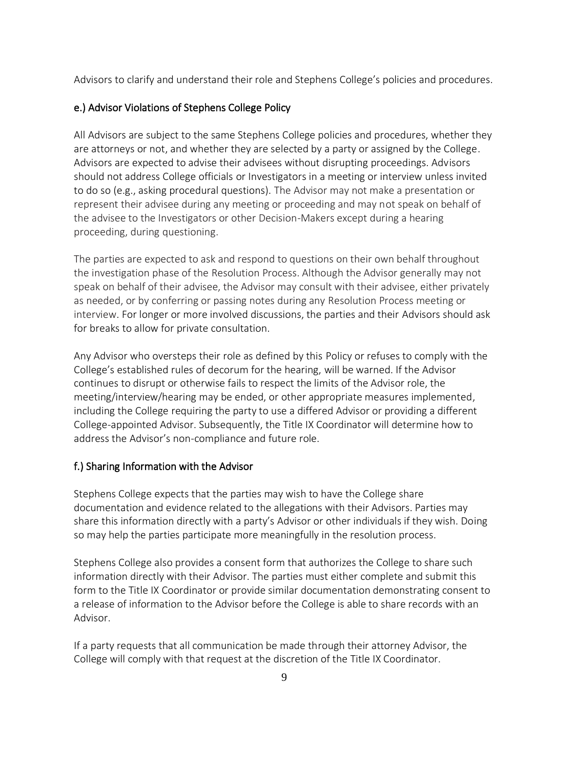Advisors to clarify and understand their role and Stephens College's policies and procedures.

### e.) Advisor Violations of Stephens College Policy

All Advisors are subject to the same Stephens College policies and procedures, whether they are attorneys or not, and whether they are selected by a party or assigned by the College. Advisors are expected to advise their advisees without disrupting proceedings. Advisors should not address College officials or Investigators in a meeting or interview unless invited to do so (e.g., asking procedural questions). The Advisor may not make a presentation or represent their advisee during any meeting or proceeding and may not speak on behalf of the advisee to the Investigators or other Decision-Makers except during a hearing proceeding, during questioning.

The parties are expected to ask and respond to questions on their own behalf throughout the investigation phase of the Resolution Process. Although the Advisor generally may not speak on behalf of their advisee, the Advisor may consult with their advisee, either privately as needed, or by conferring or passing notes during any Resolution Process meeting or interview. For longer or more involved discussions, the parties and their Advisors should ask for breaks to allow for private consultation.

Any Advisor who oversteps their role as defined by this Policy or refuses to comply with the College's established rules of decorum for the hearing, will be warned. If the Advisor continues to disrupt or otherwise fails to respect the limits of the Advisor role, the meeting/interview/hearing may be ended, or other appropriate measures implemented, including the College requiring the party to use a differed Advisor or providing a different College-appointed Advisor. Subsequently, the Title IX Coordinator will determine how to address the Advisor's non-compliance and future role.

#### f.) Sharing Information with the Advisor

Stephens College expects that the parties may wish to have the College share documentation and evidence related to the allegations with their Advisors. Parties may share this information directly with a party's Advisor or other individuals if they wish. Doing so may help the parties participate more meaningfully in the resolution process.

Stephens College also provides a consent form that authorizes the College to share such information directly with their Advisor. The parties must either complete and submit this form to the Title IX Coordinator or provide similar documentation demonstrating consent to a release of information to the Advisor before the College is able to share records with an Advisor.

If a party requests that all communication be made through their attorney Advisor, the College will comply with that request at the discretion of the Title IX Coordinator.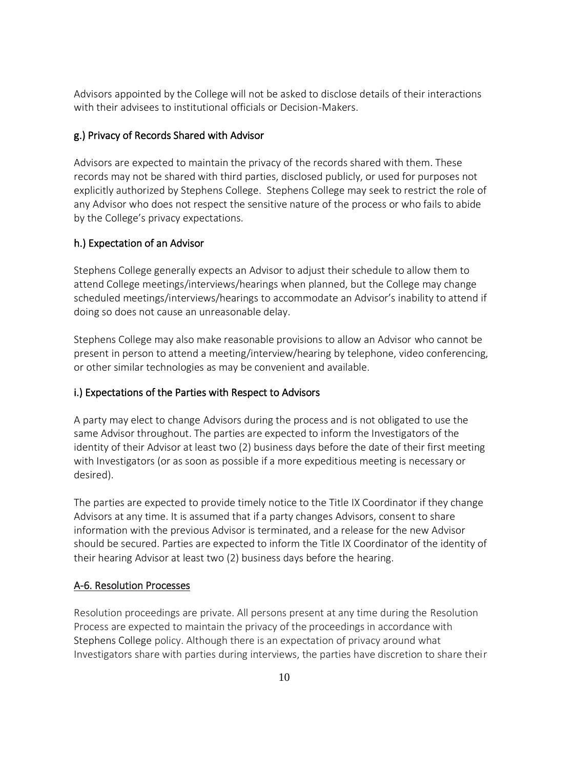Advisors appointed by the College will not be asked to disclose details of their interactions with their advisees to institutional officials or Decision-Makers.

### g.) Privacy of Records Shared with Advisor

Advisors are expected to maintain the privacy of the records shared with them. These records may not be shared with third parties, disclosed publicly, or used for purposes not explicitly authorized by Stephens College. Stephens College may seek to restrict the role of any Advisor who does not respect the sensitive nature of the process or who fails to abide by the College's privacy expectations.

### h.) Expectation of an Advisor

Stephens College generally expects an Advisor to adjust their schedule to allow them to attend College meetings/interviews/hearings when planned, but the College may change scheduled meetings/interviews/hearings to accommodate an Advisor's inability to attend if doing so does not cause an unreasonable delay.

Stephens College may also make reasonable provisions to allow an Advisor who cannot be present in person to attend a meeting/interview/hearing by telephone, video conferencing, or other similar technologies as may be convenient and available.

#### i.) Expectations of the Parties with Respect to Advisors

A party may elect to change Advisors during the process and is not obligated to use the same Advisor throughout. The parties are expected to inform the Investigators of the identity of their Advisor at least two (2) business days before the date of their first meeting with Investigators (or as soon as possible if a more expeditious meeting is necessary or desired).

The parties are expected to provide timely notice to the Title IX Coordinator if they change Advisors at any time. It is assumed that if a party changes Advisors, consent to share information with the previous Advisor is terminated, and a release for the new Advisor should be secured. Parties are expected to inform the Title IX Coordinator of the identity of their hearing Advisor at least two (2) business days before the hearing.

#### A-6. Resolution Processes

Resolution proceedings are private. All persons present at any time during the Resolution Process are expected to maintain the privacy of the proceedings in accordance with Stephens College policy. Although there is an expectation of privacy around what Investigators share with parties during interviews, the parties have discretion to share their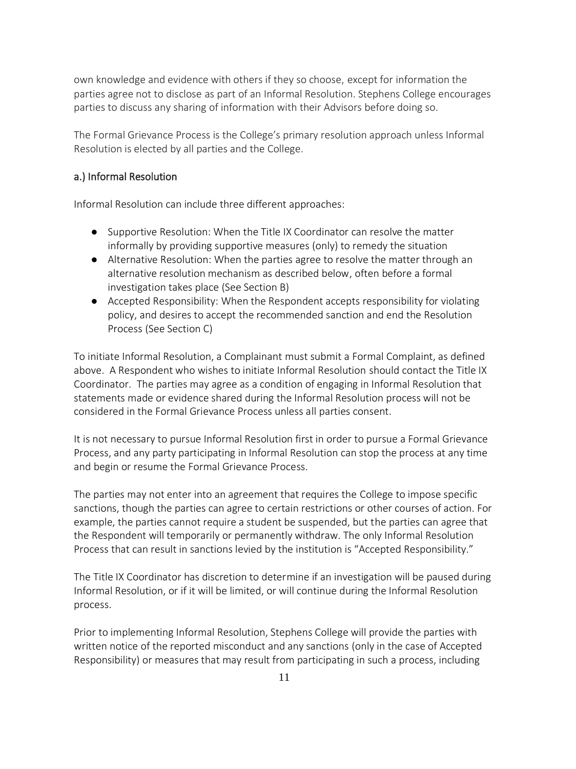own knowledge and evidence with others if they so choose, except for information the parties agree not to disclose as part of an Informal Resolution. Stephens College encourages parties to discuss any sharing of information with their Advisors before doing so.

The Formal Grievance Process is the College's primary resolution approach unless Informal Resolution is elected by all parties and the College.

## a.) Informal Resolution

Informal Resolution can include three different approaches:

- Supportive Resolution: When the Title IX Coordinator can resolve the matter informally by providing supportive measures (only) to remedy the situation
- Alternative Resolution: When the parties agree to resolve the matter through an alternative resolution mechanism as described below, often before a formal investigation takes place (See Section B)
- Accepted Responsibility: When the Respondent accepts responsibility for violating policy, and desires to accept the recommended sanction and end the Resolution Process (See Section C)

To initiate Informal Resolution, a Complainant must submit a Formal Complaint, as defined above. A Respondent who wishes to initiate Informal Resolution should contact the Title IX Coordinator. The parties may agree as a condition of engaging in Informal Resolution that statements made or evidence shared during the Informal Resolution process will not be considered in the Formal Grievance Process unless all parties consent.

It is not necessary to pursue Informal Resolution first in order to pursue a Formal Grievance Process, and any party participating in Informal Resolution can stop the process at any time and begin or resume the Formal Grievance Process.

The parties may not enter into an agreement that requires the College to impose specific sanctions, though the parties can agree to certain restrictions or other courses of action. For example, the parties cannot require a student be suspended, but the parties can agree that the Respondent will temporarily or permanently withdraw. The only Informal Resolution Process that can result in sanctions levied by the institution is "Accepted Responsibility."

The Title IX Coordinator has discretion to determine if an investigation will be paused during Informal Resolution, or if it will be limited, or will continue during the Informal Resolution process.

Prior to implementing Informal Resolution, Stephens College will provide the parties with written notice of the reported misconduct and any sanctions (only in the case of Accepted Responsibility) or measures that may result from participating in such a process, including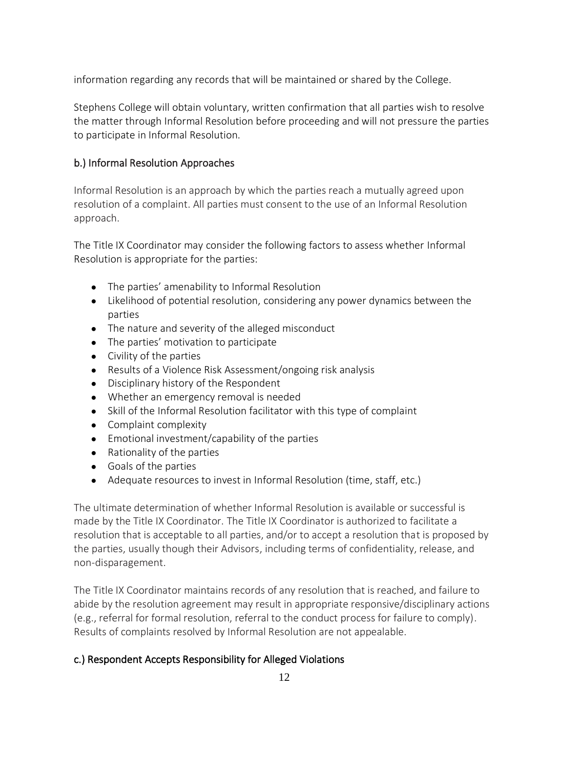information regarding any records that will be maintained or shared by the College.

Stephens College will obtain voluntary, written confirmation that all parties wish to resolve the matter through Informal Resolution before proceeding and will not pressure the parties to participate in Informal Resolution.

## b.) Informal Resolution Approaches

Informal Resolution is an approach by which the parties reach a mutually agreed upon resolution of a complaint. All parties must consent to the use of an Informal Resolution approach.

The Title IX Coordinator may consider the following factors to assess whether Informal Resolution is appropriate for the parties:

- The parties' amenability to Informal Resolution
- Likelihood of potential resolution, considering any power dynamics between the parties
- The nature and severity of the alleged misconduct
- The parties' motivation to participate
- Civility of the parties
- Results of a Violence Risk Assessment/ongoing risk analysis
- Disciplinary history of the Respondent
- Whether an emergency removal is needed
- Skill of the Informal Resolution facilitator with this type of complaint
- Complaint complexity
- Emotional investment/capability of the parties
- Rationality of the parties
- Goals of the parties
- Adequate resources to invest in Informal Resolution (time, staff, etc.)

The ultimate determination of whether Informal Resolution is available or successful is made by the Title IX Coordinator. The Title IX Coordinator is authorized to facilitate a resolution that is acceptable to all parties, and/or to accept a resolution that is proposed by the parties, usually though their Advisors, including terms of confidentiality, release, and non-disparagement.

The Title IX Coordinator maintains records of any resolution that is reached, and failure to abide by the resolution agreement may result in appropriate responsive/disciplinary actions (e.g., referral for formal resolution, referral to the conduct process for failure to comply). Results of complaints resolved by Informal Resolution are not appealable.

## c.) Respondent Accepts Responsibility for Alleged Violations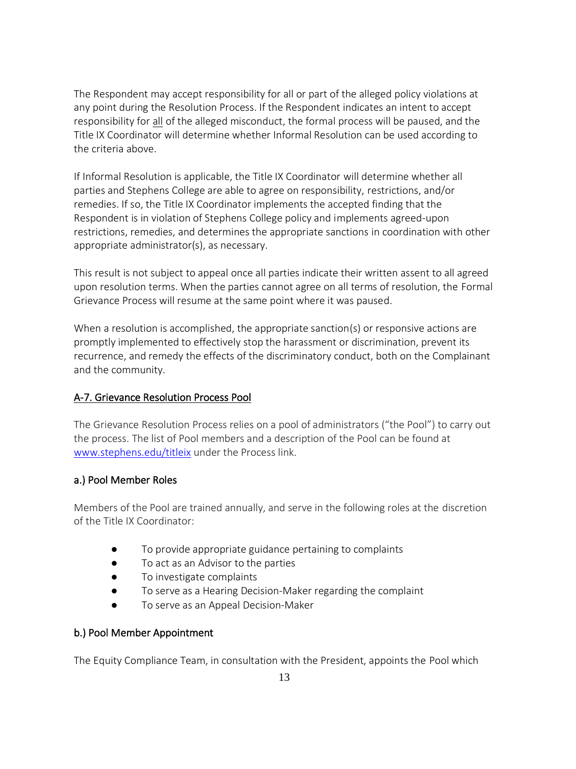The Respondent may accept responsibility for all or part of the alleged policy violations at any point during the Resolution Process. If the Respondent indicates an intent to accept responsibility for all of the alleged misconduct, the formal process will be paused, and the Title IX Coordinator will determine whether Informal Resolution can be used according to the criteria above.

If Informal Resolution is applicable, the Title IX Coordinator will determine whether all parties and Stephens College are able to agree on responsibility, restrictions, and/or remedies. If so, the Title IX Coordinator implements the accepted finding that the Respondent is in violation of Stephens College policy and implements agreed-upon restrictions, remedies, and determines the appropriate sanctions in coordination with other appropriate administrator(s), as necessary.

This result is not subject to appeal once all parties indicate their written assent to all agreed upon resolution terms. When the parties cannot agree on all terms of resolution, the Formal Grievance Process will resume at the same point where it was paused.

When a resolution is accomplished, the appropriate sanction(s) or responsive actions are promptly implemented to effectively stop the harassment or discrimination, prevent its recurrence, and remedy the effects of the discriminatory conduct, both on the Complainant and the community.

# A-7. Grievance Resolution Process Pool

The Grievance Resolution Process relies on a pool of administrators ("the Pool") to carry out the process. The list of Pool members and a description of the Pool can be found at [www.stephens.edu/titleix](http://www.stephens.edu/titleix) under the Process link.

# a.) Pool Member Roles

Members of the Pool are trained annually, and serve in the following roles at the discretion of the Title IX Coordinator:

- To provide appropriate guidance pertaining to complaints
- To act as an Advisor to the parties
- To investigate complaints
- To serve as a Hearing Decision-Maker regarding the complaint
- To serve as an Appeal Decision-Maker

# b.) Pool Member Appointment

The Equity Compliance Team, in consultation with the President, appoints the Pool which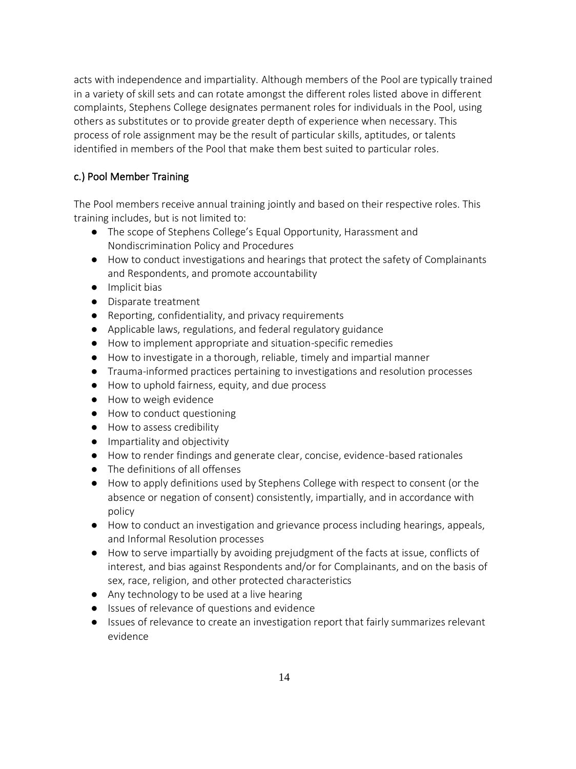acts with independence and impartiality. Although members of the Pool are typically trained in a variety of skill sets and can rotate amongst the different roles listed above in different complaints, Stephens College designates permanent roles for individuals in the Pool, using others as substitutes or to provide greater depth of experience when necessary. This process of role assignment may be the result of particular skills, aptitudes, or talents identified in members of the Pool that make them best suited to particular roles.

# c.) Pool Member Training

The Pool members receive annual training jointly and based on their respective roles. This training includes, but is not limited to:

- The scope of Stephens College's Equal Opportunity, Harassment and Nondiscrimination Policy and Procedures
- How to conduct investigations and hearings that protect the safety of Complainants and Respondents, and promote accountability
- Implicit bias
- Disparate treatment
- Reporting, confidentiality, and privacy requirements
- Applicable laws, regulations, and federal regulatory guidance
- How to implement appropriate and situation-specific remedies
- How to investigate in a thorough, reliable, timely and impartial manner
- Trauma-informed practices pertaining to investigations and resolution processes
- How to uphold fairness, equity, and due process
- How to weigh evidence
- How to conduct questioning
- How to assess credibility
- Impartiality and objectivity
- How to render findings and generate clear, concise, evidence-based rationales
- The definitions of all offenses
- How to apply definitions used by Stephens College with respect to consent (or the absence or negation of consent) consistently, impartially, and in accordance with policy
- How to conduct an investigation and grievance process including hearings, appeals, and Informal Resolution processes
- How to serve impartially by avoiding prejudgment of the facts at issue, conflicts of interest, and bias against Respondents and/or for Complainants, and on the basis of sex, race, religion, and other protected characteristics
- Any technology to be used at a live hearing
- Issues of relevance of questions and evidence
- Issues of relevance to create an investigation report that fairly summarizes relevant evidence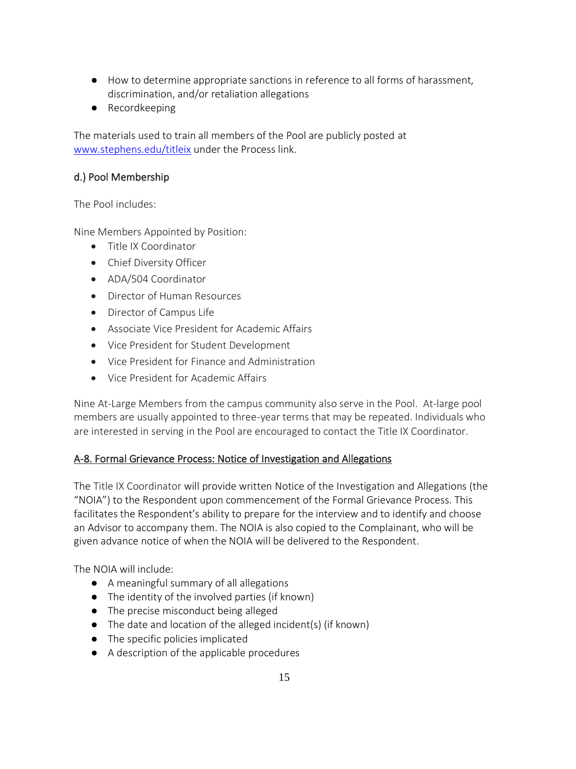- How to determine appropriate sanctions in reference to all forms of harassment, discrimination, and/or retaliation allegations
- Recordkeeping

The materials used to train all members of the Pool are publicly posted at [www.stephens.edu/titleix](http://www.stephens.edu/titleix) under the Process link.

## d.) Pool Membership

The Pool includes:

Nine Members Appointed by Position:

- Title IX Coordinator
- Chief Diversity Officer
- ADA/504 Coordinator
- Director of Human Resources
- Director of Campus Life
- Associate Vice President for Academic Affairs
- Vice President for Student Development
- Vice President for Finance and Administration
- Vice President for Academic Affairs

Nine At-Large Members from the campus community also serve in the Pool. At-large pool members are usually appointed to three-year terms that may be repeated. Individuals who are interested in serving in the Pool are encouraged to contact the Title IX Coordinator.

## A-8. Formal Grievance Process: Notice of Investigation and Allegations

The Title IX Coordinator will provide written Notice of the Investigation and Allegations (the "NOIA") to the Respondent upon commencement of the Formal Grievance Process. This facilitates the Respondent's ability to prepare for the interview and to identify and choose an Advisor to accompany them. The NOIA is also copied to the Complainant, who will be given advance notice of when the NOIA will be delivered to the Respondent.

The NOIA will include:

- A meaningful summary of all allegations
- The identity of the involved parties (if known)
- The precise misconduct being alleged
- The date and location of the alleged incident(s) (if known)
- The specific policies implicated
- A description of the applicable procedures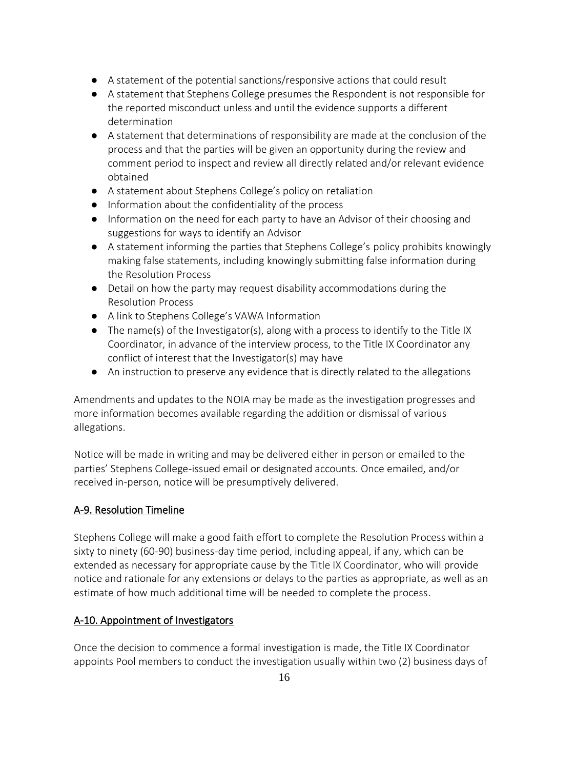- A statement of the potential sanctions/responsive actions that could result
- A statement that Stephens College presumes the Respondent is not responsible for the reported misconduct unless and until the evidence supports a different determination
- A statement that determinations of responsibility are made at the conclusion of the process and that the parties will be given an opportunity during the review and comment period to inspect and review all directly related and/or relevant evidence obtained
- A statement about Stephens College's policy on retaliation
- Information about the confidentiality of the process
- Information on the need for each party to have an Advisor of their choosing and suggestions for ways to identify an Advisor
- A statement informing the parties that Stephens College's policy prohibits knowingly making false statements, including knowingly submitting false information during the Resolution Process
- Detail on how the party may request disability accommodations during the Resolution Process
- A link to Stephens College's VAWA Information
- $\bullet$  The name(s) of the Investigator(s), along with a process to identify to the Title IX Coordinator, in advance of the interview process, to the Title IX Coordinator any conflict of interest that the Investigator(s) may have
- An instruction to preserve any evidence that is directly related to the allegations

Amendments and updates to the NOIA may be made as the investigation progresses and more information becomes available regarding the addition or dismissal of various allegations.

Notice will be made in writing and may be delivered either in person or emailed to the parties' Stephens College-issued email or designated accounts. Once emailed, and/or received in-person, notice will be presumptively delivered.

# A-9. Resolution Timeline

Stephens College will make a good faith effort to complete the Resolution Process within a sixty to ninety (60-90) business-day time period, including appeal, if any, which can be extended as necessary for appropriate cause by the Title IX Coordinator, who will provide notice and rationale for any extensions or delays to the parties as appropriate, as well as an estimate of how much additional time will be needed to complete the process.

## A-10. Appointment of Investigators

Once the decision to commence a formal investigation is made, the Title IX Coordinator appoints Pool members to conduct the investigation usually within two (2) business days of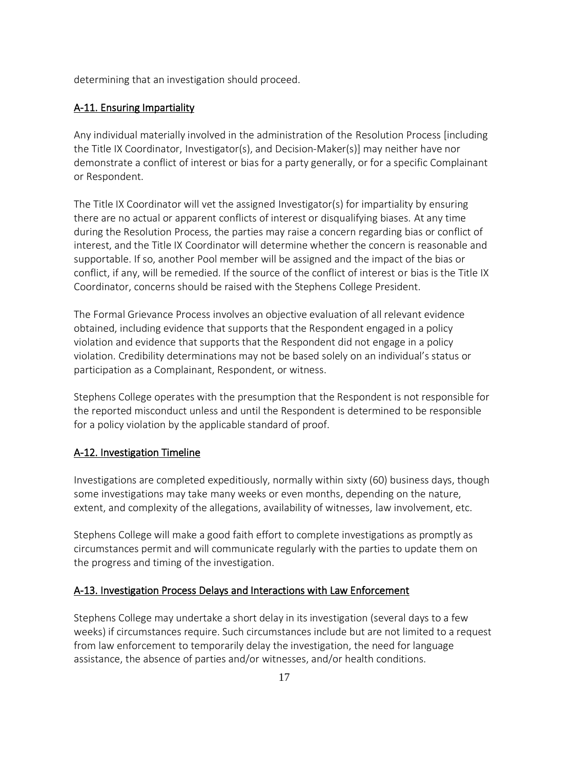determining that an investigation should proceed.

#### A-11. Ensuring Impartiality

Any individual materially involved in the administration of the Resolution Process [including the Title IX Coordinator, Investigator(s), and Decision-Maker(s)] may neither have nor demonstrate a conflict of interest or bias for a party generally, or for a specific Complainant or Respondent.

The Title IX Coordinator will vet the assigned Investigator(s) for impartiality by ensuring there are no actual or apparent conflicts of interest or disqualifying biases. At any time during the Resolution Process, the parties may raise a concern regarding bias or conflict of interest, and the Title IX Coordinator will determine whether the concern is reasonable and supportable. If so, another Pool member will be assigned and the impact of the bias or conflict, if any, will be remedied. If the source of the conflict of interest or bias is the Title IX Coordinator, concerns should be raised with the Stephens College President.

The Formal Grievance Process involves an objective evaluation of all relevant evidence obtained, including evidence that supports that the Respondent engaged in a policy violation and evidence that supports that the Respondent did not engage in a policy violation. Credibility determinations may not be based solely on an individual's status or participation as a Complainant, Respondent, or witness.

Stephens College operates with the presumption that the Respondent is not responsible for the reported misconduct unless and until the Respondent is determined to be responsible for a policy violation by the applicable standard of proof.

#### A-12. Investigation Timeline

Investigations are completed expeditiously, normally within sixty (60) business days, though some investigations may take many weeks or even months, depending on the nature, extent, and complexity of the allegations, availability of witnesses, law involvement, etc.

Stephens College will make a good faith effort to complete investigations as promptly as circumstances permit and will communicate regularly with the parties to update them on the progress and timing of the investigation.

#### A-13. Investigation Process Delays and Interactions with Law Enforcement

Stephens College may undertake a short delay in its investigation (several days to a few weeks) if circumstances require. Such circumstances include but are not limited to a request from law enforcement to temporarily delay the investigation, the need for language assistance, the absence of parties and/or witnesses, and/or health conditions.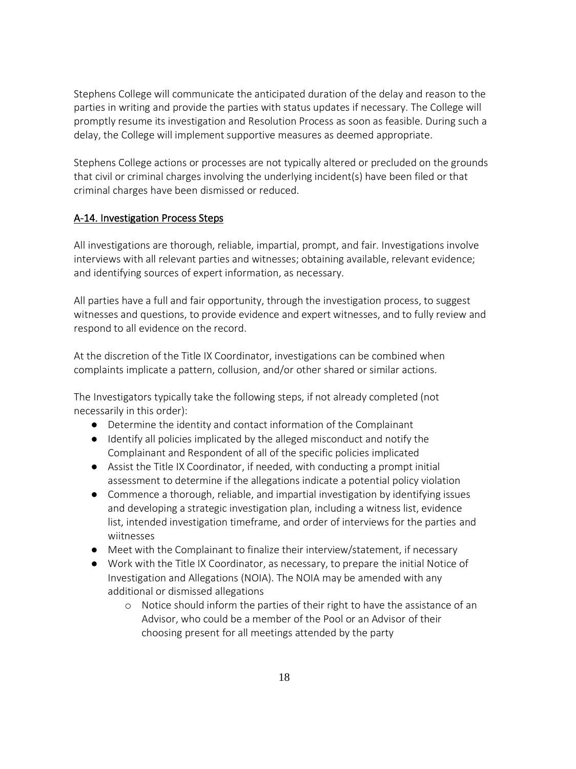Stephens College will communicate the anticipated duration of the delay and reason to the parties in writing and provide the parties with status updates if necessary. The College will promptly resume its investigation and Resolution Process as soon as feasible. During such a delay, the College will implement supportive measures as deemed appropriate.

Stephens College actions or processes are not typically altered or precluded on the grounds that civil or criminal charges involving the underlying incident(s) have been filed or that criminal charges have been dismissed or reduced.

## A-14. Investigation Process Steps

All investigations are thorough, reliable, impartial, prompt, and fair. Investigations involve interviews with all relevant parties and witnesses; obtaining available, relevant evidence; and identifying sources of expert information, as necessary.

All parties have a full and fair opportunity, through the investigation process, to suggest witnesses and questions, to provide evidence and expert witnesses, and to fully review and respond to all evidence on the record.

At the discretion of the Title IX Coordinator, investigations can be combined when complaints implicate a pattern, collusion, and/or other shared or similar actions.

The Investigators typically take the following steps, if not already completed (not necessarily in this order):

- Determine the identity and contact information of the Complainant
- Identify all policies implicated by the alleged misconduct and notify the Complainant and Respondent of all of the specific policies implicated
- Assist the Title IX Coordinator, if needed, with conducting a prompt initial assessment to determine if the allegations indicate a potential policy violation
- Commence a thorough, reliable, and impartial investigation by identifying issues and developing a strategic investigation plan, including a witness list, evidence list, intended investigation timeframe, and order of interviews for the parties and wiitnesses
- Meet with the Complainant to finalize their interview/statement, if necessary
- Work with the Title IX Coordinator, as necessary, to prepare the initial Notice of Investigation and Allegations (NOIA). The NOIA may be amended with any additional or dismissed allegations
	- o Notice should inform the parties of their right to have the assistance of an Advisor, who could be a member of the Pool or an Advisor of their choosing present for all meetings attended by the party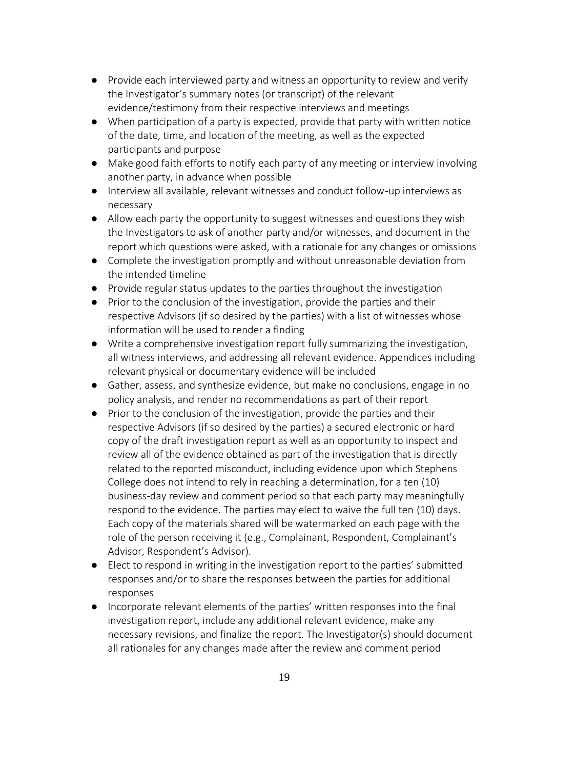- Provide each interviewed party and witness an opportunity to review and verify the Investigator's summary notes (or transcript) of the relevant evidence/testimony from their respective interviews and meetings
- When participation of a party is expected, provide that party with written notice of the date, time, and location of the meeting, as well as the expected participants and purpose
- Make good faith efforts to notify each party of any meeting or interview involving another party, in advance when possible
- Interview all available, relevant witnesses and conduct follow-up interviews as necessary
- Allow each party the opportunity to suggest witnesses and questions they wish the Investigators to ask of another party and/or witnesses, and document in the report which questions were asked, with a rationale for any changes or omissions
- Complete the investigation promptly and without unreasonable deviation from the intended timeline
- Provide regular status updates to the parties throughout the investigation
- Prior to the conclusion of the investigation, provide the parties and their respective Advisors (if so desired by the parties) with a list of witnesses whose information will be used to render a finding
- Write a comprehensive investigation report fully summarizing the investigation, all witness interviews, and addressing all relevant evidence. Appendices including relevant physical or documentary evidence will be included
- Gather, assess, and synthesize evidence, but make no conclusions, engage in no policy analysis, and render no recommendations as part of their report
- Prior to the conclusion of the investigation, provide the parties and their respective Advisors (if so desired by the parties) a secured electronic or hard copy of the draft investigation report as well as an opportunity to inspect and review all of the evidence obtained as part of the investigation that is directly related to the reported misconduct, including evidence upon which Stephens College does not intend to rely in reaching a determination, for a ten (10) business-day review and comment period so that each party may meaningfully respond to the evidence. The parties may elect to waive the full ten (10) days. Each copy of the materials shared will be watermarked on each page with the role of the person receiving it (e.g., Complainant, Respondent, Complainant's Advisor, Respondent's Advisor).
- Elect to respond in writing in the investigation report to the parties' submitted responses and/or to share the responses between the parties for additional responses
- Incorporate relevant elements of the parties' written responses into the final investigation report, include any additional relevant evidence, make any necessary revisions, and finalize the report. The Investigator(s) should document all rationales for any changes made after the review and comment period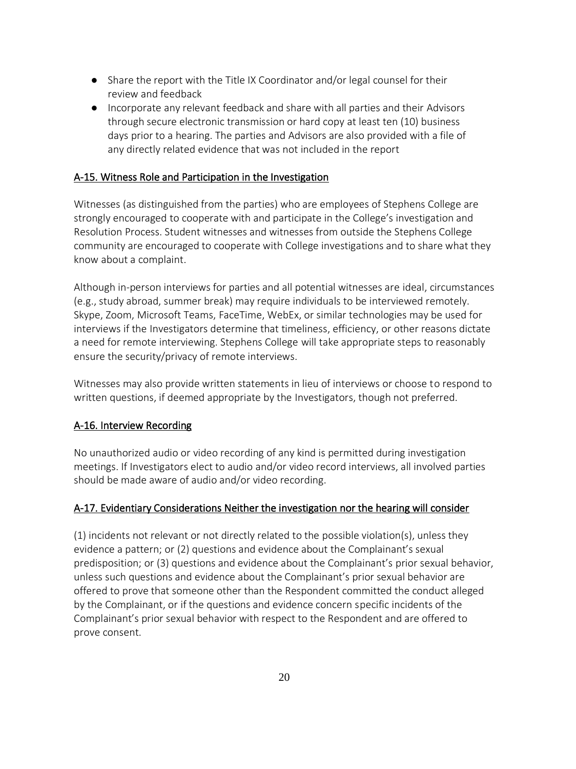- Share the report with the Title IX Coordinator and/or legal counsel for their review and feedback
- Incorporate any relevant feedback and share with all parties and their Advisors through secure electronic transmission or hard copy at least ten (10) business days prior to a hearing. The parties and Advisors are also provided with a file of any directly related evidence that was not included in the report

### A-15. Witness Role and Participation in the Investigation

Witnesses (as distinguished from the parties) who are employees of Stephens College are strongly encouraged to cooperate with and participate in the College's investigation and Resolution Process. Student witnesses and witnesses from outside the Stephens College community are encouraged to cooperate with College investigations and to share what they know about a complaint.

Although in-person interviews for parties and all potential witnesses are ideal, circumstances (e.g., study abroad, summer break) may require individuals to be interviewed remotely. Skype, Zoom, Microsoft Teams, FaceTime, WebEx, or similar technologies may be used for interviews if the Investigators determine that timeliness, efficiency, or other reasons dictate a need for remote interviewing. Stephens College will take appropriate steps to reasonably ensure the security/privacy of remote interviews.

Witnesses may also provide written statements in lieu of interviews or choose to respond to written questions, if deemed appropriate by the Investigators, though not preferred.

#### A-16. Interview Recording

No unauthorized audio or video recording of any kind is permitted during investigation meetings. If Investigators elect to audio and/or video record interviews, all involved parties should be made aware of audio and/or video recording.

## A-17. Evidentiary Considerations Neither the investigation nor the hearing will consider

(1) incidents not relevant or not directly related to the possible violation(s), unless they evidence a pattern; or (2) questions and evidence about the Complainant's sexual predisposition; or (3) questions and evidence about the Complainant's prior sexual behavior, unless such questions and evidence about the Complainant's prior sexual behavior are offered to prove that someone other than the Respondent committed the conduct alleged by the Complainant, or if the questions and evidence concern specific incidents of the Complainant's prior sexual behavior with respect to the Respondent and are offered to prove consent.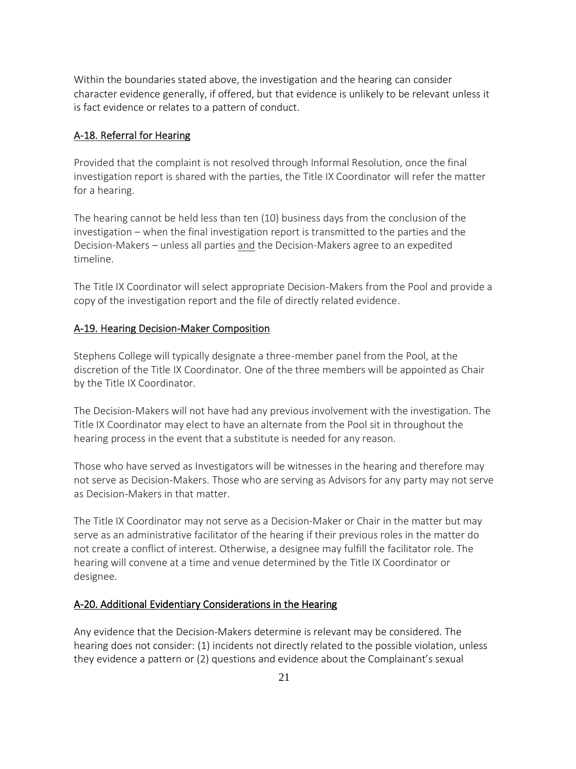Within the boundaries stated above, the investigation and the hearing can consider character evidence generally, if offered, but that evidence is unlikely to be relevant unless it is fact evidence or relates to a pattern of conduct.

### A-18. Referral for Hearing

Provided that the complaint is not resolved through Informal Resolution, once the final investigation report is shared with the parties, the Title IX Coordinator will refer the matter for a hearing.

The hearing cannot be held less than ten (10) business days from the conclusion of the investigation – when the final investigation report is transmitted to the parties and the Decision-Makers – unless all parties and the Decision-Makers agree to an expedited timeline.

The Title IX Coordinator will select appropriate Decision-Makers from the Pool and provide a copy of the investigation report and the file of directly related evidence.

#### A-19. Hearing Decision-Maker Composition

Stephens College will typically designate a three-member panel from the Pool, at the discretion of the Title IX Coordinator. One of the three members will be appointed as Chair by the Title IX Coordinator.

The Decision-Makers will not have had any previous involvement with the investigation. The Title IX Coordinator may elect to have an alternate from the Pool sit in throughout the hearing process in the event that a substitute is needed for any reason.

Those who have served as Investigators will be witnesses in the hearing and therefore may not serve as Decision-Makers. Those who are serving as Advisors for any party may not serve as Decision-Makers in that matter.

The Title IX Coordinator may not serve as a Decision-Maker or Chair in the matter but may serve as an administrative facilitator of the hearing if their previous roles in the matter do not create a conflict of interest. Otherwise, a designee may fulfill the facilitator role. The hearing will convene at a time and venue determined by the Title IX Coordinator or designee.

## A-20. Additional Evidentiary Considerations in the Hearing

Any evidence that the Decision-Makers determine is relevant may be considered. The hearing does not consider: (1) incidents not directly related to the possible violation, unless they evidence a pattern or (2) questions and evidence about the Complainant's sexual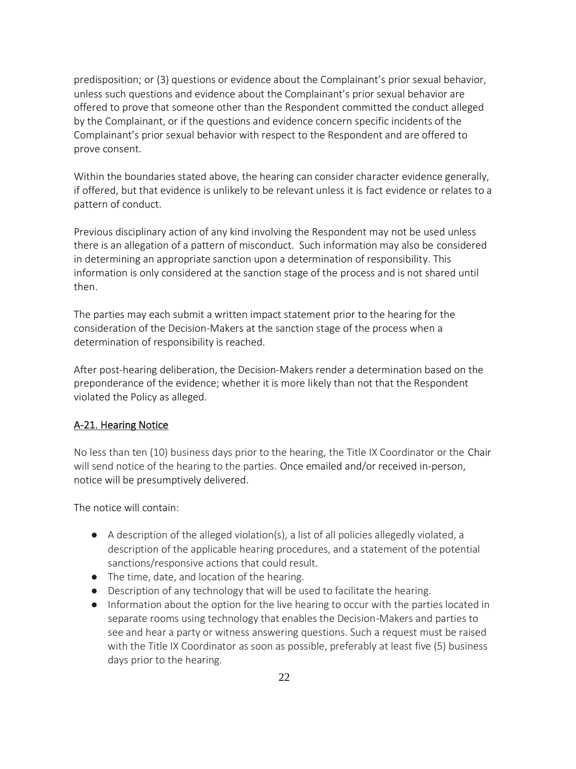predisposition; or (3) questions or evidence about the Complainant's prior sexual behavior, unless such questions and evidence about the Complainant's prior sexual behavior are offered to prove that someone other than the Respondent committed the conduct alleged by the Complainant, or if the questions and evidence concern specific incidents of the Complainant's prior sexual behavior with respect to the Respondent and are offered to prove consent.

Within the boundaries stated above, the hearing can consider character evidence generally, if offered, but that evidence is unlikely to be relevant unless it is fact evidence or relates to a pattern of conduct.

Previous disciplinary action of any kind involving the Respondent may not be used unless there is an allegation of a pattern of misconduct. Such information may also be considered in determining an appropriate sanction upon a determination of responsibility. This information is only considered at the sanction stage of the process and is not shared until then.

The parties may each submit a written impact statement prior to the hearing for the consideration of the Decision-Makers at the sanction stage of the process when a determination of responsibility is reached.

After post-hearing deliberation, the Decision-Makers render a determination based on the preponderance of the evidence; whether it is more likely than not that the Respondent violated the Policy as alleged.

## A-21. Hearing Notice

No less than ten (10) business days prior to the hearing, the Title IX Coordinator or the Chair will send notice of the hearing to the parties. Once emailed and/or received in-person, notice will be presumptively delivered.

The notice will contain:

- $\bullet$  A description of the alleged violation(s), a list of all policies allegedly violated, a description of the applicable hearing procedures, and a statement of the potential sanctions/responsive actions that could result.
- The time, date, and location of the hearing.
- Description of any technology that will be used to facilitate the hearing.
- Information about the option for the live hearing to occur with the parties located in separate rooms using technology that enables the Decision-Makers and parties to see and hear a party or witness answering questions. Such a request must be raised with the Title IX Coordinator as soon as possible, preferably at least five (5) business days prior to the hearing.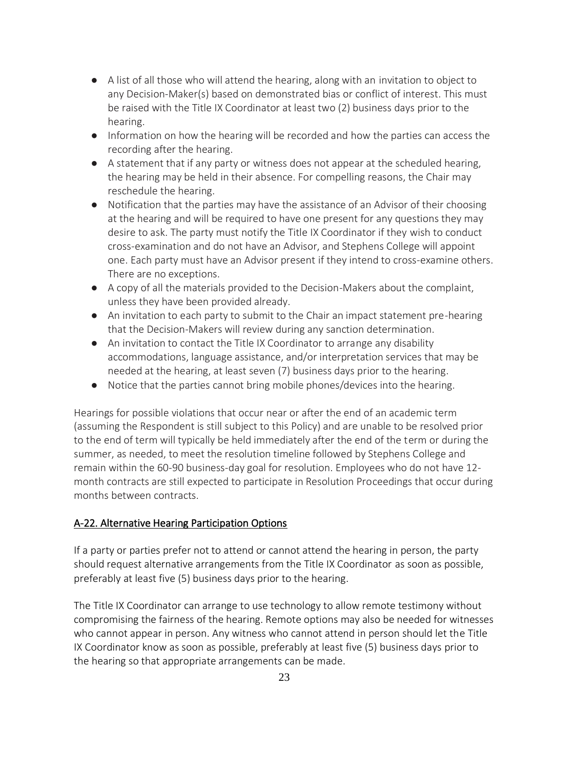- A list of all those who will attend the hearing, along with an invitation to object to any Decision-Maker(s) based on demonstrated bias or conflict of interest. This must be raised with the Title IX Coordinator at least two (2) business days prior to the hearing.
- Information on how the hearing will be recorded and how the parties can access the recording after the hearing.
- A statement that if any party or witness does not appear at the scheduled hearing, the hearing may be held in their absence. For compelling reasons, the Chair may reschedule the hearing.
- Notification that the parties may have the assistance of an Advisor of their choosing at the hearing and will be required to have one present for any questions they may desire to ask. The party must notify the Title IX Coordinator if they wish to conduct cross-examination and do not have an Advisor, and Stephens College will appoint one. Each party must have an Advisor present if they intend to cross-examine others. There are no exceptions.
- A copy of all the materials provided to the Decision-Makers about the complaint, unless they have been provided already.
- An invitation to each party to submit to the Chair an impact statement pre-hearing that the Decision-Makers will review during any sanction determination.
- An invitation to contact the Title IX Coordinator to arrange any disability accommodations, language assistance, and/or interpretation services that may be needed at the hearing, at least seven (7) business days prior to the hearing.
- Notice that the parties cannot bring mobile phones/devices into the hearing.

Hearings for possible violations that occur near or after the end of an academic term (assuming the Respondent is still subject to this Policy) and are unable to be resolved prior to the end of term will typically be held immediately after the end of the term or during the summer, as needed, to meet the resolution timeline followed by Stephens College and remain within the 60-90 business-day goal for resolution. Employees who do not have 12 month contracts are still expected to participate in Resolution Proceedings that occur during months between contracts.

## A-22. Alternative Hearing Participation Options

If a party or parties prefer not to attend or cannot attend the hearing in person, the party should request alternative arrangements from the Title IX Coordinator as soon as possible, preferably at least five (5) business days prior to the hearing.

The Title IX Coordinator can arrange to use technology to allow remote testimony without compromising the fairness of the hearing. Remote options may also be needed for witnesses who cannot appear in person. Any witness who cannot attend in person should let the Title IX Coordinator know as soon as possible, preferably at least five (5) business days prior to the hearing so that appropriate arrangements can be made.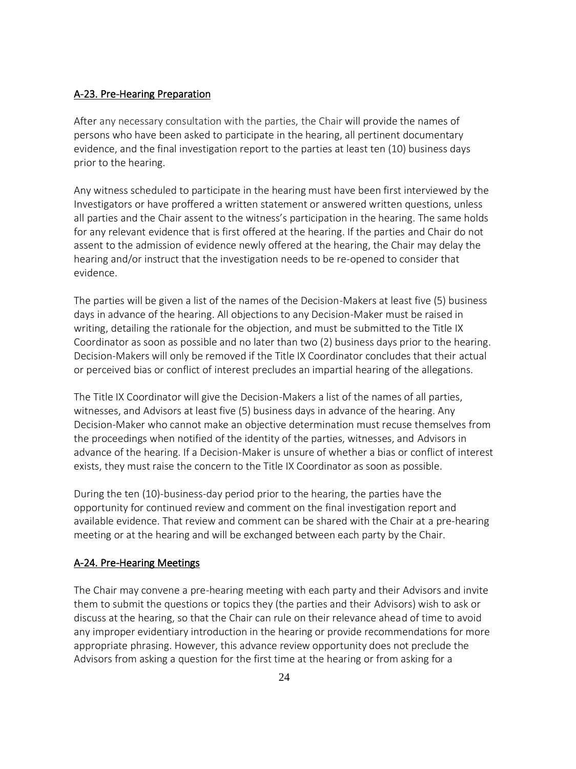### A-23. Pre-Hearing Preparation

After any necessary consultation with the parties, the Chair will provide the names of persons who have been asked to participate in the hearing, all pertinent documentary evidence, and the final investigation report to the parties at least ten (10) business days prior to the hearing.

Any witness scheduled to participate in the hearing must have been first interviewed by the Investigators or have proffered a written statement or answered written questions, unless all parties and the Chair assent to the witness's participation in the hearing. The same holds for any relevant evidence that is first offered at the hearing. If the parties and Chair do not assent to the admission of evidence newly offered at the hearing, the Chair may delay the hearing and/or instruct that the investigation needs to be re-opened to consider that evidence.

The parties will be given a list of the names of the Decision-Makers at least five (5) business days in advance of the hearing. All objections to any Decision-Maker must be raised in writing, detailing the rationale for the objection, and must be submitted to the Title IX Coordinator as soon as possible and no later than two (2) business days prior to the hearing. Decision-Makers will only be removed if the Title IX Coordinator concludes that their actual or perceived bias or conflict of interest precludes an impartial hearing of the allegations.

The Title IX Coordinator will give the Decision-Makers a list of the names of all parties, witnesses, and Advisors at least five (5) business days in advance of the hearing. Any Decision-Maker who cannot make an objective determination must recuse themselves from the proceedings when notified of the identity of the parties, witnesses, and Advisors in advance of the hearing. If a Decision-Maker is unsure of whether a bias or conflict of interest exists, they must raise the concern to the Title IX Coordinator as soon as possible.

During the ten (10)-business-day period prior to the hearing, the parties have the opportunity for continued review and comment on the final investigation report and available evidence. That review and comment can be shared with the Chair at a pre-hearing meeting or at the hearing and will be exchanged between each party by the Chair.

#### A-24. Pre-Hearing Meetings

The Chair may convene a pre-hearing meeting with each party and their Advisors and invite them to submit the questions or topics they (the parties and their Advisors) wish to ask or discuss at the hearing, so that the Chair can rule on their relevance ahead of time to avoid any improper evidentiary introduction in the hearing or provide recommendations for more appropriate phrasing. However, this advance review opportunity does not preclude the Advisors from asking a question for the first time at the hearing or from asking for a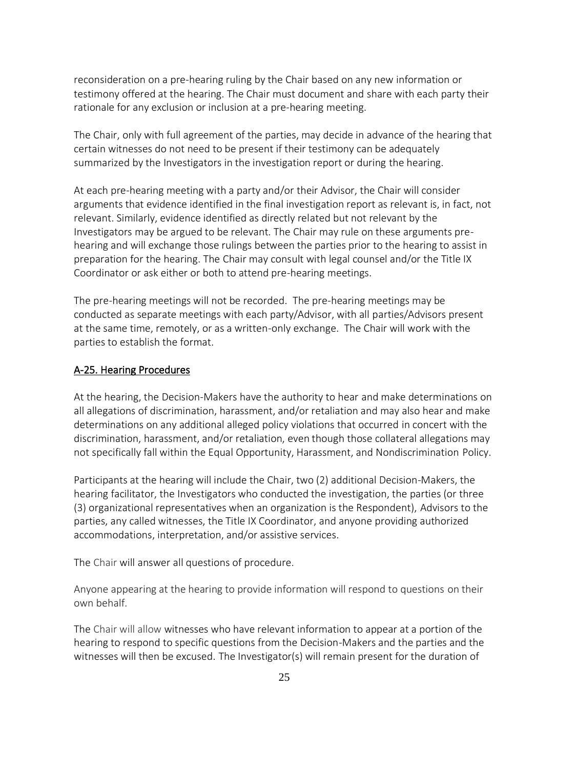reconsideration on a pre-hearing ruling by the Chair based on any new information or testimony offered at the hearing. The Chair must document and share with each party their rationale for any exclusion or inclusion at a pre-hearing meeting.

The Chair, only with full agreement of the parties, may decide in advance of the hearing that certain witnesses do not need to be present if their testimony can be adequately summarized by the Investigators in the investigation report or during the hearing.

At each pre-hearing meeting with a party and/or their Advisor, the Chair will consider arguments that evidence identified in the final investigation report as relevant is, in fact, not relevant. Similarly, evidence identified as directly related but not relevant by the Investigators may be argued to be relevant. The Chair may rule on these arguments prehearing and will exchange those rulings between the parties prior to the hearing to assist in preparation for the hearing. The Chair may consult with legal counsel and/or the Title IX Coordinator or ask either or both to attend pre-hearing meetings.

The pre-hearing meetings will not be recorded. The pre-hearing meetings may be conducted as separate meetings with each party/Advisor, with all parties/Advisors present at the same time, remotely, or as a written-only exchange. The Chair will work with the parties to establish the format.

#### A-25. Hearing Procedures

At the hearing, the Decision-Makers have the authority to hear and make determinations on all allegations of discrimination, harassment, and/or retaliation and may also hear and make determinations on any additional alleged policy violations that occurred in concert with the discrimination, harassment, and/or retaliation, even though those collateral allegations may not specifically fall within the Equal Opportunity, Harassment, and Nondiscrimination Policy.

Participants at the hearing will include the Chair, two (2) additional Decision-Makers, the hearing facilitator, the Investigators who conducted the investigation, the parties (or three (3) organizational representatives when an organization is the Respondent), Advisors to the parties, any called witnesses, the Title IX Coordinator, and anyone providing authorized accommodations, interpretation, and/or assistive services.

The Chair will answer all questions of procedure.

Anyone appearing at the hearing to provide information will respond to questions on their own behalf.

The Chair will allow witnesses who have relevant information to appear at a portion of the hearing to respond to specific questions from the Decision-Makers and the parties and the witnesses will then be excused. The Investigator(s) will remain present for the duration of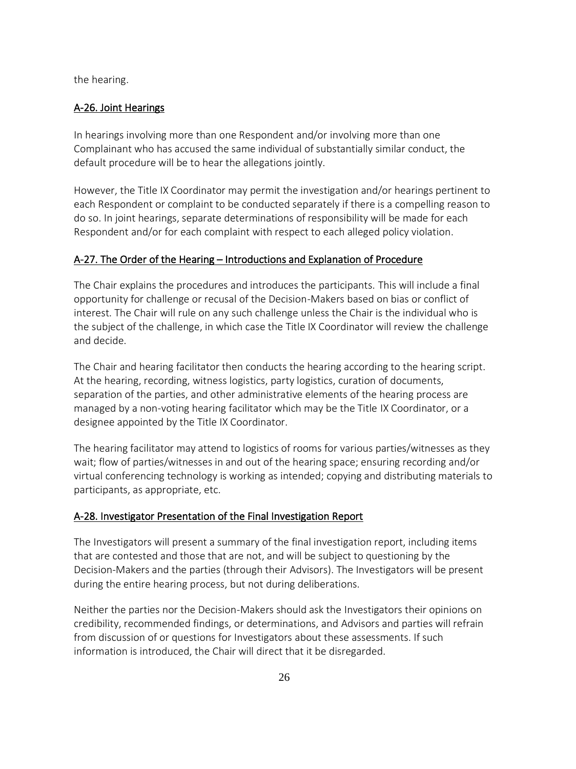the hearing.

#### A-26. Joint Hearings

In hearings involving more than one Respondent and/or involving more than one Complainant who has accused the same individual of substantially similar conduct, the default procedure will be to hear the allegations jointly.

However, the Title IX Coordinator may permit the investigation and/or hearings pertinent to each Respondent or complaint to be conducted separately if there is a compelling reason to do so. In joint hearings, separate determinations of responsibility will be made for each Respondent and/or for each complaint with respect to each alleged policy violation.

### A-27. The Order of the Hearing – Introductions and Explanation of Procedure

The Chair explains the procedures and introduces the participants. This will include a final opportunity for challenge or recusal of the Decision-Makers based on bias or conflict of interest. The Chair will rule on any such challenge unless the Chair is the individual who is the subject of the challenge, in which case the Title IX Coordinator will review the challenge and decide.

The Chair and hearing facilitator then conducts the hearing according to the hearing script. At the hearing, recording, witness logistics, party logistics, curation of documents, separation of the parties, and other administrative elements of the hearing process are managed by a non-voting hearing facilitator which may be the Title IX Coordinator, or a designee appointed by the Title IX Coordinator.

The hearing facilitator may attend to logistics of rooms for various parties/witnesses as they wait; flow of parties/witnesses in and out of the hearing space; ensuring recording and/or virtual conferencing technology is working as intended; copying and distributing materials to participants, as appropriate, etc.

#### A-28. Investigator Presentation of the Final Investigation Report

The Investigators will present a summary of the final investigation report, including items that are contested and those that are not, and will be subject to questioning by the Decision-Makers and the parties (through their Advisors). The Investigators will be present during the entire hearing process, but not during deliberations.

Neither the parties nor the Decision-Makers should ask the Investigators their opinions on credibility, recommended findings, or determinations, and Advisors and parties will refrain from discussion of or questions for Investigators about these assessments. If such information is introduced, the Chair will direct that it be disregarded.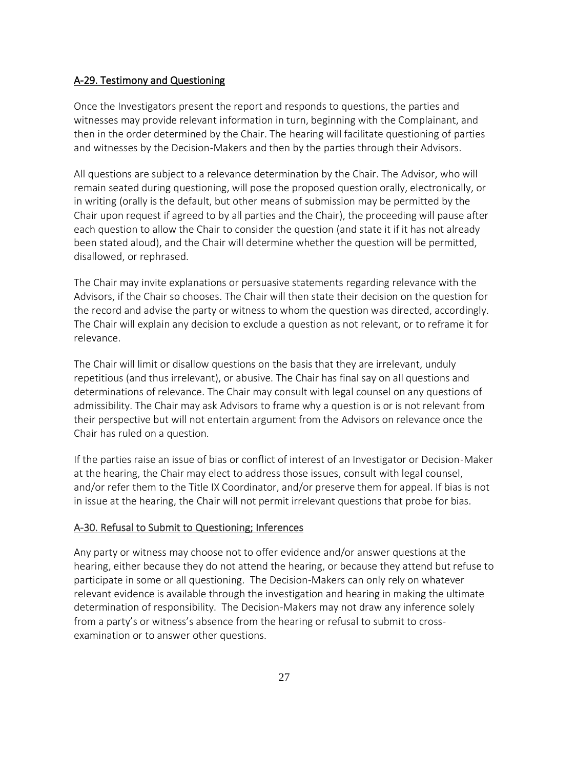#### A-29. Testimony and Questioning

Once the Investigators present the report and responds to questions, the parties and witnesses may provide relevant information in turn, beginning with the Complainant, and then in the order determined by the Chair. The hearing will facilitate questioning of parties and witnesses by the Decision-Makers and then by the parties through their Advisors.

All questions are subject to a relevance determination by the Chair. The Advisor, who will remain seated during questioning, will pose the proposed question orally, electronically, or in writing (orally is the default, but other means of submission may be permitted by the Chair upon request if agreed to by all parties and the Chair), the proceeding will pause after each question to allow the Chair to consider the question (and state it if it has not already been stated aloud), and the Chair will determine whether the question will be permitted, disallowed, or rephrased.

The Chair may invite explanations or persuasive statements regarding relevance with the Advisors, if the Chair so chooses. The Chair will then state their decision on the question for the record and advise the party or witness to whom the question was directed, accordingly. The Chair will explain any decision to exclude a question as not relevant, or to reframe it for relevance.

The Chair will limit or disallow questions on the basis that they are irrelevant, unduly repetitious (and thus irrelevant), or abusive. The Chair has final say on all questions and determinations of relevance. The Chair may consult with legal counsel on any questions of admissibility. The Chair may ask Advisors to frame why a question is or is not relevant from their perspective but will not entertain argument from the Advisors on relevance once the Chair has ruled on a question.

If the parties raise an issue of bias or conflict of interest of an Investigator or Decision-Maker at the hearing, the Chair may elect to address those issues, consult with legal counsel, and/or refer them to the Title IX Coordinator, and/or preserve them for appeal. If bias is not in issue at the hearing, the Chair will not permit irrelevant questions that probe for bias.

#### A-30. Refusal to Submit to Questioning; Inferences

Any party or witness may choose not to offer evidence and/or answer questions at the hearing, either because they do not attend the hearing, or because they attend but refuse to participate in some or all questioning. The Decision-Makers can only rely on whatever relevant evidence is available through the investigation and hearing in making the ultimate determination of responsibility. The Decision-Makers may not draw any inference solely from a party's or witness's absence from the hearing or refusal to submit to crossexamination or to answer other questions.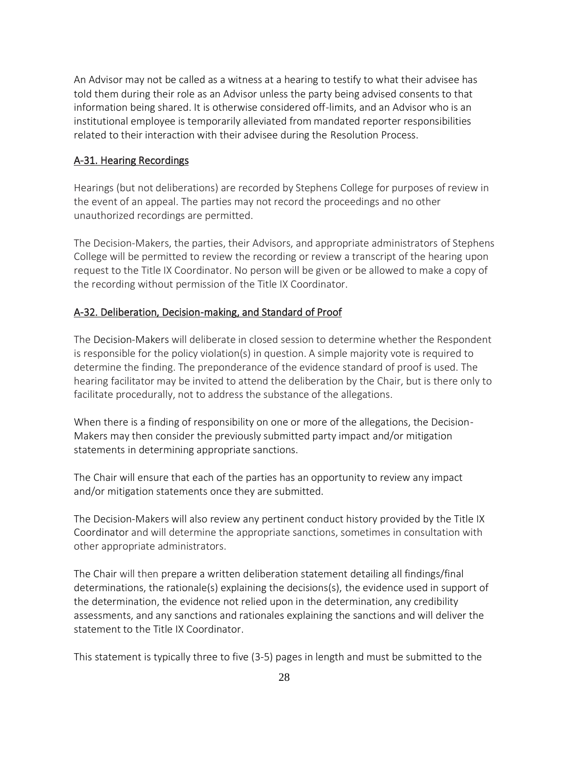An Advisor may not be called as a witness at a hearing to testify to what their advisee has told them during their role as an Advisor unless the party being advised consents to that information being shared. It is otherwise considered off-limits, and an Advisor who is an institutional employee is temporarily alleviated from mandated reporter responsibilities related to their interaction with their advisee during the Resolution Process.

#### A-31. Hearing Recordings

Hearings (but not deliberations) are recorded by Stephens College for purposes of review in the event of an appeal. The parties may not record the proceedings and no other unauthorized recordings are permitted.

The Decision-Makers, the parties, their Advisors, and appropriate administrators of Stephens College will be permitted to review the recording or review a transcript of the hearing upon request to the Title IX Coordinator. No person will be given or be allowed to make a copy of the recording without permission of the Title IX Coordinator.

#### A-32. Deliberation, Decision-making, and Standard of Proof

The Decision-Makers will deliberate in closed session to determine whether the Respondent is responsible for the policy violation(s) in question. A simple majority vote is required to determine the finding. The preponderance of the evidence standard of proof is used. The hearing facilitator may be invited to attend the deliberation by the Chair, but is there only to facilitate procedurally, not to address the substance of the allegations.

When there is a finding of responsibility on one or more of the allegations, the Decision-Makers may then consider the previously submitted party impact and/or mitigation statements in determining appropriate sanctions.

The Chair will ensure that each of the parties has an opportunity to review any impact and/or mitigation statements once they are submitted.

The Decision-Makers will also review any pertinent conduct history provided by the Title IX Coordinator and will determine the appropriate sanctions, sometimes in consultation with other appropriate administrators.

The Chair will then prepare a written deliberation statement detailing all findings/final determinations, the rationale(s) explaining the decisions(s), the evidence used in support of the determination, the evidence not relied upon in the determination, any credibility assessments, and any sanctions and rationales explaining the sanctions and will deliver the statement to the Title IX Coordinator.

This statement is typically three to five (3-5) pages in length and must be submitted to the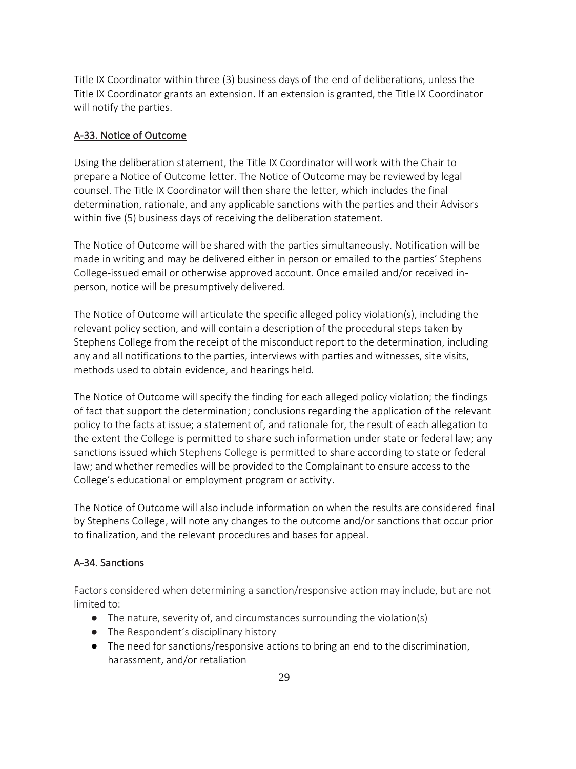Title IX Coordinator within three (3) business days of the end of deliberations, unless the Title IX Coordinator grants an extension. If an extension is granted, the Title IX Coordinator will notify the parties.

### A-33. Notice of Outcome

Using the deliberation statement, the Title IX Coordinator will work with the Chair to prepare a Notice of Outcome letter. The Notice of Outcome may be reviewed by legal counsel. The Title IX Coordinator will then share the letter, which includes the final determination, rationale, and any applicable sanctions with the parties and their Advisors within five (5) business days of receiving the deliberation statement.

The Notice of Outcome will be shared with the parties simultaneously. Notification will be made in writing and may be delivered either in person or emailed to the parties' Stephens College-issued email or otherwise approved account. Once emailed and/or received inperson, notice will be presumptively delivered.

The Notice of Outcome will articulate the specific alleged policy violation(s), including the relevant policy section, and will contain a description of the procedural steps taken by Stephens College from the receipt of the misconduct report to the determination, including any and all notifications to the parties, interviews with parties and witnesses, site visits, methods used to obtain evidence, and hearings held.

The Notice of Outcome will specify the finding for each alleged policy violation; the findings of fact that support the determination; conclusions regarding the application of the relevant policy to the facts at issue; a statement of, and rationale for, the result of each allegation to the extent the College is permitted to share such information under state or federal law; any sanctions issued which Stephens College is permitted to share according to state or federal law; and whether remedies will be provided to the Complainant to ensure access to the College's educational or employment program or activity.

The Notice of Outcome will also include information on when the results are considered final by Stephens College, will note any changes to the outcome and/or sanctions that occur prior to finalization, and the relevant procedures and bases for appeal.

## A-34. Sanctions

Factors considered when determining a sanction/responsive action may include, but are not limited to:

- The nature, severity of, and circumstances surrounding the violation(s)
- The Respondent's disciplinary history
- The need for sanctions/responsive actions to bring an end to the discrimination, harassment, and/or retaliation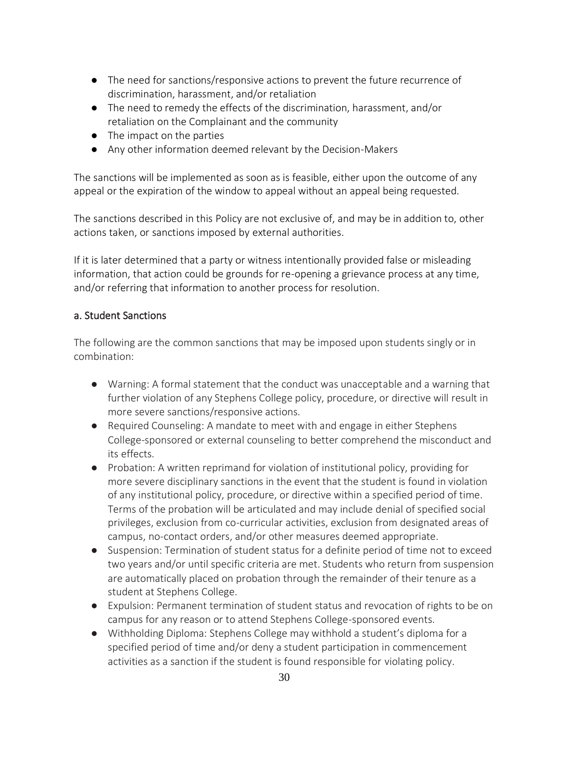- The need for sanctions/responsive actions to prevent the future recurrence of discrimination, harassment, and/or retaliation
- The need to remedy the effects of the discrimination, harassment, and/or retaliation on the Complainant and the community
- The impact on the parties
- Any other information deemed relevant by the Decision-Makers

The sanctions will be implemented as soon as is feasible, either upon the outcome of any appeal or the expiration of the window to appeal without an appeal being requested.

The sanctions described in this Policy are not exclusive of, and may be in addition to, other actions taken, or sanctions imposed by external authorities.

If it is later determined that a party or witness intentionally provided false or misleading information, that action could be grounds for re-opening a grievance process at any time, and/or referring that information to another process for resolution.

## a. Student Sanctions

The following are the common sanctions that may be imposed upon students singly or in combination:

- Warning: A formal statement that the conduct was unacceptable and a warning that further violation of any Stephens College policy, procedure, or directive will result in more severe sanctions/responsive actions.
- Required Counseling: A mandate to meet with and engage in either Stephens College-sponsored or external counseling to better comprehend the misconduct and its effects.
- Probation: A written reprimand for violation of institutional policy, providing for more severe disciplinary sanctions in the event that the student is found in violation of any institutional policy, procedure, or directive within a specified period of time. Terms of the probation will be articulated and may include denial of specified social privileges, exclusion from co-curricular activities, exclusion from designated areas of campus, no-contact orders, and/or other measures deemed appropriate.
- Suspension: Termination of student status for a definite period of time not to exceed two years and/or until specific criteria are met. Students who return from suspension are automatically placed on probation through the remainder of their tenure as a student at Stephens College.
- Expulsion: Permanent termination of student status and revocation of rights to be on campus for any reason or to attend Stephens College-sponsored events.
- Withholding Diploma: Stephens College may withhold a student's diploma for a specified period of time and/or deny a student participation in commencement activities as a sanction if the student is found responsible for violating policy.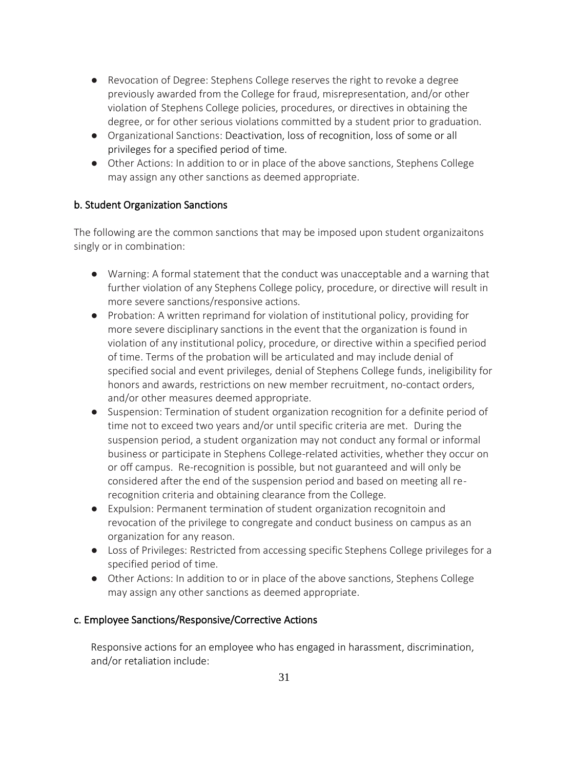- Revocation of Degree: Stephens College reserves the right to revoke a degree previously awarded from the College for fraud, misrepresentation, and/or other violation of Stephens College policies, procedures, or directives in obtaining the degree, or for other serious violations committed by a student prior to graduation.
- Organizational Sanctions: Deactivation, loss of recognition, loss of some or all privileges for a specified period of time.
- Other Actions: In addition to or in place of the above sanctions, Stephens College may assign any other sanctions as deemed appropriate.

## b. Student Organization Sanctions

The following are the common sanctions that may be imposed upon student organizaitons singly or in combination:

- Warning: A formal statement that the conduct was unacceptable and a warning that further violation of any Stephens College policy, procedure, or directive will result in more severe sanctions/responsive actions.
- Probation: A written reprimand for violation of institutional policy, providing for more severe disciplinary sanctions in the event that the organization is found in violation of any institutional policy, procedure, or directive within a specified period of time. Terms of the probation will be articulated and may include denial of specified social and event privileges, denial of Stephens College funds, ineligibility for honors and awards, restrictions on new member recruitment, no-contact orders, and/or other measures deemed appropriate.
- Suspension: Termination of student organization recognition for a definite period of time not to exceed two years and/or until specific criteria are met. During the suspension period, a student organization may not conduct any formal or informal business or participate in Stephens College-related activities, whether they occur on or off campus. Re-recognition is possible, but not guaranteed and will only be considered after the end of the suspension period and based on meeting all rerecognition criteria and obtaining clearance from the College.
- Expulsion: Permanent termination of student organization recognitoin and revocation of the privilege to congregate and conduct business on campus as an organization for any reason.
- Loss of Privileges: Restricted from accessing specific Stephens College privileges for a specified period of time.
- Other Actions: In addition to or in place of the above sanctions, Stephens College may assign any other sanctions as deemed appropriate.

## c. Employee Sanctions/Responsive/Corrective Actions

Responsive actions for an employee who has engaged in harassment, discrimination, and/or retaliation include: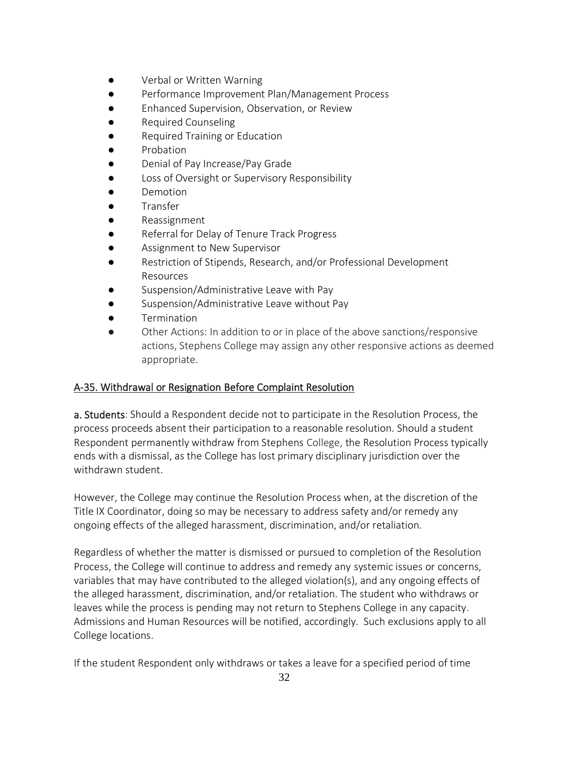- Verbal or Written Warning
- Performance Improvement Plan/Management Process
- Enhanced Supervision, Observation, or Review
- **Required Counseling**
- **Required Training or Education**
- **Probation**
- Denial of Pay Increase/Pay Grade
- Loss of Oversight or Supervisory Responsibility
- **Demotion**
- **Transfer**
- Reassignment
- Referral for Delay of Tenure Track Progress
- Assignment to New Supervisor
- Restriction of Stipends, Research, and/or Professional Development Resources
- Suspension/Administrative Leave with Pay
- Suspension/Administrative Leave without Pay
- **Termination**
- Other Actions: In addition to or in place of the above sanctions/responsive actions, Stephens College may assign any other responsive actions as deemed appropriate.

## A-35. Withdrawal or Resignation Before Complaint Resolution

a. Students: Should a Respondent decide not to participate in the Resolution Process, the process proceeds absent their participation to a reasonable resolution. Should a student Respondent permanently withdraw from Stephens College, the Resolution Process typically ends with a dismissal, as the College has lost primary disciplinary jurisdiction over the withdrawn student.

However, the College may continue the Resolution Process when, at the discretion of the Title IX Coordinator, doing so may be necessary to address safety and/or remedy any ongoing effects of the alleged harassment, discrimination, and/or retaliation.

Regardless of whether the matter is dismissed or pursued to completion of the Resolution Process, the College will continue to address and remedy any systemic issues or concerns, variables that may have contributed to the alleged violation(s), and any ongoing effects of the alleged harassment, discrimination, and/or retaliation. The student who withdraws or leaves while the process is pending may not return to Stephens College in any capacity. Admissions and Human Resources will be notified, accordingly. Such exclusions apply to all College locations.

If the student Respondent only withdraws or takes a leave for a specified period of time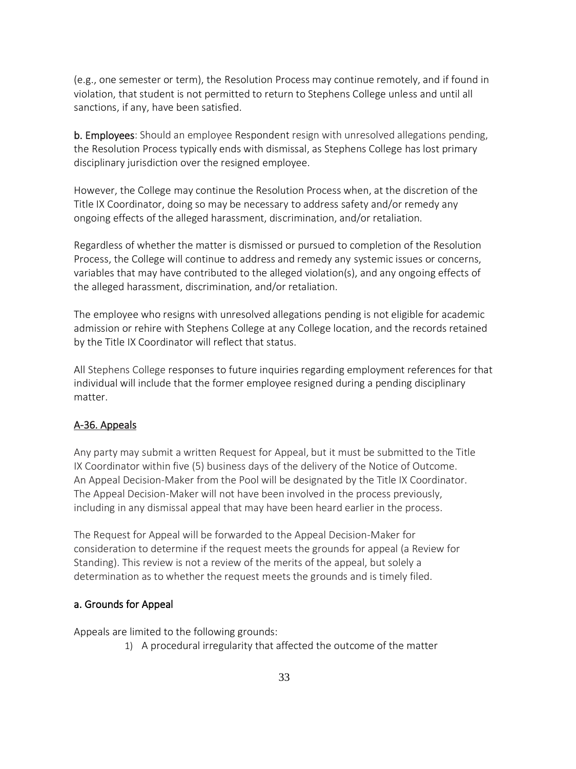(e.g., one semester or term), the Resolution Process may continue remotely, and if found in violation, that student is not permitted to return to Stephens College unless and until all sanctions, if any, have been satisfied.

b. Employees: Should an employee Respondent resign with unresolved allegations pending, the Resolution Process typically ends with dismissal, as Stephens College has lost primary disciplinary jurisdiction over the resigned employee.

However, the College may continue the Resolution Process when, at the discretion of the Title IX Coordinator, doing so may be necessary to address safety and/or remedy any ongoing effects of the alleged harassment, discrimination, and/or retaliation.

Regardless of whether the matter is dismissed or pursued to completion of the Resolution Process, the College will continue to address and remedy any systemic issues or concerns, variables that may have contributed to the alleged violation(s), and any ongoing effects of the alleged harassment, discrimination, and/or retaliation.

The employee who resigns with unresolved allegations pending is not eligible for academic admission or rehire with Stephens College at any College location, and the records retained by the Title IX Coordinator will reflect that status.

All Stephens College responses to future inquiries regarding employment references for that individual will include that the former employee resigned during a pending disciplinary matter.

#### A-36. Appeals

Any party may submit a written Request for Appeal, but it must be submitted to the Title IX Coordinator within five (5) business days of the delivery of the Notice of Outcome. An Appeal Decision-Maker from the Pool will be designated by the Title IX Coordinator. The Appeal Decision-Maker will not have been involved in the process previously, including in any dismissal appeal that may have been heard earlier in the process.

The Request for Appeal will be forwarded to the Appeal Decision-Maker for consideration to determine if the request meets the grounds for appeal (a Review for Standing). This review is not a review of the merits of the appeal, but solely a determination as to whether the request meets the grounds and is timely filed.

#### a. Grounds for Appeal

Appeals are limited to the following grounds:

1) A procedural irregularity that affected the outcome of the matter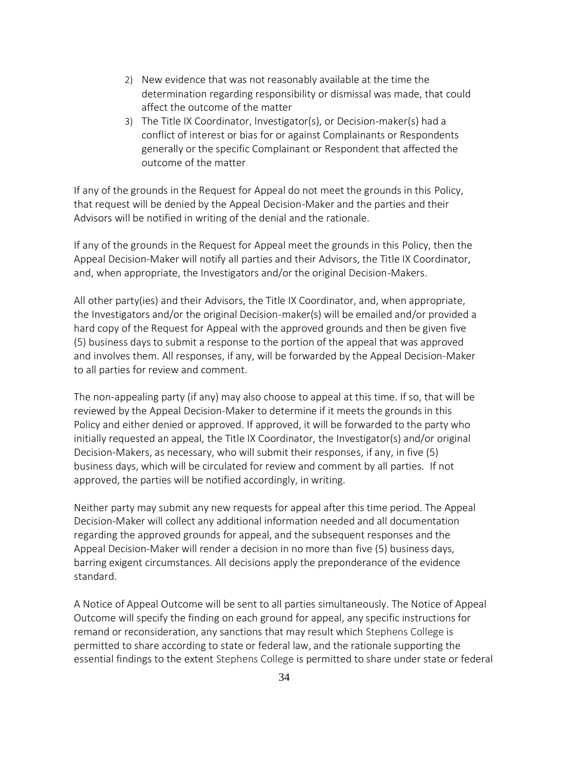- 2) New evidence that was not reasonably available at the time the determination regarding responsibility or dismissal was made, that could affect the outcome of the matter
- 3) The Title IX Coordinator, Investigator(s), or Decision-maker(s) had a conflict of interest or bias for or against Complainants or Respondents generally or the specific Complainant or Respondent that affected the outcome of the matter

If any of the grounds in the Request for Appeal do not meet the grounds in this Policy, that request will be denied by the Appeal Decision-Maker and the parties and their Advisors will be notified in writing of the denial and the rationale.

If any of the grounds in the Request for Appeal meet the grounds in this Policy, then the Appeal Decision-Maker will notify all parties and their Advisors, the Title IX Coordinator, and, when appropriate, the Investigators and/or the original Decision-Makers.

All other party(ies) and their Advisors, the Title IX Coordinator, and, when appropriate, the Investigators and/or the original Decision-maker(s) will be emailed and/or provided a hard copy of the Request for Appeal with the approved grounds and then be given five (5) business days to submit a response to the portion of the appeal that was approved and involves them. All responses, if any, will be forwarded by the Appeal Decision-Maker to all parties for review and comment.

The non-appealing party (if any) may also choose to appeal at this time. If so, that will be reviewed by the Appeal Decision-Maker to determine if it meets the grounds in this Policy and either denied or approved. If approved, it will be forwarded to the party who initially requested an appeal, the Title IX Coordinator, the Investigator(s) and/or original Decision-Makers, as necessary, who will submit their responses, if any, in five (5) business days, which will be circulated for review and comment by all parties. If not approved, the parties will be notified accordingly, in writing.

Neither party may submit any new requests for appeal after this time period. The Appeal Decision-Maker will collect any additional information needed and all documentation regarding the approved grounds for appeal, and the subsequent responses and the Appeal Decision-Maker will render a decision in no more than five (5) business days, barring exigent circumstances. All decisions apply the preponderance of the evidence standard.

A Notice of Appeal Outcome will be sent to all parties simultaneously. The Notice of Appeal Outcome will specify the finding on each ground for appeal, any specific instructions for remand or reconsideration, any sanctions that may result which Stephens College is permitted to share according to state or federal law, and the rationale supporting the essential findings to the extent Stephens College is permitted to share under state or federal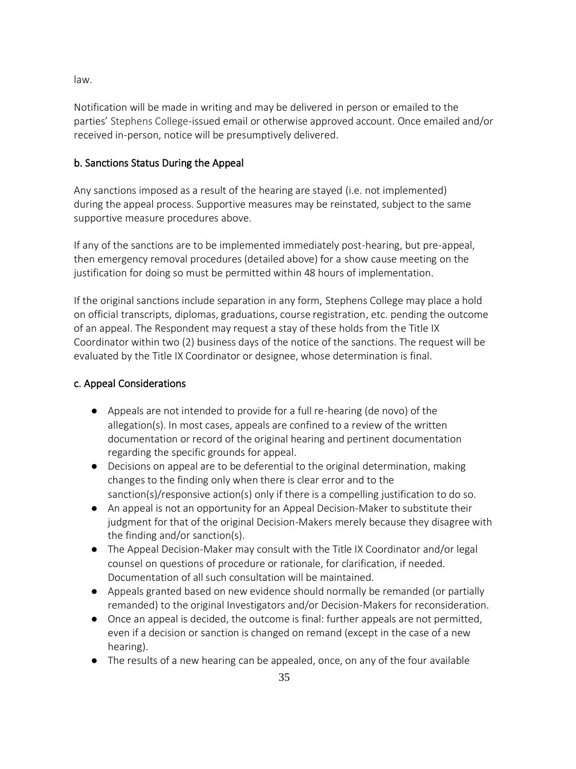law.

Notification will be made in writing and may be delivered in person or emailed to the parties' Stephens College-issued email or otherwise approved account. Once emailed and/or received in-person, notice will be presumptively delivered.

## b. Sanctions Status During the Appeal

Any sanctions imposed as a result of the hearing are stayed (i.e. not implemented) during the appeal process. Supportive measures may be reinstated, subject to the same supportive measure procedures above.

If any of the sanctions are to be implemented immediately post-hearing, but pre-appeal, then emergency removal procedures (detailed above) for a show cause meeting on the justification for doing so must be permitted within 48 hours of implementation.

If the original sanctions include separation in any form, Stephens College may place a hold on official transcripts, diplomas, graduations, course registration, etc. pending the outcome of an appeal. The Respondent may request a stay of these holds from the Title IX Coordinator within two (2) business days of the notice of the sanctions. The request will be evaluated by the Title IX Coordinator or designee, whose determination is final.

## c. Appeal Considerations

- Appeals are not intended to provide for a full re-hearing (de novo) of the allegation(s). In most cases, appeals are confined to a review of the written documentation or record of the original hearing and pertinent documentation regarding the specific grounds for appeal.
- Decisions on appeal are to be deferential to the original determination, making changes to the finding only when there is clear error and to the sanction(s)/responsive action(s) only if there is a compelling justification to do so.
- An appeal is not an opportunity for an Appeal Decision-Maker to substitute their judgment for that of the original Decision-Makers merely because they disagree with the finding and/or sanction(s).
- The Appeal Decision-Maker may consult with the Title IX Coordinator and/or legal counsel on questions of procedure or rationale, for clarification, if needed. Documentation of all such consultation will be maintained.
- Appeals granted based on new evidence should normally be remanded (or partially remanded) to the original Investigators and/or Decision-Makers for reconsideration.
- Once an appeal is decided, the outcome is final: further appeals are not permitted, even if a decision or sanction is changed on remand (except in the case of a new hearing).
- The results of a new hearing can be appealed, once, on any of the four available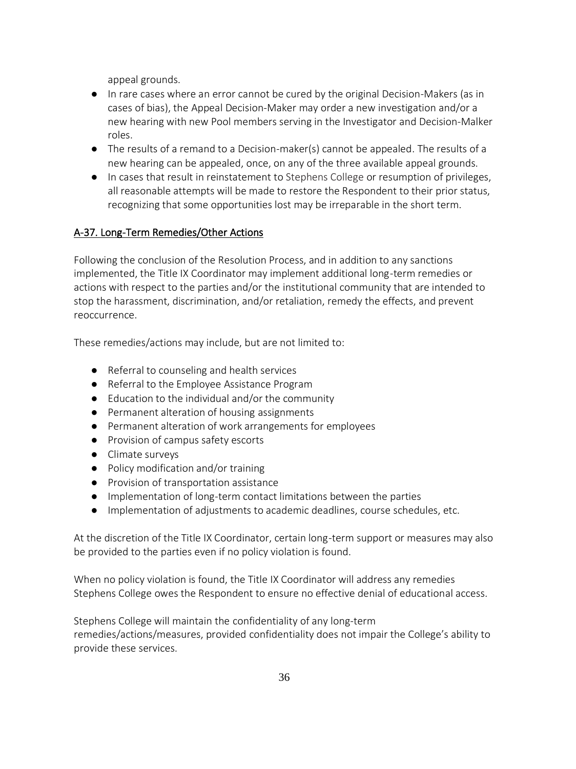appeal grounds.

- In rare cases where an error cannot be cured by the original Decision-Makers (as in cases of bias), the Appeal Decision-Maker may order a new investigation and/or a new hearing with new Pool members serving in the Investigator and Decision-Malker roles.
- The results of a remand to a Decision-maker(s) cannot be appealed. The results of a new hearing can be appealed, once, on any of the three available appeal grounds.
- In cases that result in reinstatement to Stephens College or resumption of privileges, all reasonable attempts will be made to restore the Respondent to their prior status, recognizing that some opportunities lost may be irreparable in the short term.

# A-37. Long-Term Remedies/Other Actions

Following the conclusion of the Resolution Process, and in addition to any sanctions implemented, the Title IX Coordinator may implement additional long-term remedies or actions with respect to the parties and/or the institutional community that are intended to stop the harassment, discrimination, and/or retaliation, remedy the effects, and prevent reoccurrence.

These remedies/actions may include, but are not limited to:

- Referral to counseling and health services
- Referral to the Employee Assistance Program
- Education to the individual and/or the community
- Permanent alteration of housing assignments
- Permanent alteration of work arrangements for employees
- Provision of campus safety escorts
- Climate surveys
- Policy modification and/or training
- Provision of transportation assistance
- Implementation of long-term contact limitations between the parties
- Implementation of adjustments to academic deadlines, course schedules, etc.

At the discretion of the Title IX Coordinator, certain long-term support or measures may also be provided to the parties even if no policy violation is found.

When no policy violation is found, the Title IX Coordinator will address any remedies Stephens College owes the Respondent to ensure no effective denial of educational access.

Stephens College will maintain the confidentiality of any long-term remedies/actions/measures, provided confidentiality does not impair the College's ability to provide these services.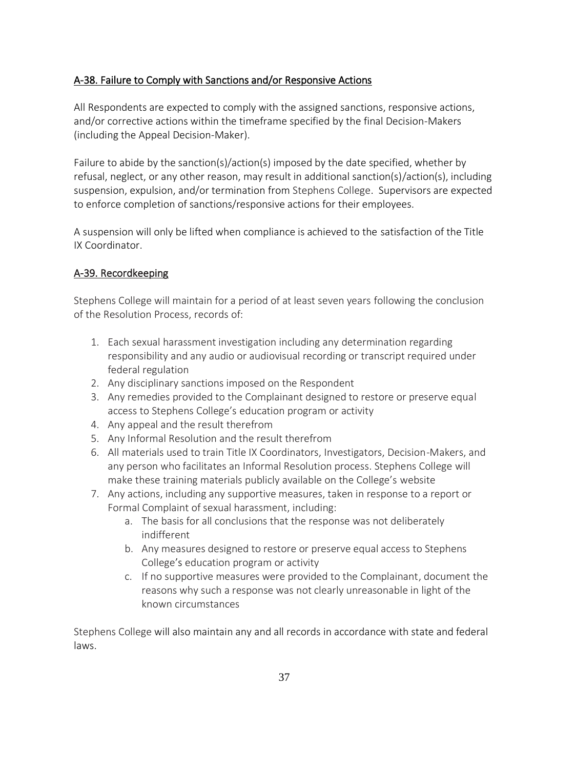## A-38. Failure to Comply with Sanctions and/or Responsive Actions

All Respondents are expected to comply with the assigned sanctions, responsive actions, and/or corrective actions within the timeframe specified by the final Decision-Makers (including the Appeal Decision-Maker).

Failure to abide by the sanction(s)/action(s) imposed by the date specified, whether by refusal, neglect, or any other reason, may result in additional sanction(s)/action(s), including suspension, expulsion, and/or termination from Stephens College. Supervisors are expected to enforce completion of sanctions/responsive actions for their employees.

A suspension will only be lifted when compliance is achieved to the satisfaction of the Title IX Coordinator.

# A-39. Recordkeeping

Stephens College will maintain for a period of at least seven years following the conclusion of the Resolution Process, records of:

- 1. Each sexual harassment investigation including any determination regarding responsibility and any audio or audiovisual recording or transcript required under federal regulation
- 2. Any disciplinary sanctions imposed on the Respondent
- 3. Any remedies provided to the Complainant designed to restore or preserve equal access to Stephens College's education program or activity
- 4. Any appeal and the result therefrom
- 5. Any Informal Resolution and the result therefrom
- 6. All materials used to train Title IX Coordinators, Investigators, Decision-Makers, and any person who facilitates an Informal Resolution process. Stephens College will make these training materials publicly available on the College's website
- 7. Any actions, including any supportive measures, taken in response to a report or Formal Complaint of sexual harassment, including:
	- a. The basis for all conclusions that the response was not deliberately indifferent
	- b. Any measures designed to restore or preserve equal access to Stephens College's education program or activity
	- c. If no supportive measures were provided to the Complainant, document the reasons why such a response was not clearly unreasonable in light of the known circumstances

Stephens College will also maintain any and all records in accordance with state and federal laws.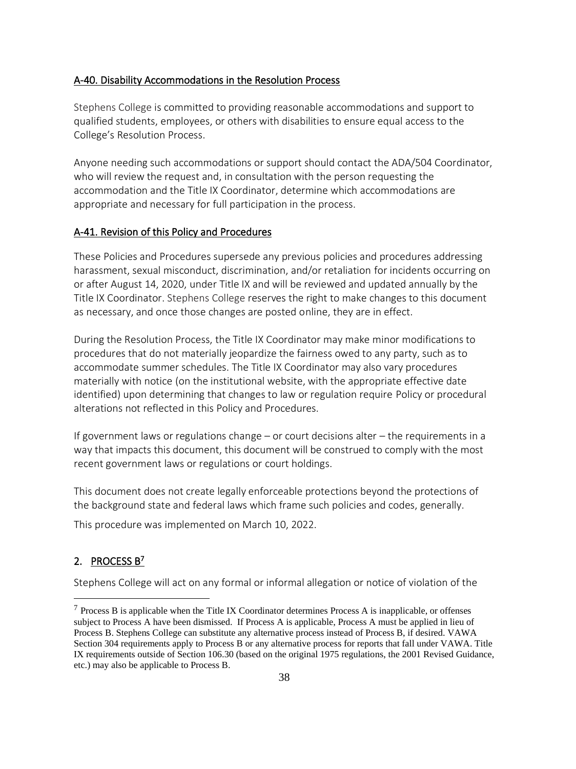#### A-40. Disability Accommodations in the Resolution Process

Stephens College is committed to providing reasonable accommodations and support to qualified students, employees, or others with disabilities to ensure equal access to the College's Resolution Process.

Anyone needing such accommodations or support should contact the ADA/504 Coordinator, who will review the request and, in consultation with the person requesting the accommodation and the Title IX Coordinator, determine which accommodations are appropriate and necessary for full participation in the process.

#### A-41. Revision of this Policy and Procedures

These Policies and Procedures supersede any previous policies and procedures addressing harassment, sexual misconduct, discrimination, and/or retaliation for incidents occurring on or after August 14, 2020, under Title IX and will be reviewed and updated annually by the Title IX Coordinator. Stephens College reserves the right to make changes to this document as necessary, and once those changes are posted online, they are in effect.

During the Resolution Process, the Title IX Coordinator may make minor modifications to procedures that do not materially jeopardize the fairness owed to any party, such as to accommodate summer schedules. The Title IX Coordinator may also vary procedures materially with notice (on the institutional website, with the appropriate effective date identified) upon determining that changes to law or regulation require Policy or procedural alterations not reflected in this Policy and Procedures.

If government laws or regulations change – or court decisions alter – the requirements in a way that impacts this document, this document will be construed to comply with the most recent government laws or regulations or court holdings.

This document does not create legally enforceable protections beyond the protections of the background state and federal laws which frame such policies and codes, generally.

This procedure was implemented on March 10, 2022.

## 2. PROCESS B<sup>7</sup>

Stephens College will act on any formal or informal allegation or notice of violation of the

 $7$  Process B is applicable when the Title IX Coordinator determines Process A is inapplicable, or offenses subject to Process A have been dismissed. If Process A is applicable, Process A must be applied in lieu of Process B. Stephens College can substitute any alternative process instead of Process B, if desired. VAWA Section 304 requirements apply to Process B or any alternative process for reports that fall under VAWA. Title IX requirements outside of Section 106.30 (based on the original 1975 regulations, the 2001 Revised Guidance, etc.) may also be applicable to Process B.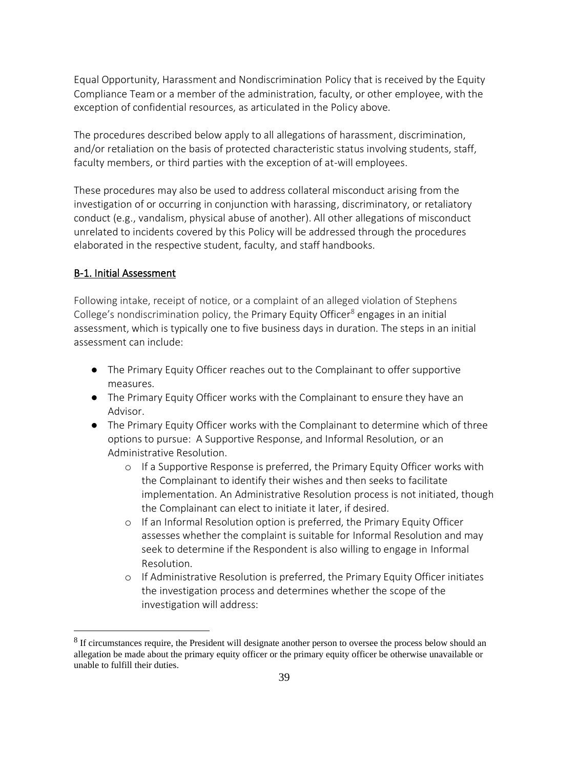Equal Opportunity, Harassment and Nondiscrimination Policy that is received by the Equity Compliance Teamor a member of the administration, faculty, or other employee, with the exception of confidential resources, as articulated in the Policy above.

The procedures described below apply to all allegations of harassment, discrimination, and/or retaliation on the basis of protected characteristic status involving students, staff, faculty members, or third parties with the exception of at-will employees.

These procedures may also be used to address collateral misconduct arising from the investigation of or occurring in conjunction with harassing, discriminatory, or retaliatory conduct (e.g., vandalism, physical abuse of another). All other allegations of misconduct unrelated to incidents covered by this Policy will be addressed through the procedures elaborated in the respective student, faculty, and staff handbooks.

### B-1. Initial Assessment

Following intake, receipt of notice, or a complaint of an alleged violation of Stephens College's nondiscrimination policy, the Primary Equity Officer $<sup>8</sup>$  engages in an initial</sup> assessment, which is typically one to five business days in duration. The steps in an initial assessment can include:

- The Primary Equity Officer reaches out to the Complainant to offer supportive measures.
- The Primary Equity Officer works with the Complainant to ensure they have an Advisor.
- The Primary Equity Officer works with the Complainant to determine which of three options to pursue: A Supportive Response, and Informal Resolution, or an Administrative Resolution.
	- o If a Supportive Response is preferred, the Primary Equity Officer works with the Complainant to identify their wishes and then seeks to facilitate implementation. An Administrative Resolution process is not initiated, though the Complainant can elect to initiate it later, if desired.
	- o If an Informal Resolution option is preferred, the Primary Equity Officer assesses whether the complaint is suitable for Informal Resolution and may seek to determine if the Respondent is also willing to engage in Informal Resolution.
	- $\circ$  If Administrative Resolution is preferred, the Primary Equity Officer initiates the investigation process and determines whether the scope of the investigation will address:

<sup>&</sup>lt;sup>8</sup> If circumstances require, the President will designate another person to oversee the process below should an allegation be made about the primary equity officer or the primary equity officer be otherwise unavailable or unable to fulfill their duties.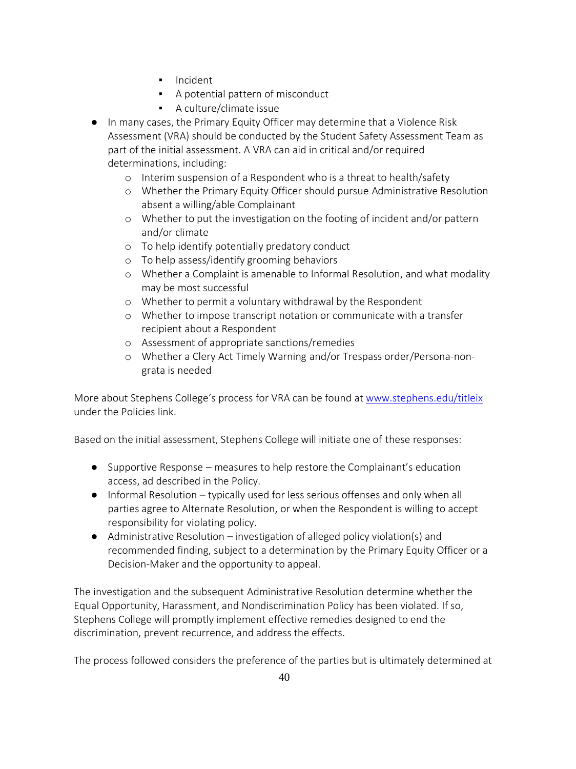- Incident
- A potential pattern of misconduct
- A culture/climate issue
- In many cases, the Primary Equity Officer may determine that a Violence Risk Assessment (VRA) should be conducted by the Student Safety Assessment Team as part of the initial assessment. A VRA can aid in critical and/or required determinations, including:
	- o Interim suspension of a Respondent who is a threat to health/safety
	- o Whether the Primary Equity Officer should pursue Administrative Resolution absent a willing/able Complainant
	- o Whether to put the investigation on the footing of incident and/or pattern and/or climate
	- o To help identify potentially predatory conduct
	- o To help assess/identify grooming behaviors
	- o Whether a Complaint is amenable to Informal Resolution, and what modality may be most successful
	- o Whether to permit a voluntary withdrawal by the Respondent
	- o Whether to impose transcript notation or communicate with a transfer recipient about a Respondent
	- o Assessment of appropriate sanctions/remedies
	- o Whether a Clery Act Timely Warning and/or Trespass order/Persona-nongrata is needed

More about Stephens College's process for VRA can be found a[t www.stephens.edu/titleix](http://www.stephens.edu/titleix) under the Policies link.

Based on the initial assessment, Stephens College will initiate one of these responses:

- Supportive Response measures to help restore the Complainant's education access, ad described in the Policy.
- Informal Resolution typically used for less serious offenses and only when all parties agree to Alternate Resolution, or when the Respondent is willing to accept responsibility for violating policy.
- Administrative Resolution investigation of alleged policy violation(s) and recommended finding, subject to a determination by the Primary Equity Officer or a Decision-Maker and the opportunity to appeal.

The investigation and the subsequent Administrative Resolution determine whether the Equal Opportunity, Harassment, and Nondiscrimination Policy has been violated. If so, Stephens College will promptly implement effective remedies designed to end the discrimination, prevent recurrence, and address the effects.

The process followed considers the preference of the parties but is ultimately determined at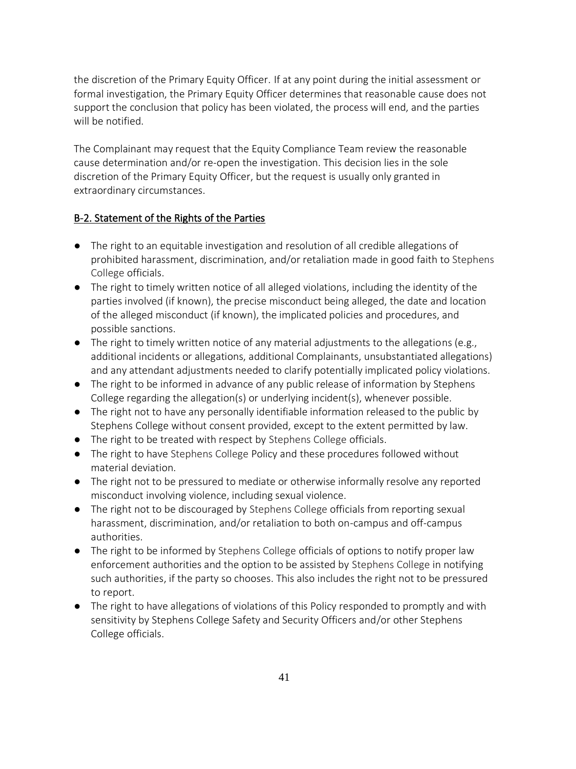the discretion of the Primary Equity Officer. If at any point during the initial assessment or formal investigation, the Primary Equity Officer determines that reasonable cause does not support the conclusion that policy has been violated, the process will end, and the parties will be notified.

The Complainant may request that the Equity Compliance Team review the reasonable cause determination and/or re-open the investigation. This decision lies in the sole discretion of the Primary Equity Officer, but the request is usually only granted in extraordinary circumstances.

## B-2. Statement of the Rights of the Parties

- The right to an equitable investigation and resolution of all credible allegations of prohibited harassment, discrimination, and/or retaliation made in good faith to Stephens College officials.
- The right to timely written notice of all alleged violations, including the identity of the parties involved (if known), the precise misconduct being alleged, the date and location of the alleged misconduct (if known), the implicated policies and procedures, and possible sanctions.
- The right to timely written notice of any material adjustments to the allegations (e.g., additional incidents or allegations, additional Complainants, unsubstantiated allegations) and any attendant adjustments needed to clarify potentially implicated policy violations.
- The right to be informed in advance of any public release of information by Stephens College regarding the allegation(s) or underlying incident(s), whenever possible.
- The right not to have any personally identifiable information released to the public by Stephens College without consent provided, except to the extent permitted by law.
- The right to be treated with respect by Stephens College officials.
- The right to have Stephens College Policy and these procedures followed without material deviation.
- The right not to be pressured to mediate or otherwise informally resolve any reported misconduct involving violence, including sexual violence.
- The right not to be discouraged by Stephens College officials from reporting sexual harassment, discrimination, and/or retaliation to both on-campus and off-campus authorities.
- The right to be informed by Stephens College officials of options to notify proper law enforcement authorities and the option to be assisted by Stephens College in notifying such authorities, if the party so chooses. This also includes the right not to be pressured to report.
- The right to have allegations of violations of this Policy responded to promptly and with sensitivity by Stephens College Safety and Security Officers and/or other Stephens College officials.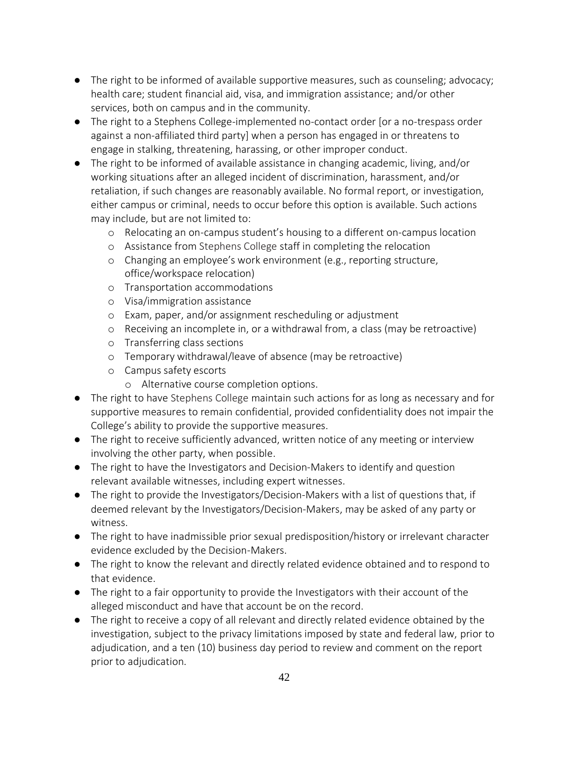- The right to be informed of available supportive measures, such as counseling; advocacy; health care; student financial aid, visa, and immigration assistance; and/or other services, both on campus and in the community.
- The right to a Stephens College-implemented no-contact order [or a no-trespass order against a non-affiliated third party] when a person has engaged in or threatens to engage in stalking, threatening, harassing, or other improper conduct.
- The right to be informed of available assistance in changing academic, living, and/or working situations after an alleged incident of discrimination, harassment, and/or retaliation, if such changes are reasonably available. No formal report, or investigation, either campus or criminal, needs to occur before this option is available. Such actions may include, but are not limited to:
	- o Relocating an on-campus student's housing to a different on-campus location
	- o Assistance from Stephens College staff in completing the relocation
	- o Changing an employee's work environment (e.g., reporting structure, office/workspace relocation)
	- o Transportation accommodations
	- o Visa/immigration assistance
	- o Exam, paper, and/or assignment rescheduling or adjustment
	- o Receiving an incomplete in, or a withdrawal from, a class (may be retroactive)
	- o Transferring class sections
	- o Temporary withdrawal/leave of absence (may be retroactive)
	- o Campus safety escorts
		- o Alternative course completion options.
- The right to have Stephens College maintain such actions for as long as necessary and for supportive measures to remain confidential, provided confidentiality does not impair the College's ability to provide the supportive measures.
- The right to receive sufficiently advanced, written notice of any meeting or interview involving the other party, when possible.
- The right to have the Investigators and Decision-Makers to identify and question relevant available witnesses, including expert witnesses.
- The right to provide the Investigators/Decision-Makers with a list of questions that, if deemed relevant by the Investigators/Decision-Makers, may be asked of any party or witness.
- The right to have inadmissible prior sexual predisposition/history or irrelevant character evidence excluded by the Decision-Makers.
- The right to know the relevant and directly related evidence obtained and to respond to that evidence.
- The right to a fair opportunity to provide the Investigators with their account of the alleged misconduct and have that account be on the record.
- The right to receive a copy of all relevant and directly related evidence obtained by the investigation, subject to the privacy limitations imposed by state and federal law, prior to adjudication, and a ten (10) business day period to review and comment on the report prior to adjudication.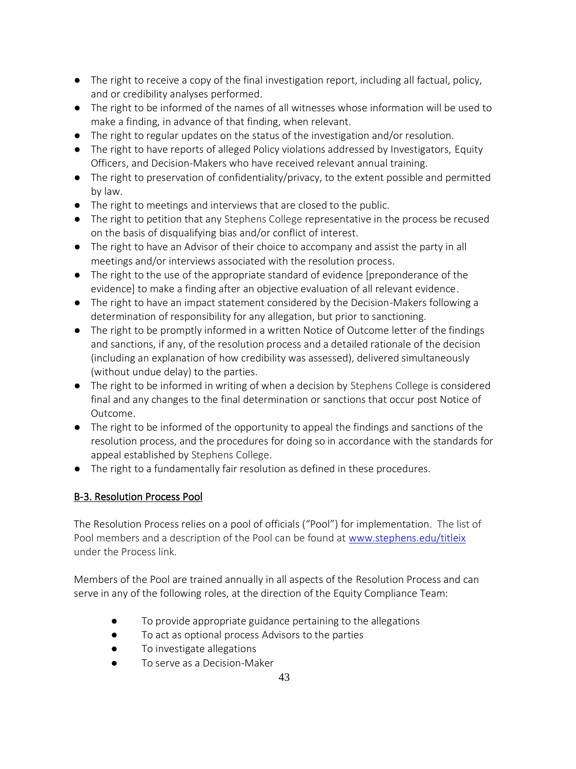- The right to receive a copy of the final investigation report, including all factual, policy, and or credibility analyses performed.
- The right to be informed of the names of all witnesses whose information will be used to make a finding, in advance of that finding, when relevant.
- The right to regular updates on the status of the investigation and/or resolution.
- The right to have reports of alleged Policy violations addressed by Investigators, Equity Officers, and Decision-Makers who have received relevant annual training.
- The right to preservation of confidentiality/privacy, to the extent possible and permitted by law.
- The right to meetings and interviews that are closed to the public.
- The right to petition that any Stephens College representative in the process be recused on the basis of disqualifying bias and/or conflict of interest.
- The right to have an Advisor of their choice to accompany and assist the party in all meetings and/or interviews associated with the resolution process.
- The right to the use of the appropriate standard of evidence [preponderance of the evidence] to make a finding after an objective evaluation of all relevant evidence.
- The right to have an impact statement considered by the Decision-Makers following a determination of responsibility for any allegation, but prior to sanctioning.
- The right to be promptly informed in a written Notice of Outcome letter of the findings and sanctions, if any, of the resolution process and a detailed rationale of the decision (including an explanation of how credibility was assessed), delivered simultaneously (without undue delay) to the parties.
- The right to be informed in writing of when a decision by Stephens College is considered final and any changes to the final determination or sanctions that occur post Notice of Outcome.
- The right to be informed of the opportunity to appeal the findings and sanctions of the resolution process, and the procedures for doing so in accordance with the standards for appeal established by Stephens College.
- The right to a fundamentally fair resolution as defined in these procedures.

# B-3. Resolution Process Pool

The Resolution Process relies on a pool of officials ("Pool") for implementation. The list of Pool members and a description of the Pool can be found at [www.stephens.edu/titleix](http://www.stephens.edu/titleix) under the Process link.

Members of the Pool are trained annually in all aspects of the Resolution Process and can serve in any of the following roles, at the direction of the Equity Compliance Team:

- To provide appropriate guidance pertaining to the allegations
- To act as optional process Advisors to the parties
- To investigate allegations
- To serve as a Decision-Maker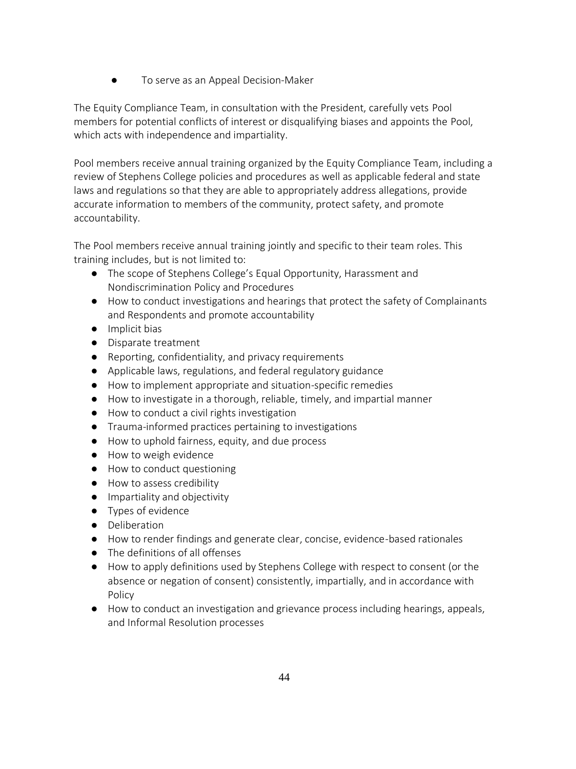● To serve as an Appeal Decision-Maker

The Equity Compliance Team, in consultation with the President, carefully vets Pool members for potential conflicts of interest or disqualifying biases and appoints the Pool, which acts with independence and impartiality.

Pool members receive annual training organized by the Equity Compliance Team, including a review of Stephens College policies and procedures as well as applicable federal and state laws and regulations so that they are able to appropriately address allegations, provide accurate information to members of the community, protect safety, and promote accountability.

The Pool members receive annual training jointly and specific to their team roles. This training includes, but is not limited to:

- The scope of Stephens College's Equal Opportunity, Harassment and Nondiscrimination Policy and Procedures
- How to conduct investigations and hearings that protect the safety of Complainants and Respondents and promote accountability
- Implicit bias
- Disparate treatment
- Reporting, confidentiality, and privacy requirements
- Applicable laws, regulations, and federal regulatory guidance
- How to implement appropriate and situation-specific remedies
- How to investigate in a thorough, reliable, timely, and impartial manner
- How to conduct a civil rights investigation
- Trauma-informed practices pertaining to investigations
- How to uphold fairness, equity, and due process
- How to weigh evidence
- How to conduct questioning
- How to assess credibility
- Impartiality and objectivity
- Types of evidence
- Deliberation
- How to render findings and generate clear, concise, evidence-based rationales
- The definitions of all offenses
- How to apply definitions used by Stephens College with respect to consent (or the absence or negation of consent) consistently, impartially, and in accordance with Policy
- How to conduct an investigation and grievance process including hearings, appeals, and Informal Resolution processes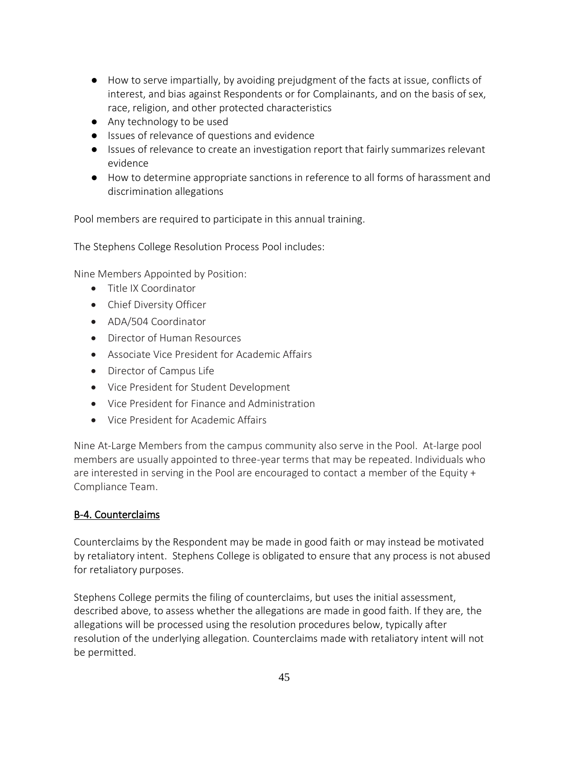- How to serve impartially, by avoiding prejudgment of the facts at issue, conflicts of interest, and bias against Respondents or for Complainants, and on the basis of sex, race, religion, and other protected characteristics
- Any technology to be used
- Issues of relevance of questions and evidence
- Issues of relevance to create an investigation report that fairly summarizes relevant evidence
- How to determine appropriate sanctions in reference to all forms of harassment and discrimination allegations

Pool members are required to participate in this annual training.

The Stephens College Resolution Process Pool includes:

Nine Members Appointed by Position:

- Title IX Coordinator
- Chief Diversity Officer
- ADA/504 Coordinator
- Director of Human Resources
- Associate Vice President for Academic Affairs
- Director of Campus Life
- Vice President for Student Development
- Vice President for Finance and Administration
- Vice President for Academic Affairs

Nine At-Large Members from the campus community also serve in the Pool. At-large pool members are usually appointed to three-year terms that may be repeated. Individuals who are interested in serving in the Pool are encouraged to contact a member of the Equity + Compliance Team.

#### B-4. Counterclaims

Counterclaims by the Respondent may be made in good faith or may instead be motivated by retaliatory intent. Stephens College is obligated to ensure that any process is not abused for retaliatory purposes.

Stephens College permits the filing of counterclaims, but uses the initial assessment, described above, to assess whether the allegations are made in good faith. If they are, the allegations will be processed using the resolution procedures below, typically after resolution of the underlying allegation. Counterclaims made with retaliatory intent will not be permitted.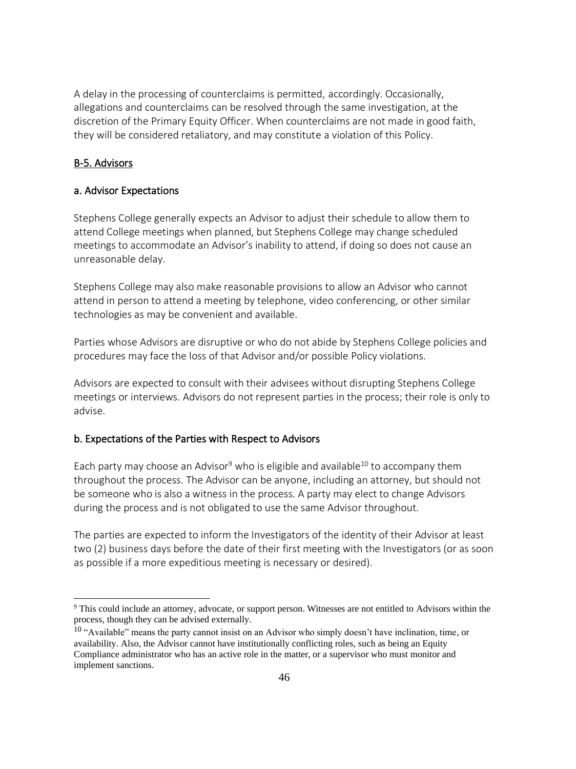A delay in the processing of counterclaims is permitted, accordingly. Occasionally, allegations and counterclaims can be resolved through the same investigation, at the discretion of the Primary Equity Officer. When counterclaims are not made in good faith, they will be considered retaliatory, and may constitute a violation of this Policy.

## B-5. Advisors

## a. Advisor Expectations

Stephens College generally expects an Advisor to adjust their schedule to allow them to attend College meetings when planned, but Stephens College may change scheduled meetings to accommodate an Advisor's inability to attend, if doing so does not cause an unreasonable delay.

Stephens College may also make reasonable provisions to allow an Advisor who cannot attend in person to attend a meeting by telephone, video conferencing, or other similar technologies as may be convenient and available.

Parties whose Advisors are disruptive or who do not abide by Stephens College policies and procedures may face the loss of that Advisor and/or possible Policy violations.

Advisors are expected to consult with their advisees without disrupting Stephens College meetings or interviews. Advisors do not represent parties in the process; their role is only to advise.

### b. Expectations of the Parties with Respect to Advisors

Each party may choose an Advisor<sup>9</sup> who is eligible and available<sup>10</sup> to accompany them throughout the process. The Advisor can be anyone, including an attorney, but should not be someone who is also a witness in the process. A party may elect to change Advisors during the process and is not obligated to use the same Advisor throughout.

The parties are expected to inform the Investigators of the identity of their Advisor at least two (2) business days before the date of their first meeting with the Investigators (or as soon as possible if a more expeditious meeting is necessary or desired).

<sup>&</sup>lt;sup>9</sup> This could include an attorney, advocate, or support person. Witnesses are not entitled to Advisors within the process, though they can be advised externally.

<sup>&</sup>lt;sup>10</sup> "Available" means the party cannot insist on an Advisor who simply doesn't have inclination, time, or availability. Also, the Advisor cannot have institutionally conflicting roles, such as being an Equity Compliance administrator who has an active role in the matter, or a supervisor who must monitor and implement sanctions.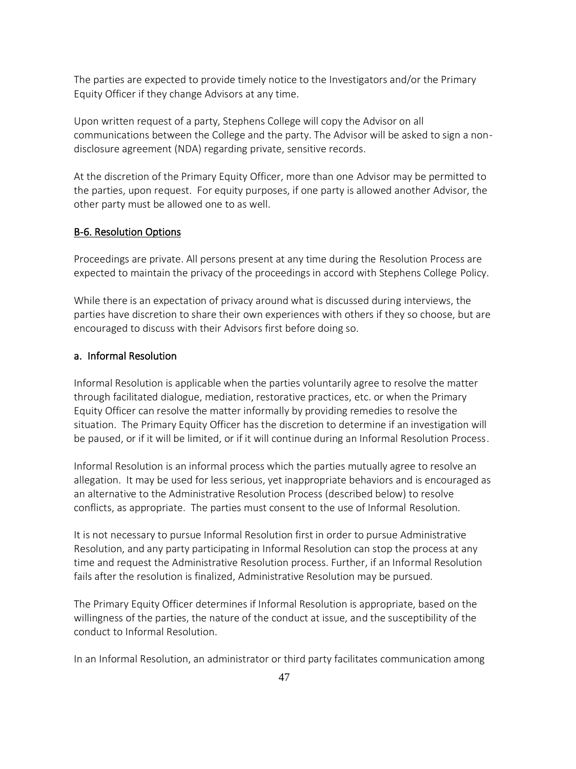The parties are expected to provide timely notice to the Investigators and/or the Primary Equity Officer if they change Advisors at any time.

Upon written request of a party, Stephens College will copy the Advisor on all communications between the College and the party. The Advisor will be asked to sign a nondisclosure agreement (NDA) regarding private, sensitive records.

At the discretion of the Primary Equity Officer, more than one Advisor may be permitted to the parties, upon request. For equity purposes, if one party is allowed another Advisor, the other party must be allowed one to as well.

#### B-6. Resolution Options

Proceedings are private. All persons present at any time during the Resolution Process are expected to maintain the privacy of the proceedings in accord with Stephens College Policy.

While there is an expectation of privacy around what is discussed during interviews, the parties have discretion to share their own experiences with others if they so choose, but are encouraged to discuss with their Advisors first before doing so.

### a. Informal Resolution

Informal Resolution is applicable when the parties voluntarily agree to resolve the matter through facilitated dialogue, mediation, restorative practices, etc. or when the Primary Equity Officer can resolve the matter informally by providing remedies to resolve the situation. The Primary Equity Officer has the discretion to determine if an investigation will be paused, or if it will be limited, or if it will continue during an Informal Resolution Process.

Informal Resolution is an informal process which the parties mutually agree to resolve an allegation. It may be used for less serious, yet inappropriate behaviors and is encouraged as an alternative to the Administrative Resolution Process (described below) to resolve conflicts, as appropriate. The parties must consent to the use of Informal Resolution.

It is not necessary to pursue Informal Resolution first in order to pursue Administrative Resolution, and any party participating in Informal Resolution can stop the process at any time and request the Administrative Resolution process. Further, if an Informal Resolution fails after the resolution is finalized, Administrative Resolution may be pursued.

The Primary Equity Officer determines if Informal Resolution is appropriate, based on the willingness of the parties, the nature of the conduct at issue, and the susceptibility of the conduct to Informal Resolution.

In an Informal Resolution, an administrator or third party facilitates communication among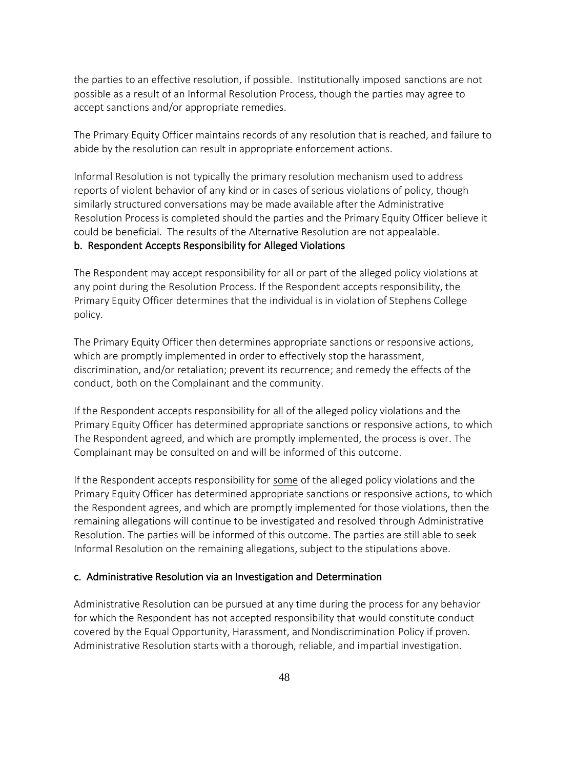the parties to an effective resolution, if possible. Institutionally imposed sanctions are not possible as a result of an Informal Resolution Process, though the parties may agree to accept sanctions and/or appropriate remedies.

The Primary Equity Officer maintains records of any resolution that is reached, and failure to abide by the resolution can result in appropriate enforcement actions.

Informal Resolution is not typically the primary resolution mechanism used to address reports of violent behavior of any kind or in cases of serious violations of policy, though similarly structured conversations may be made available after the Administrative Resolution Process is completed should the parties and the Primary Equity Officer believe it could be beneficial. The results of the Alternative Resolution are not appealable.

### b. Respondent Accepts Responsibility for Alleged Violations

The Respondent may accept responsibility for all or part of the alleged policy violations at any point during the Resolution Process. If the Respondent accepts responsibility, the Primary Equity Officer determines that the individual is in violation of Stephens College policy.

The Primary Equity Officer then determines appropriate sanctions or responsive actions, which are promptly implemented in order to effectively stop the harassment, discrimination, and/or retaliation; prevent its recurrence; and remedy the effects of the conduct, both on the Complainant and the community.

If the Respondent accepts responsibility for all of the alleged policy violations and the Primary Equity Officer has determined appropriate sanctions or responsive actions, to which The Respondent agreed, and which are promptly implemented, the process is over. The Complainant may be consulted on and will be informed of this outcome.

If the Respondent accepts responsibility for some of the alleged policy violations and the Primary Equity Officer has determined appropriate sanctions or responsive actions, to which the Respondent agrees, and which are promptly implemented for those violations, then the remaining allegations will continue to be investigated and resolved through Administrative Resolution. The parties will be informed of this outcome. The parties are still able to seek Informal Resolution on the remaining allegations, subject to the stipulations above.

#### c. Administrative Resolution via an Investigation and Determination

Administrative Resolution can be pursued at any time during the process for any behavior for which the Respondent has not accepted responsibility that would constitute conduct covered by the Equal Opportunity, Harassment, and Nondiscrimination Policy if proven. Administrative Resolution starts with a thorough, reliable, and impartial investigation.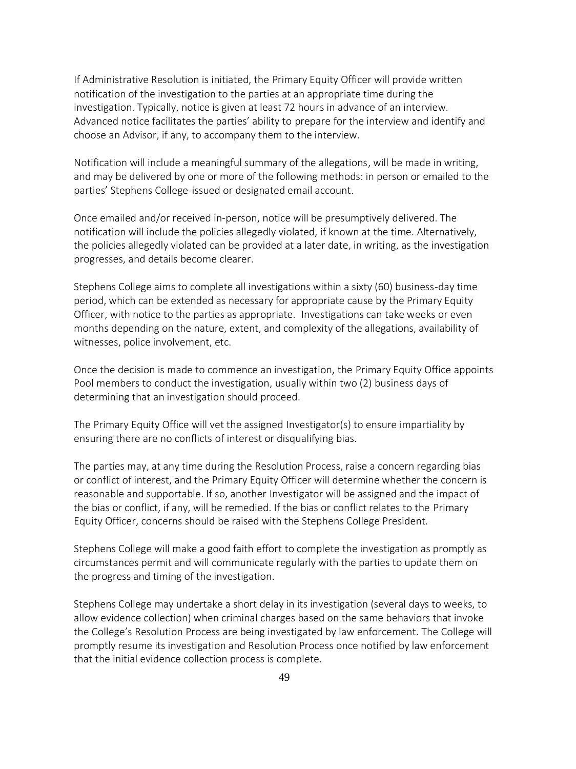If Administrative Resolution is initiated, the Primary Equity Officer will provide written notification of the investigation to the parties at an appropriate time during the investigation. Typically, notice is given at least 72 hours in advance of an interview. Advanced notice facilitates the parties' ability to prepare for the interview and identify and choose an Advisor, if any, to accompany them to the interview.

Notification will include a meaningful summary of the allegations, will be made in writing, and may be delivered by one or more of the following methods: in person or emailed to the parties' Stephens College-issued or designated email account.

Once emailed and/or received in-person, notice will be presumptively delivered. The notification will include the policies allegedly violated, if known at the time. Alternatively, the policies allegedly violated can be provided at a later date, in writing, as the investigation progresses, and details become clearer.

Stephens College aims to complete all investigations within a sixty (60) business-day time period, which can be extended as necessary for appropriate cause by the Primary Equity Officer, with notice to the parties as appropriate. Investigations can take weeks or even months depending on the nature, extent, and complexity of the allegations, availability of witnesses, police involvement, etc.

Once the decision is made to commence an investigation, the Primary Equity Office appoints Pool members to conduct the investigation, usually within two (2) business days of determining that an investigation should proceed.

The Primary Equity Office will vet the assigned Investigator(s) to ensure impartiality by ensuring there are no conflicts of interest or disqualifying bias.

The parties may, at any time during the Resolution Process, raise a concern regarding bias or conflict of interest, and the Primary Equity Officer will determine whether the concern is reasonable and supportable. If so, another Investigator will be assigned and the impact of the bias or conflict, if any, will be remedied. If the bias or conflict relates to the Primary Equity Officer, concerns should be raised with the Stephens College President.

Stephens College will make a good faith effort to complete the investigation as promptly as circumstances permit and will communicate regularly with the parties to update them on the progress and timing of the investigation.

Stephens College may undertake a short delay in its investigation (several days to weeks, to allow evidence collection) when criminal charges based on the same behaviors that invoke the College's Resolution Process are being investigated by law enforcement. The College will promptly resume its investigation and Resolution Process once notified by law enforcement that the initial evidence collection process is complete.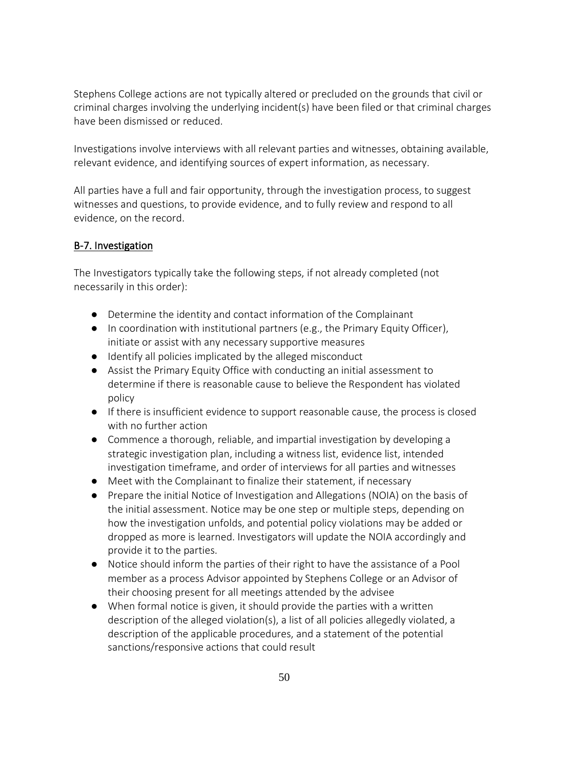Stephens College actions are not typically altered or precluded on the grounds that civil or criminal charges involving the underlying incident(s) have been filed or that criminal charges have been dismissed or reduced.

Investigations involve interviews with all relevant parties and witnesses, obtaining available, relevant evidence, and identifying sources of expert information, as necessary.

All parties have a full and fair opportunity, through the investigation process, to suggest witnesses and questions, to provide evidence, and to fully review and respond to all evidence, on the record.

# B-7. Investigation

The Investigators typically take the following steps, if not already completed (not necessarily in this order):

- Determine the identity and contact information of the Complainant
- In coordination with institutional partners (e.g., the Primary Equity Officer), initiate or assist with any necessary supportive measures
- Identify all policies implicated by the alleged misconduct
- Assist the Primary Equity Office with conducting an initial assessment to determine if there is reasonable cause to believe the Respondent has violated policy
- If there is insufficient evidence to support reasonable cause, the process is closed with no further action
- Commence a thorough, reliable, and impartial investigation by developing a strategic investigation plan, including a witness list, evidence list, intended investigation timeframe, and order of interviews for all parties and witnesses
- Meet with the Complainant to finalize their statement, if necessary
- Prepare the initial Notice of Investigation and Allegations (NOIA) on the basis of the initial assessment. Notice may be one step or multiple steps, depending on how the investigation unfolds, and potential policy violations may be added or dropped as more is learned. Investigators will update the NOIA accordingly and provide it to the parties.
- Notice should inform the parties of their right to have the assistance of a Pool member as a process Advisor appointed by Stephens College or an Advisor of their choosing present for all meetings attended by the advisee
- When formal notice is given, it should provide the parties with a written description of the alleged violation(s), a list of all policies allegedly violated, a description of the applicable procedures, and a statement of the potential sanctions/responsive actions that could result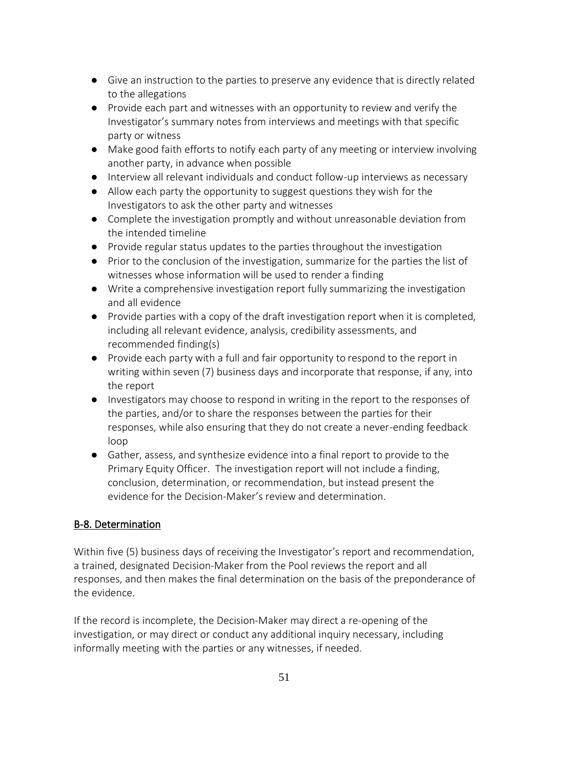- Give an instruction to the parties to preserve any evidence that is directly related to the allegations
- Provide each part and witnesses with an opportunity to review and verify the Investigator's summary notes from interviews and meetings with that specific party or witness
- Make good faith efforts to notify each party of any meeting or interview involving another party, in advance when possible
- Interview all relevant individuals and conduct follow-up interviews as necessary
- Allow each party the opportunity to suggest questions they wish for the Investigators to ask the other party and witnesses
- Complete the investigation promptly and without unreasonable deviation from the intended timeline
- Provide regular status updates to the parties throughout the investigation
- Prior to the conclusion of the investigation, summarize for the parties the list of witnesses whose information will be used to render a finding
- Write a comprehensive investigation report fully summarizing the investigation and all evidence
- Provide parties with a copy of the draft investigation report when it is completed, including all relevant evidence, analysis, credibility assessments, and recommended finding(s)
- Provide each party with a full and fair opportunity to respond to the report in writing within seven (7) business days and incorporate that response, if any, into the report
- Investigators may choose to respond in writing in the report to the responses of the parties, and/or to share the responses between the parties for their responses, while also ensuring that they do not create a never-ending feedback loop
- Gather, assess, and synthesize evidence into a final report to provide to the Primary Equity Officer. The investigation report will not include a finding, conclusion, determination, or recommendation, but instead present the evidence for the Decision-Maker's review and determination.

# B-8. Determination

Within five (5) business days of receiving the Investigator's report and recommendation, a trained, designated Decision-Maker from the Pool reviews the report and all responses, and then makes the final determination on the basis of the preponderance of the evidence.

If the record is incomplete, the Decision-Maker may direct a re-opening of the investigation, or may direct or conduct any additional inquiry necessary, including informally meeting with the parties or any witnesses, if needed.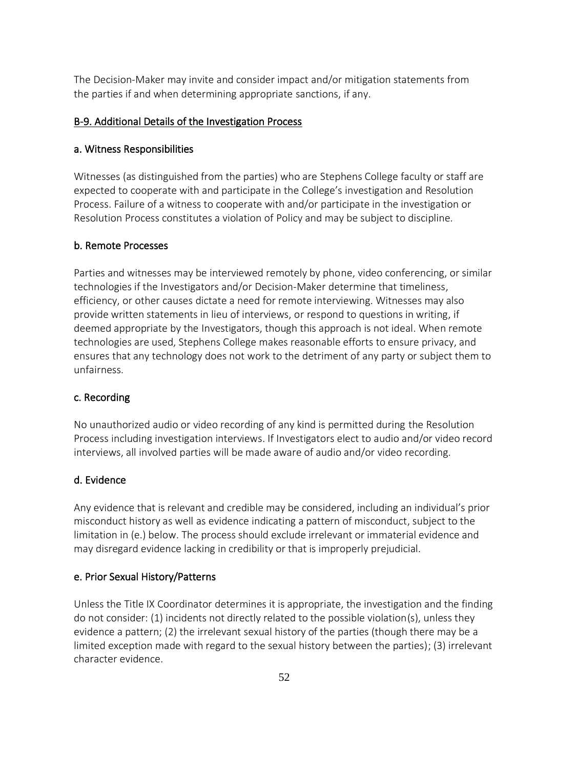The Decision-Maker may invite and consider impact and/or mitigation statements from the parties if and when determining appropriate sanctions, if any.

#### B-9. Additional Details of the Investigation Process

#### a. Witness Responsibilities

Witnesses (as distinguished from the parties) who are Stephens College faculty or staff are expected to cooperate with and participate in the College's investigation and Resolution Process. Failure of a witness to cooperate with and/or participate in the investigation or Resolution Process constitutes a violation of Policy and may be subject to discipline.

#### b. Remote Processes

Parties and witnesses may be interviewed remotely by phone, video conferencing, or similar technologies if the Investigators and/or Decision-Maker determine that timeliness, efficiency, or other causes dictate a need for remote interviewing. Witnesses may also provide written statements in lieu of interviews, or respond to questions in writing, if deemed appropriate by the Investigators, though this approach is not ideal. When remote technologies are used, Stephens College makes reasonable efforts to ensure privacy, and ensures that any technology does not work to the detriment of any party or subject them to unfairness.

#### c. Recording

No unauthorized audio or video recording of any kind is permitted during the Resolution Process including investigation interviews. If Investigators elect to audio and/or video record interviews, all involved parties will be made aware of audio and/or video recording.

### d. Evidence

Any evidence that is relevant and credible may be considered, including an individual's prior misconduct history as well as evidence indicating a pattern of misconduct, subject to the limitation in (e.) below. The process should exclude irrelevant or immaterial evidence and may disregard evidence lacking in credibility or that is improperly prejudicial.

### e. Prior Sexual History/Patterns

Unless the Title IX Coordinator determines it is appropriate, the investigation and the finding do not consider: (1) incidents not directly related to the possible violation(s), unless they evidence a pattern; (2) the irrelevant sexual history of the parties (though there may be a limited exception made with regard to the sexual history between the parties); (3) irrelevant character evidence.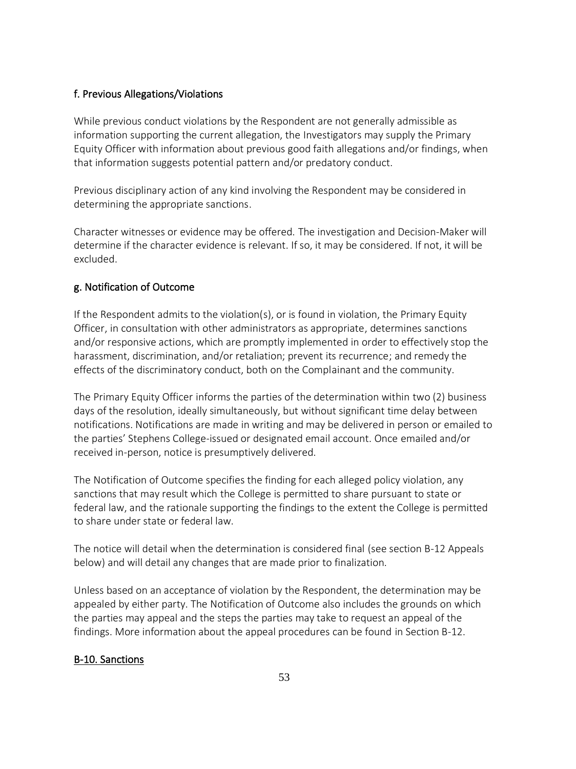# f. Previous Allegations/Violations

While previous conduct violations by the Respondent are not generally admissible as information supporting the current allegation, the Investigators may supply the Primary Equity Officer with information about previous good faith allegations and/or findings, when that information suggests potential pattern and/or predatory conduct.

Previous disciplinary action of any kind involving the Respondent may be considered in determining the appropriate sanctions.

Character witnesses or evidence may be offered. The investigation and Decision-Maker will determine if the character evidence is relevant. If so, it may be considered. If not, it will be excluded.

# g. Notification of Outcome

If the Respondent admits to the violation(s), or is found in violation, the Primary Equity Officer, in consultation with other administrators as appropriate, determines sanctions and/or responsive actions, which are promptly implemented in order to effectively stop the harassment, discrimination, and/or retaliation; prevent its recurrence; and remedy the effects of the discriminatory conduct, both on the Complainant and the community.

The Primary Equity Officer informs the parties of the determination within two (2) business days of the resolution, ideally simultaneously, but without significant time delay between notifications. Notifications are made in writing and may be delivered in person or emailed to the parties' Stephens College-issued or designated email account. Once emailed and/or received in-person, notice is presumptively delivered.

The Notification of Outcome specifies the finding for each alleged policy violation, any sanctions that may result which the College is permitted to share pursuant to state or federal law, and the rationale supporting the findings to the extent the College is permitted to share under state or federal law.

The notice will detail when the determination is considered final (see section B-12 Appeals below) and will detail any changes that are made prior to finalization.

Unless based on an acceptance of violation by the Respondent, the determination may be appealed by either party. The Notification of Outcome also includes the grounds on which the parties may appeal and the steps the parties may take to request an appeal of the findings. More information about the appeal procedures can be found in Section B-12.

## B-10. Sanctions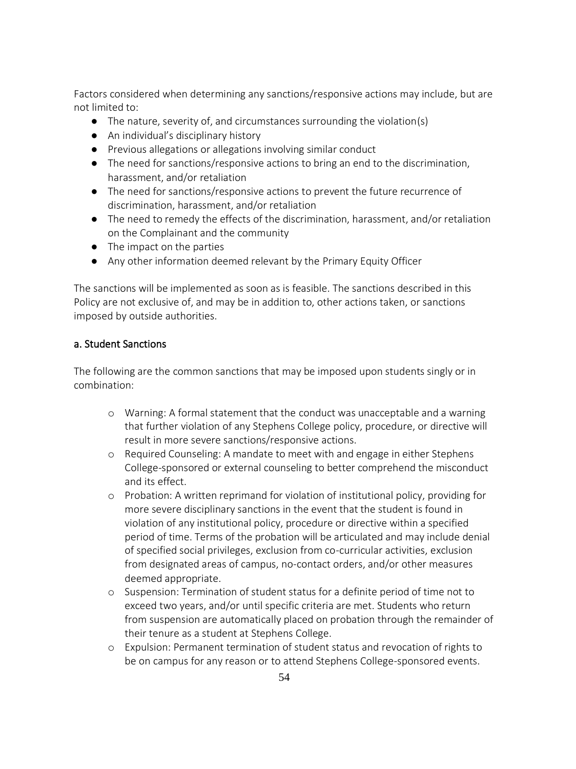Factors considered when determining any sanctions/responsive actions may include, but are not limited to:

- The nature, severity of, and circumstances surrounding the violation(s)
- An individual's disciplinary history
- Previous allegations or allegations involving similar conduct
- The need for sanctions/responsive actions to bring an end to the discrimination, harassment, and/or retaliation
- The need for sanctions/responsive actions to prevent the future recurrence of discrimination, harassment, and/or retaliation
- The need to remedy the effects of the discrimination, harassment, and/or retaliation on the Complainant and the community
- The impact on the parties
- Any other information deemed relevant by the Primary Equity Officer

The sanctions will be implemented as soon as is feasible. The sanctions described in this Policy are not exclusive of, and may be in addition to, other actions taken, or sanctions imposed by outside authorities.

## a. Student Sanctions

The following are the common sanctions that may be imposed upon students singly or in combination:

- o Warning: A formal statement that the conduct was unacceptable and a warning that further violation of any Stephens College policy, procedure, or directive will result in more severe sanctions/responsive actions.
- o Required Counseling: A mandate to meet with and engage in either Stephens College-sponsored or external counseling to better comprehend the misconduct and its effect.
- o Probation: A written reprimand for violation of institutional policy, providing for more severe disciplinary sanctions in the event that the student is found in violation of any institutional policy, procedure or directive within a specified period of time. Terms of the probation will be articulated and may include denial of specified social privileges, exclusion from co-curricular activities, exclusion from designated areas of campus, no-contact orders, and/or other measures deemed appropriate.
- o Suspension: Termination of student status for a definite period of time not to exceed two years, and/or until specific criteria are met. Students who return from suspension are automatically placed on probation through the remainder of their tenure as a student at Stephens College.
- o Expulsion: Permanent termination of student status and revocation of rights to be on campus for any reason or to attend Stephens College-sponsored events.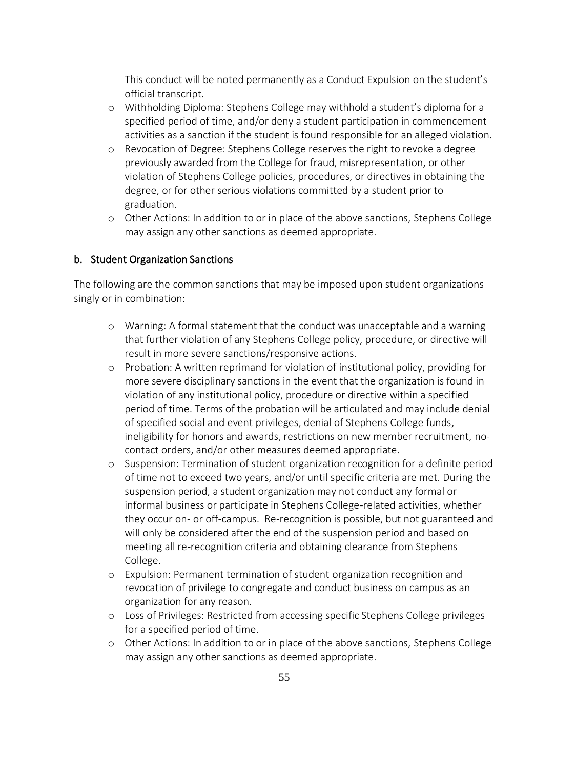This conduct will be noted permanently as a Conduct Expulsion on the student's official transcript.

- o Withholding Diploma: Stephens College may withhold a student's diploma for a specified period of time, and/or deny a student participation in commencement activities as a sanction if the student is found responsible for an alleged violation.
- o Revocation of Degree: Stephens College reserves the right to revoke a degree previously awarded from the College for fraud, misrepresentation, or other violation of Stephens College policies, procedures, or directives in obtaining the degree, or for other serious violations committed by a student prior to graduation.
- o Other Actions: In addition to or in place of the above sanctions, Stephens College may assign any other sanctions as deemed appropriate.

#### b. Student Organization Sanctions

The following are the common sanctions that may be imposed upon student organizations singly or in combination:

- o Warning: A formal statement that the conduct was unacceptable and a warning that further violation of any Stephens College policy, procedure, or directive will result in more severe sanctions/responsive actions.
- o Probation: A written reprimand for violation of institutional policy, providing for more severe disciplinary sanctions in the event that the organization is found in violation of any institutional policy, procedure or directive within a specified period of time. Terms of the probation will be articulated and may include denial of specified social and event privileges, denial of Stephens College funds, ineligibility for honors and awards, restrictions on new member recruitment, nocontact orders, and/or other measures deemed appropriate.
- o Suspension: Termination of student organization recognition for a definite period of time not to exceed two years, and/or until specific criteria are met. During the suspension period, a student organization may not conduct any formal or informal business or participate in Stephens College-related activities, whether they occur on- or off-campus. Re-recognition is possible, but not guaranteed and will only be considered after the end of the suspension period and based on meeting all re-recognition criteria and obtaining clearance from Stephens College.
- o Expulsion: Permanent termination of student organization recognition and revocation of privilege to congregate and conduct business on campus as an organization for any reason.
- o Loss of Privileges: Restricted from accessing specific Stephens College privileges for a specified period of time.
- o Other Actions: In addition to or in place of the above sanctions, Stephens College may assign any other sanctions as deemed appropriate.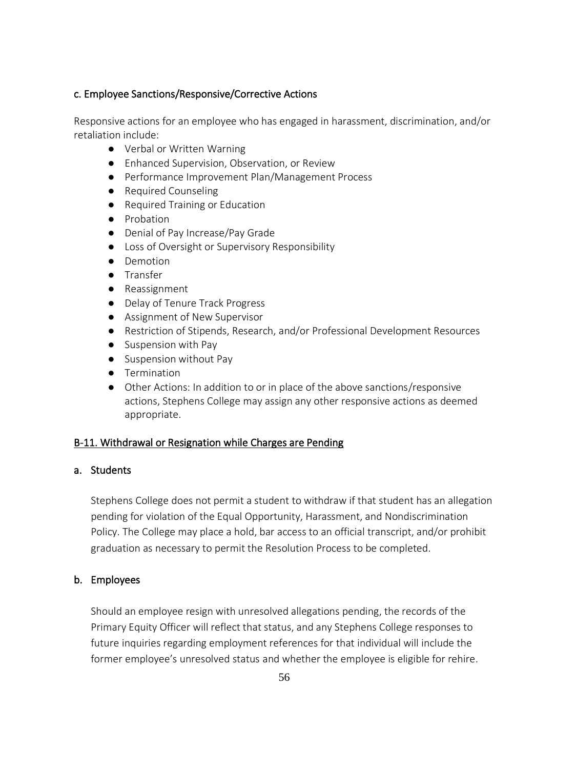## c. Employee Sanctions/Responsive/Corrective Actions

Responsive actions for an employee who has engaged in harassment, discrimination, and/or retaliation include:

- Verbal or Written Warning
- Enhanced Supervision, Observation, or Review
- Performance Improvement Plan/Management Process
- Required Counseling
- Required Training or Education
- Probation
- Denial of Pay Increase/Pay Grade
- Loss of Oversight or Supervisory Responsibility
- Demotion
- Transfer
- Reassignment
- Delay of Tenure Track Progress
- Assignment of New Supervisor
- Restriction of Stipends, Research, and/or Professional Development Resources
- Suspension with Pay
- Suspension without Pay
- Termination
- Other Actions: In addition to or in place of the above sanctions/responsive actions, Stephens College may assign any other responsive actions as deemed appropriate.

### B-11. Withdrawal or Resignation while Charges are Pending

## a. Students

Stephens College does not permit a student to withdraw if that student has an allegation pending for violation of the Equal Opportunity, Harassment, and Nondiscrimination Policy. The College may place a hold, bar access to an official transcript, and/or prohibit graduation as necessary to permit the Resolution Process to be completed.

### b. Employees

Should an employee resign with unresolved allegations pending, the records of the Primary Equity Officer will reflect that status, and any Stephens College responses to future inquiries regarding employment references for that individual will include the former employee's unresolved status and whether the employee is eligible for rehire.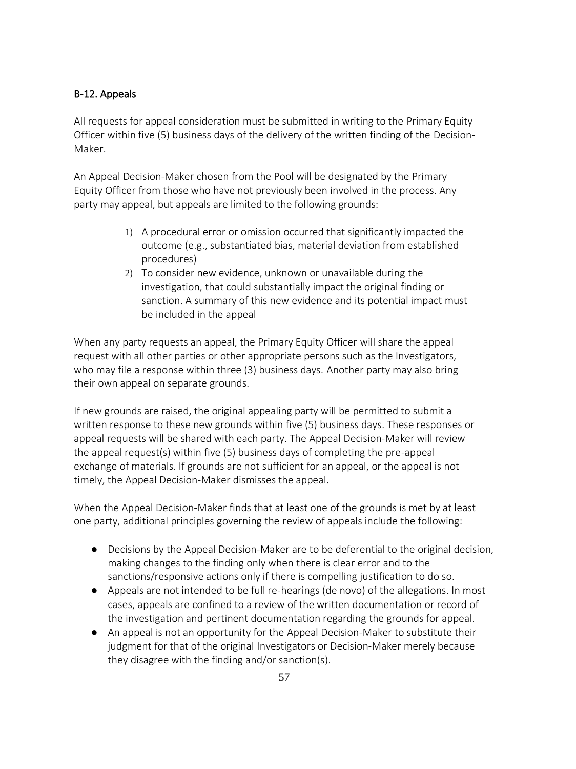# B-12. Appeals

All requests for appeal consideration must be submitted in writing to the Primary Equity Officer within five (5) business days of the delivery of the written finding of the Decision-Maker.

An Appeal Decision-Maker chosen from the Pool will be designated by the Primary Equity Officer from those who have not previously been involved in the process. Any party may appeal, but appeals are limited to the following grounds:

- 1) A procedural error or omission occurred that significantly impacted the outcome (e.g., substantiated bias, material deviation from established procedures)
- 2) To consider new evidence, unknown or unavailable during the investigation, that could substantially impact the original finding or sanction. A summary of this new evidence and its potential impact must be included in the appeal

When any party requests an appeal, the Primary Equity Officer will share the appeal request with all other parties or other appropriate persons such as the Investigators, who may file a response within three (3) business days. Another party may also bring their own appeal on separate grounds.

If new grounds are raised, the original appealing party will be permitted to submit a written response to these new grounds within five (5) business days. These responses or appeal requests will be shared with each party. The Appeal Decision-Maker will review the appeal request(s) within five (5) business days of completing the pre-appeal exchange of materials. If grounds are not sufficient for an appeal, or the appeal is not timely, the Appeal Decision-Maker dismisses the appeal.

When the Appeal Decision-Maker finds that at least one of the grounds is met by at least one party, additional principles governing the review of appeals include the following:

- Decisions by the Appeal Decision-Maker are to be deferential to the original decision, making changes to the finding only when there is clear error and to the sanctions/responsive actions only if there is compelling justification to do so.
- Appeals are not intended to be full re-hearings (de novo) of the allegations. In most cases, appeals are confined to a review of the written documentation or record of the investigation and pertinent documentation regarding the grounds for appeal.
- An appeal is not an opportunity for the Appeal Decision-Maker to substitute their judgment for that of the original Investigators or Decision-Maker merely because they disagree with the finding and/or sanction(s).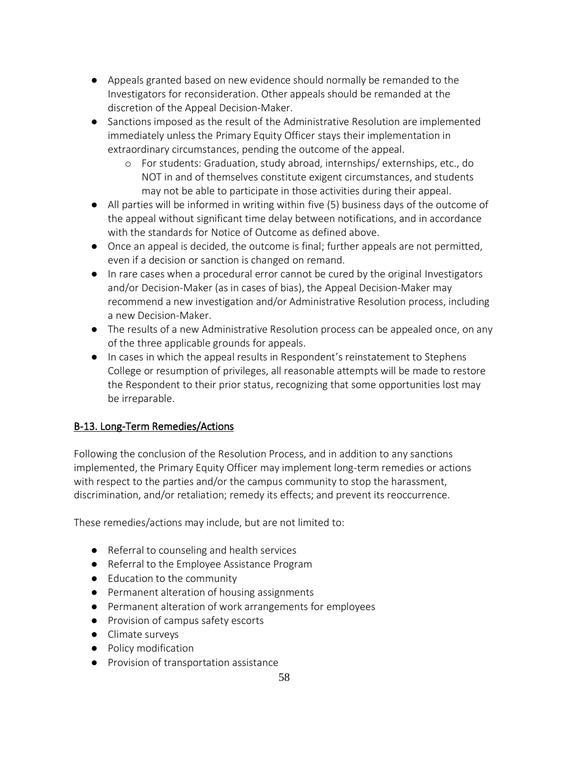- Appeals granted based on new evidence should normally be remanded to the Investigators for reconsideration. Other appeals should be remanded at the discretion of the Appeal Decision-Maker.
- Sanctions imposed as the result of the Administrative Resolution are implemented immediately unless the Primary Equity Officer stays their implementation in extraordinary circumstances, pending the outcome of the appeal.
	- o For students: Graduation, study abroad, internships/ externships, etc., do NOT in and of themselves constitute exigent circumstances, and students may not be able to participate in those activities during their appeal.
- All parties will be informed in writing within five (5) business days of the outcome of the appeal without significant time delay between notifications, and in accordance with the standards for Notice of Outcome as defined above.
- Once an appeal is decided, the outcome is final; further appeals are not permitted, even if a decision or sanction is changed on remand.
- In rare cases when a procedural error cannot be cured by the original Investigators and/or Decision-Maker (as in cases of bias), the Appeal Decision-Maker may recommend a new investigation and/or Administrative Resolution process, including a new Decision-Maker.
- The results of a new Administrative Resolution process can be appealed once, on any of the three applicable grounds for appeals.
- In cases in which the appeal results in Respondent's reinstatement to Stephens College or resumption of privileges, all reasonable attempts will be made to restore the Respondent to their prior status, recognizing that some opportunities lost may be irreparable.

# B-13. Long-Term Remedies/Actions

Following the conclusion of the Resolution Process, and in addition to any sanctions implemented, the Primary Equity Officer may implement long-term remedies or actions with respect to the parties and/or the campus community to stop the harassment, discrimination, and/or retaliation; remedy its effects; and prevent its reoccurrence.

These remedies/actions may include, but are not limited to:

- Referral to counseling and health services
- Referral to the Employee Assistance Program
- Education to the community
- Permanent alteration of housing assignments
- Permanent alteration of work arrangements for employees
- Provision of campus safety escorts
- Climate surveys
- Policy modification
- Provision of transportation assistance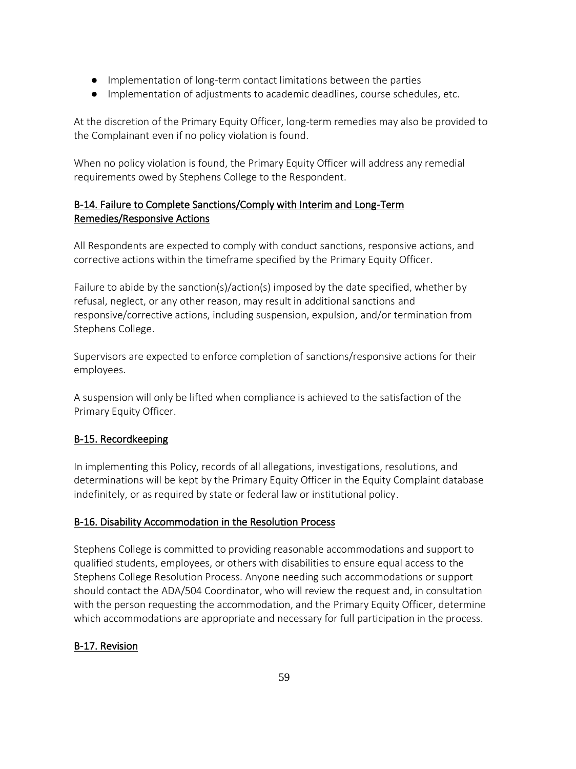- Implementation of long-term contact limitations between the parties
- Implementation of adjustments to academic deadlines, course schedules, etc.

At the discretion of the Primary Equity Officer, long-term remedies may also be provided to the Complainant even if no policy violation is found.

When no policy violation is found, the Primary Equity Officer will address any remedial requirements owed by Stephens College to the Respondent.

# B-14. Failure to Complete Sanctions/Comply with Interim and Long-Term Remedies/Responsive Actions

All Respondents are expected to comply with conduct sanctions, responsive actions, and corrective actions within the timeframe specified by the Primary Equity Officer.

Failure to abide by the sanction(s)/action(s) imposed by the date specified, whether by refusal, neglect, or any other reason, may result in additional sanctions and responsive/corrective actions, including suspension, expulsion, and/or termination from Stephens College.

Supervisors are expected to enforce completion of sanctions/responsive actions for their employees.

A suspension will only be lifted when compliance is achieved to the satisfaction of the Primary Equity Officer.

# B-15. Recordkeeping

In implementing this Policy, records of all allegations, investigations, resolutions, and determinations will be kept by the Primary Equity Officer in the Equity Complaint database indefinitely, or as required by state or federal law or institutional policy.

## B-16. Disability Accommodation in the Resolution Process

Stephens College is committed to providing reasonable accommodations and support to qualified students, employees, or others with disabilities to ensure equal access to the Stephens College Resolution Process. Anyone needing such accommodations or support should contact the ADA/504 Coordinator, who will review the request and, in consultation with the person requesting the accommodation, and the Primary Equity Officer, determine which accommodations are appropriate and necessary for full participation in the process.

# B-17. Revision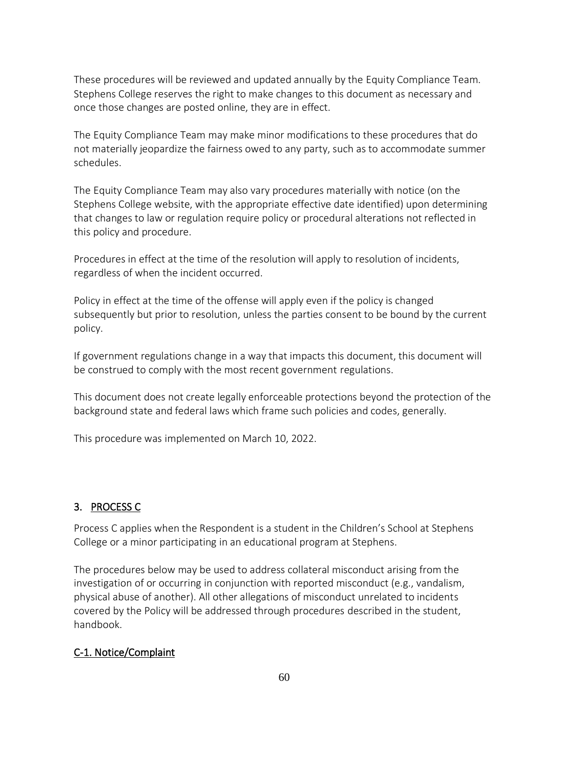These procedures will be reviewed and updated annually by the Equity Compliance Team. Stephens College reserves the right to make changes to this document as necessary and once those changes are posted online, they are in effect.

The Equity Compliance Team may make minor modifications to these procedures that do not materially jeopardize the fairness owed to any party, such as to accommodate summer schedules.

The Equity Compliance Team may also vary procedures materially with notice (on the Stephens College website, with the appropriate effective date identified) upon determining that changes to law or regulation require policy or procedural alterations not reflected in this policy and procedure.

Procedures in effect at the time of the resolution will apply to resolution of incidents, regardless of when the incident occurred.

Policy in effect at the time of the offense will apply even if the policy is changed subsequently but prior to resolution, unless the parties consent to be bound by the current policy.

If government regulations change in a way that impacts this document, this document will be construed to comply with the most recent government regulations.

This document does not create legally enforceable protections beyond the protection of the background state and federal laws which frame such policies and codes, generally.

This procedure was implemented on March 10, 2022.

## 3. PROCESS C

Process C applies when the Respondent is a student in the Children's School at Stephens College or a minor participating in an educational program at Stephens.

The procedures below may be used to address collateral misconduct arising from the investigation of or occurring in conjunction with reported misconduct (e.g., vandalism, physical abuse of another). All other allegations of misconduct unrelated to incidents covered by the Policy will be addressed through procedures described in the student, handbook.

## C-1. Notice/Complaint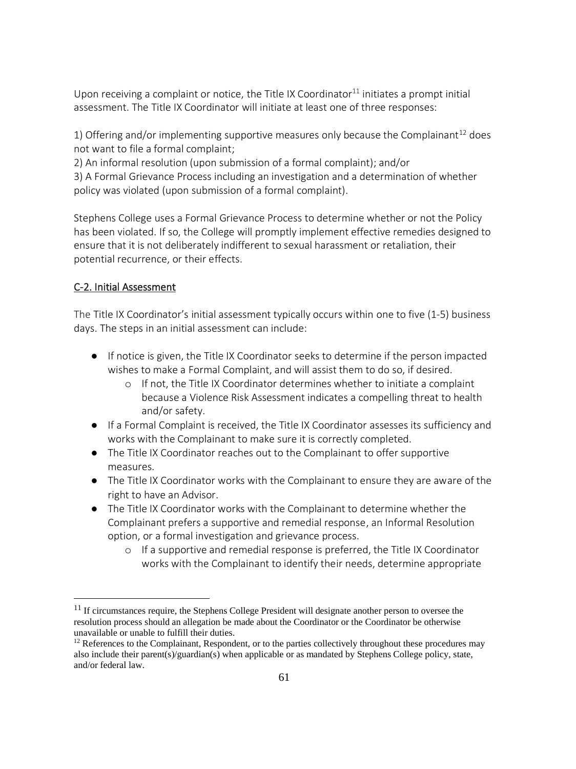Upon receiving a complaint or notice, the Title IX Coordinator $^{11}$  initiates a prompt initial assessment. The Title IX Coordinator will initiate at least one of three responses:

1) Offering and/or implementing supportive measures only because the Complainant<sup>12</sup> does not want to file a formal complaint;

2) An informal resolution (upon submission of a formal complaint); and/or

3) A Formal Grievance Process including an investigation and a determination of whether policy was violated (upon submission of a formal complaint).

Stephens College uses a Formal Grievance Process to determine whether or not the Policy has been violated. If so, the College will promptly implement effective remedies designed to ensure that it is not deliberately indifferent to sexual harassment or retaliation, their potential recurrence, or their effects.

# C-2. Initial Assessment

The Title IX Coordinator's initial assessment typically occurs within one to five (1-5) business days. The steps in an initial assessment can include:

- If notice is given, the Title IX Coordinator seeks to determine if the person impacted wishes to make a Formal Complaint, and will assist them to do so, if desired.
	- o If not, the Title IX Coordinator determines whether to initiate a complaint because a Violence Risk Assessment indicates a compelling threat to health and/or safety.
- If a Formal Complaint is received, the Title IX Coordinator assesses its sufficiency and works with the Complainant to make sure it is correctly completed.
- The Title IX Coordinator reaches out to the Complainant to offer supportive measures.
- The Title IX Coordinator works with the Complainant to ensure they are aware of the right to have an Advisor.
- The Title IX Coordinator works with the Complainant to determine whether the Complainant prefers a supportive and remedial response, an Informal Resolution option, or a formal investigation and grievance process.
	- o If a supportive and remedial response is preferred, the Title IX Coordinator works with the Complainant to identify their needs, determine appropriate

 $11$  If circumstances require, the Stephens College President will designate another person to oversee the resolution process should an allegation be made about the Coordinator or the Coordinator be otherwise unavailable or unable to fulfill their duties.

 $12$  References to the Complainant, Respondent, or to the parties collectively throughout these procedures may also include their parent(s)/guardian(s) when applicable or as mandated by Stephens College policy, state, and/or federal law.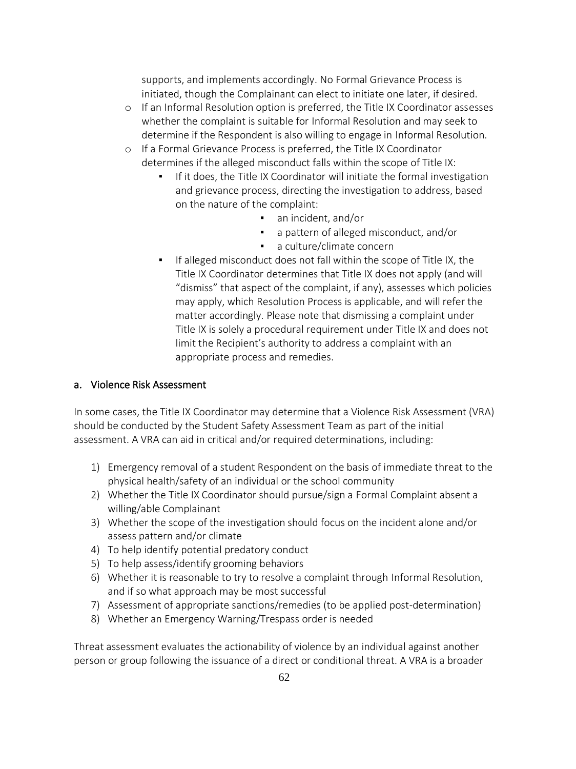supports, and implements accordingly. No Formal Grievance Process is initiated, though the Complainant can elect to initiate one later, if desired.

- o If an Informal Resolution option is preferred, the Title IX Coordinator assesses whether the complaint is suitable for Informal Resolution and may seek to determine if the Respondent is also willing to engage in Informal Resolution.
- o If a Formal Grievance Process is preferred, the Title IX Coordinator determines if the alleged misconduct falls within the scope of Title IX:
	- If it does, the Title IX Coordinator will initiate the formal investigation and grievance process, directing the investigation to address, based on the nature of the complaint:
		- an incident, and/or
		- a pattern of alleged misconduct, and/or
		- a culture/climate concern
	- If alleged misconduct does not fall within the scope of Title IX, the Title IX Coordinator determines that Title IX does not apply (and will "dismiss" that aspect of the complaint, if any), assesses which policies may apply, which Resolution Process is applicable, and will refer the matter accordingly. Please note that dismissing a complaint under Title IX is solely a procedural requirement under Title IX and does not limit the Recipient's authority to address a complaint with an appropriate process and remedies.

## a. Violence Risk Assessment

In some cases, the Title IX Coordinator may determine that a Violence Risk Assessment (VRA) should be conducted by the Student Safety Assessment Team as part of the initial assessment. A VRA can aid in critical and/or required determinations, including:

- 1) Emergency removal of a student Respondent on the basis of immediate threat to the physical health/safety of an individual or the school community
- 2) Whether the Title IX Coordinator should pursue/sign a Formal Complaint absent a willing/able Complainant
- 3) Whether the scope of the investigation should focus on the incident alone and/or assess pattern and/or climate
- 4) To help identify potential predatory conduct
- 5) To help assess/identify grooming behaviors
- 6) Whether it is reasonable to try to resolve a complaint through Informal Resolution, and if so what approach may be most successful
- 7) Assessment of appropriate sanctions/remedies (to be applied post-determination)
- 8) Whether an Emergency Warning/Trespass order is needed

Threat assessment evaluates the actionability of violence by an individual against another person or group following the issuance of a direct or conditional threat. A VRA is a broader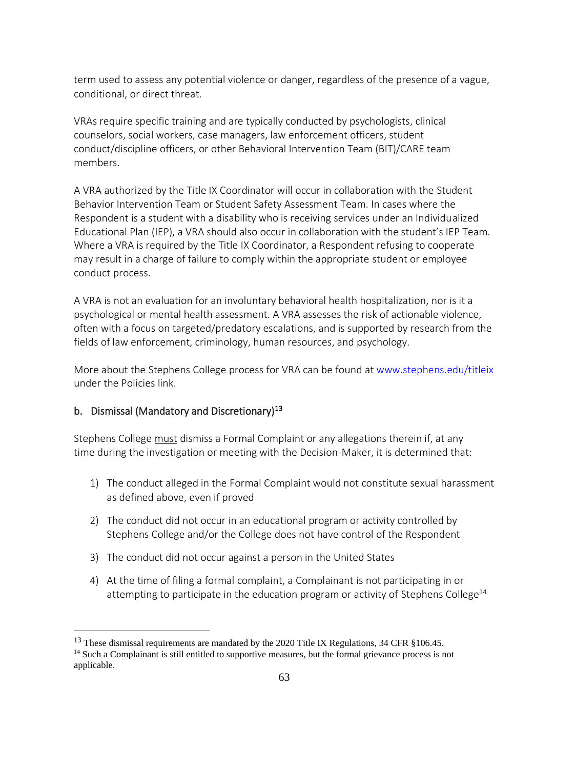term used to assess any potential violence or danger, regardless of the presence of a vague, conditional, or direct threat.

VRAs require specific training and are typically conducted by psychologists, clinical counselors, social workers, case managers, law enforcement officers, student conduct/discipline officers, or other Behavioral Intervention Team (BIT)/CARE team members.

A VRA authorized by the Title IX Coordinator will occur in collaboration with the Student Behavior Intervention Team or Student Safety Assessment Team. In cases where the Respondent is a student with a disability who is receiving services under an Individualized Educational Plan (IEP), a VRA should also occur in collaboration with the student's IEP Team. Where a VRA is required by the Title IX Coordinator, a Respondent refusing to cooperate may result in a charge of failure to comply within the appropriate student or employee conduct process.

A VRA is not an evaluation for an involuntary behavioral health hospitalization, nor is it a psychological or mental health assessment. A VRA assesses the risk of actionable violence, often with a focus on targeted/predatory escalations, and is supported by research from the fields of law enforcement, criminology, human resources, and psychology.

More about the Stephens College process for VRA can be found at [www.stephens.edu/titleix](http://www.stephens.edu/titleix) under the Policies link.

### b. Dismissal (Mandatory and Discretionary)<sup>13</sup>

Stephens College must dismiss a Formal Complaint or any allegations therein if, at any time during the investigation or meeting with the Decision-Maker, it is determined that:

- 1) The conduct alleged in the Formal Complaint would not constitute sexual harassment as defined above, even if proved
- 2) The conduct did not occur in an educational program or activity controlled by Stephens College and/or the College does not have control of the Respondent
- 3) The conduct did not occur against a person in the United States
- 4) At the time of filing a formal complaint, a Complainant is not participating in or attempting to participate in the education program or activity of Stephens College $^{14}$

<sup>&</sup>lt;sup>13</sup> These dismissal requirements are mandated by the 2020 Title IX Regulations, 34 CFR §106.45.

<sup>&</sup>lt;sup>14</sup> Such a Complainant is still entitled to supportive measures, but the formal grievance process is not applicable.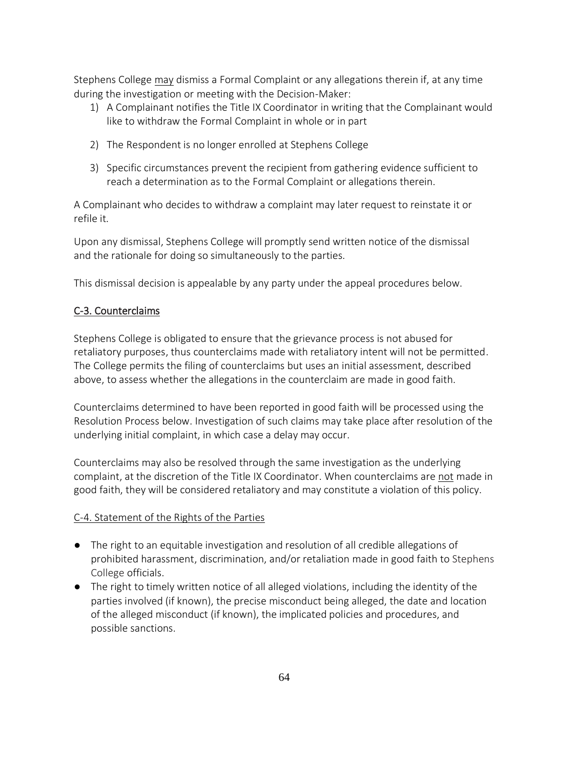Stephens College may dismiss a Formal Complaint or any allegations therein if, at any time during the investigation or meeting with the Decision-Maker:

- 1) A Complainant notifies the Title IX Coordinator in writing that the Complainant would like to withdraw the Formal Complaint in whole or in part
- 2) The Respondent is no longer enrolled at Stephens College
- 3) Specific circumstances prevent the recipient from gathering evidence sufficient to reach a determination as to the Formal Complaint or allegations therein.

A Complainant who decides to withdraw a complaint may later request to reinstate it or refile it.

Upon any dismissal, Stephens College will promptly send written notice of the dismissal and the rationale for doing so simultaneously to the parties.

This dismissal decision is appealable by any party under the appeal procedures below.

### C-3. Counterclaims

Stephens College is obligated to ensure that the grievance process is not abused for retaliatory purposes, thus counterclaims made with retaliatory intent will not be permitted. The College permits the filing of counterclaims but uses an initial assessment, described above, to assess whether the allegations in the counterclaim are made in good faith.

Counterclaims determined to have been reported in good faith will be processed using the Resolution Process below. Investigation of such claims may take place after resolution of the underlying initial complaint, in which case a delay may occur.

Counterclaims may also be resolved through the same investigation as the underlying complaint, at the discretion of the Title IX Coordinator. When counterclaims are not made in good faith, they will be considered retaliatory and may constitute a violation of this policy.

### C-4. Statement of the Rights of the Parties

- The right to an equitable investigation and resolution of all credible allegations of prohibited harassment, discrimination, and/or retaliation made in good faith to Stephens College officials.
- The right to timely written notice of all alleged violations, including the identity of the parties involved (if known), the precise misconduct being alleged, the date and location of the alleged misconduct (if known), the implicated policies and procedures, and possible sanctions.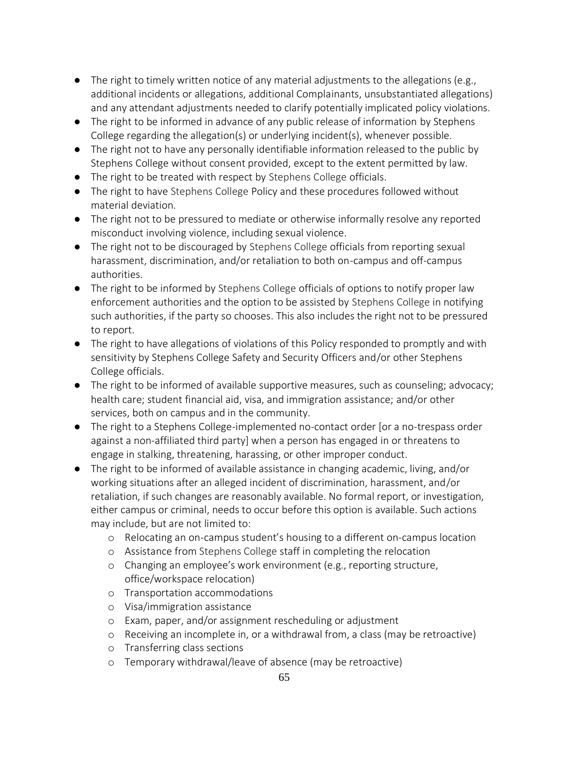- $\bullet$  The right to timely written notice of any material adjustments to the allegations (e.g., additional incidents or allegations, additional Complainants, unsubstantiated allegations) and any attendant adjustments needed to clarify potentially implicated policy violations.
- The right to be informed in advance of any public release of information by Stephens College regarding the allegation(s) or underlying incident(s), whenever possible.
- The right not to have any personally identifiable information released to the public by Stephens College without consent provided, except to the extent permitted by law.
- The right to be treated with respect by Stephens College officials.
- The right to have Stephens College Policy and these procedures followed without material deviation.
- The right not to be pressured to mediate or otherwise informally resolve any reported misconduct involving violence, including sexual violence.
- The right not to be discouraged by Stephens College officials from reporting sexual harassment, discrimination, and/or retaliation to both on-campus and off-campus authorities.
- The right to be informed by Stephens College officials of options to notify proper law enforcement authorities and the option to be assisted by Stephens College in notifying such authorities, if the party so chooses. This also includes the right not to be pressured to report.
- The right to have allegations of violations of this Policy responded to promptly and with sensitivity by Stephens College Safety and Security Officers and/or other Stephens College officials.
- The right to be informed of available supportive measures, such as counseling; advocacy; health care; student financial aid, visa, and immigration assistance; and/or other services, both on campus and in the community.
- The right to a Stephens College-implemented no-contact order [or a no-trespass order against a non-affiliated third party] when a person has engaged in or threatens to engage in stalking, threatening, harassing, or other improper conduct.
- The right to be informed of available assistance in changing academic, living, and/or working situations after an alleged incident of discrimination, harassment, and/or retaliation, if such changes are reasonably available. No formal report, or investigation, either campus or criminal, needs to occur before this option is available. Such actions may include, but are not limited to:
	- o Relocating an on-campus student's housing to a different on-campus location
	- o Assistance from Stephens College staff in completing the relocation
	- o Changing an employee's work environment (e.g., reporting structure, office/workspace relocation)
	- o Transportation accommodations
	- o Visa/immigration assistance
	- o Exam, paper, and/or assignment rescheduling or adjustment
	- o Receiving an incomplete in, or a withdrawal from, a class (may be retroactive)
	- o Transferring class sections
	- o Temporary withdrawal/leave of absence (may be retroactive)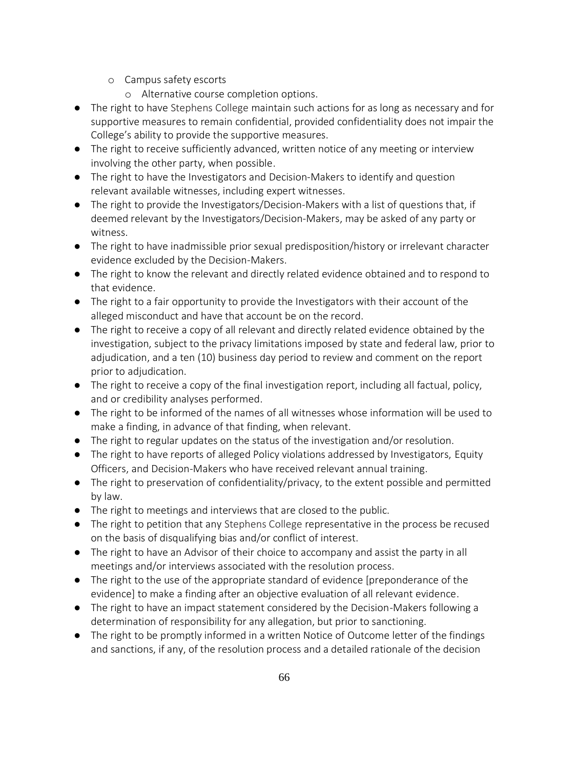- o Campus safety escorts
	- o Alternative course completion options.
- The right to have Stephens College maintain such actions for as long as necessary and for supportive measures to remain confidential, provided confidentiality does not impair the College's ability to provide the supportive measures.
- The right to receive sufficiently advanced, written notice of any meeting or interview involving the other party, when possible.
- The right to have the Investigators and Decision-Makers to identify and question relevant available witnesses, including expert witnesses.
- The right to provide the Investigators/Decision-Makers with a list of questions that, if deemed relevant by the Investigators/Decision-Makers, may be asked of any party or witness.
- The right to have inadmissible prior sexual predisposition/history or irrelevant character evidence excluded by the Decision-Makers.
- The right to know the relevant and directly related evidence obtained and to respond to that evidence.
- The right to a fair opportunity to provide the Investigators with their account of the alleged misconduct and have that account be on the record.
- The right to receive a copy of all relevant and directly related evidence obtained by the investigation, subject to the privacy limitations imposed by state and federal law, prior to adjudication, and a ten (10) business day period to review and comment on the report prior to adjudication.
- The right to receive a copy of the final investigation report, including all factual, policy, and or credibility analyses performed.
- The right to be informed of the names of all witnesses whose information will be used to make a finding, in advance of that finding, when relevant.
- The right to regular updates on the status of the investigation and/or resolution.
- The right to have reports of alleged Policy violations addressed by Investigators, Equity Officers, and Decision-Makers who have received relevant annual training.
- The right to preservation of confidentiality/privacy, to the extent possible and permitted by law.
- The right to meetings and interviews that are closed to the public.
- The right to petition that any Stephens College representative in the process be recused on the basis of disqualifying bias and/or conflict of interest.
- The right to have an Advisor of their choice to accompany and assist the party in all meetings and/or interviews associated with the resolution process.
- The right to the use of the appropriate standard of evidence [preponderance of the evidence] to make a finding after an objective evaluation of all relevant evidence.
- The right to have an impact statement considered by the Decision-Makers following a determination of responsibility for any allegation, but prior to sanctioning.
- The right to be promptly informed in a written Notice of Outcome letter of the findings and sanctions, if any, of the resolution process and a detailed rationale of the decision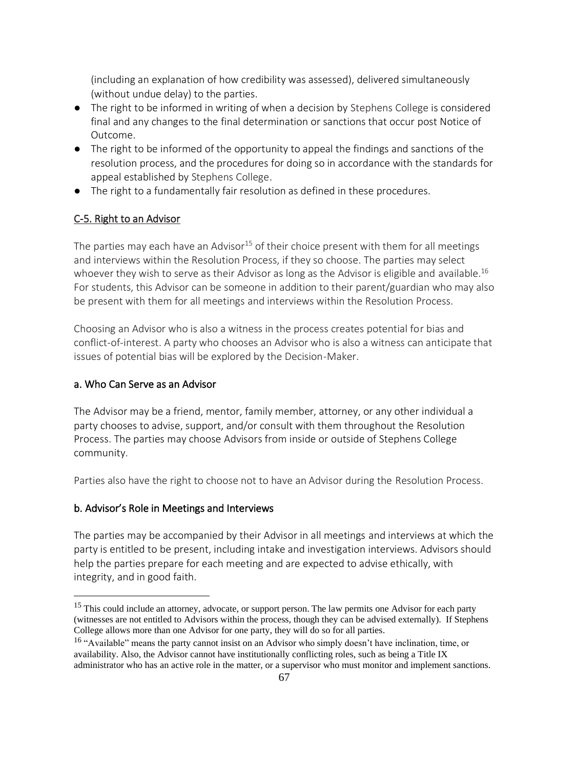(including an explanation of how credibility was assessed), delivered simultaneously (without undue delay) to the parties.

- The right to be informed in writing of when a decision by Stephens College is considered final and any changes to the final determination or sanctions that occur post Notice of Outcome.
- The right to be informed of the opportunity to appeal the findings and sanctions of the resolution process, and the procedures for doing so in accordance with the standards for appeal established by Stephens College.
- The right to a fundamentally fair resolution as defined in these procedures.

## C-5. Right to an Advisor

The parties may each have an Advisor<sup>15</sup> of their choice present with them for all meetings and interviews within the Resolution Process, if they so choose. The parties may select whoever they wish to serve as their Advisor as long as the Advisor is eligible and available.<sup>16</sup> For students, this Advisor can be someone in addition to their parent/guardian who may also be present with them for all meetings and interviews within the Resolution Process.

Choosing an Advisor who is also a witness in the process creates potential for bias and conflict-of-interest. A party who chooses an Advisor who is also a witness can anticipate that issues of potential bias will be explored by the Decision-Maker.

### a. Who Can Serve as an Advisor

The Advisor may be a friend, mentor, family member, attorney, or any other individual a party chooses to advise, support, and/or consult with them throughout the Resolution Process. The parties may choose Advisors from inside or outside of Stephens College community.

Parties also have the right to choose not to have an Advisor during the Resolution Process.

### b. Advisor's Role in Meetings and Interviews

The parties may be accompanied by their Advisor in all meetings and interviews at which the party is entitled to be present, including intake and investigation interviews. Advisors should help the parties prepare for each meeting and are expected to advise ethically, with integrity, and in good faith.

<sup>&</sup>lt;sup>15</sup> This could include an attorney, advocate, or support person. The law permits one Advisor for each party (witnesses are not entitled to Advisors within the process, though they can be advised externally). If Stephens College allows more than one Advisor for one party, they will do so for all parties.

<sup>&</sup>lt;sup>16</sup> "Available" means the party cannot insist on an Advisor who simply doesn't have inclination, time, or availability. Also, the Advisor cannot have institutionally conflicting roles, such as being a Title IX administrator who has an active role in the matter, or a supervisor who must monitor and implement sanctions.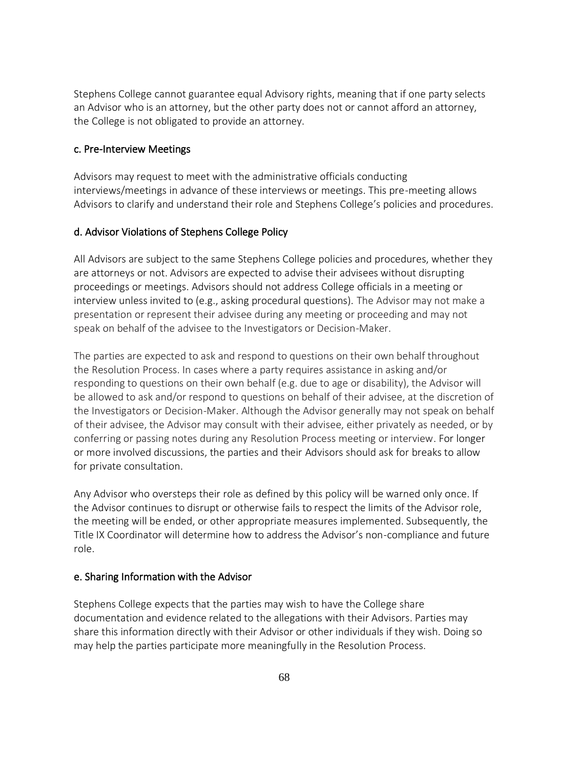Stephens College cannot guarantee equal Advisory rights, meaning that if one party selects an Advisor who is an attorney, but the other party does not or cannot afford an attorney, the College is not obligated to provide an attorney.

#### c. Pre-Interview Meetings

Advisors may request to meet with the administrative officials conducting interviews/meetings in advance of these interviews or meetings. This pre-meeting allows Advisors to clarify and understand their role and Stephens College's policies and procedures.

#### d. Advisor Violations of Stephens College Policy

All Advisors are subject to the same Stephens College policies and procedures, whether they are attorneys or not. Advisors are expected to advise their advisees without disrupting proceedings or meetings. Advisors should not address College officials in a meeting or interview unless invited to (e.g., asking procedural questions). The Advisor may not make a presentation or represent their advisee during any meeting or proceeding and may not speak on behalf of the advisee to the Investigators or Decision-Maker.

The parties are expected to ask and respond to questions on their own behalf throughout the Resolution Process. In cases where a party requires assistance in asking and/or responding to questions on their own behalf (e.g. due to age or disability), the Advisor will be allowed to ask and/or respond to questions on behalf of their advisee, at the discretion of the Investigators or Decision-Maker. Although the Advisor generally may not speak on behalf of their advisee, the Advisor may consult with their advisee, either privately as needed, or by conferring or passing notes during any Resolution Process meeting or interview. For longer or more involved discussions, the parties and their Advisors should ask for breaks to allow for private consultation.

Any Advisor who oversteps their role as defined by this policy will be warned only once. If the Advisor continues to disrupt or otherwise fails to respect the limits of the Advisor role, the meeting will be ended, or other appropriate measures implemented. Subsequently, the Title IX Coordinator will determine how to address the Advisor's non-compliance and future role.

#### e. Sharing Information with the Advisor

Stephens College expects that the parties may wish to have the College share documentation and evidence related to the allegations with their Advisors. Parties may share this information directly with their Advisor or other individuals if they wish. Doing so may help the parties participate more meaningfully in the Resolution Process.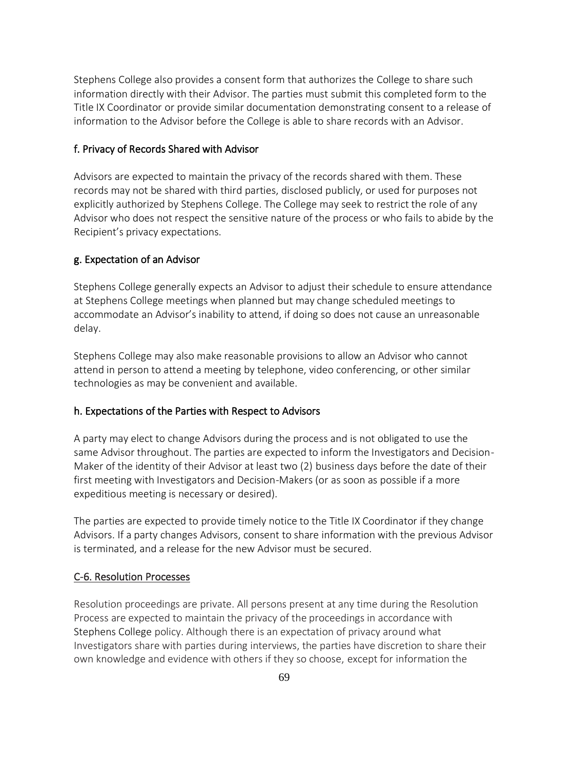Stephens College also provides a consent form that authorizes the College to share such information directly with their Advisor. The parties must submit this completed form to the Title IX Coordinator or provide similar documentation demonstrating consent to a release of information to the Advisor before the College is able to share records with an Advisor.

#### f. Privacy of Records Shared with Advisor

Advisors are expected to maintain the privacy of the records shared with them. These records may not be shared with third parties, disclosed publicly, or used for purposes not explicitly authorized by Stephens College. The College may seek to restrict the role of any Advisor who does not respect the sensitive nature of the process or who fails to abide by the Recipient's privacy expectations.

### g. Expectation of an Advisor

Stephens College generally expects an Advisor to adjust their schedule to ensure attendance at Stephens College meetings when planned but may change scheduled meetings to accommodate an Advisor's inability to attend, if doing so does not cause an unreasonable delay.

Stephens College may also make reasonable provisions to allow an Advisor who cannot attend in person to attend a meeting by telephone, video conferencing, or other similar technologies as may be convenient and available.

#### h. Expectations of the Parties with Respect to Advisors

A party may elect to change Advisors during the process and is not obligated to use the same Advisor throughout. The parties are expected to inform the Investigators and Decision-Maker of the identity of their Advisor at least two (2) business days before the date of their first meeting with Investigators and Decision-Makers (or as soon as possible if a more expeditious meeting is necessary or desired).

The parties are expected to provide timely notice to the Title IX Coordinator if they change Advisors. If a party changes Advisors, consent to share information with the previous Advisor is terminated, and a release for the new Advisor must be secured.

#### C-6. Resolution Processes

Resolution proceedings are private. All persons present at any time during the Resolution Process are expected to maintain the privacy of the proceedings in accordance with Stephens College policy. Although there is an expectation of privacy around what Investigators share with parties during interviews, the parties have discretion to share their own knowledge and evidence with others if they so choose, except for information the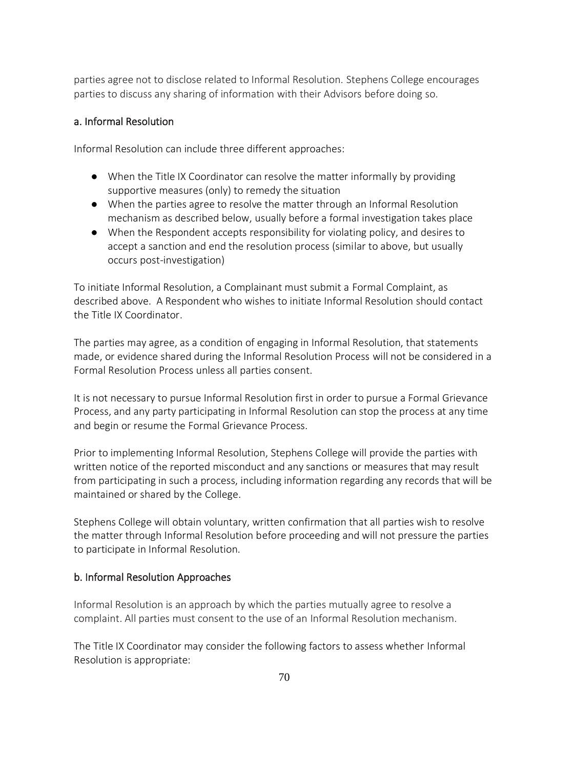parties agree not to disclose related to Informal Resolution. Stephens College encourages parties to discuss any sharing of information with their Advisors before doing so.

### a. Informal Resolution

Informal Resolution can include three different approaches:

- When the Title IX Coordinator can resolve the matter informally by providing supportive measures (only) to remedy the situation
- When the parties agree to resolve the matter through an Informal Resolution mechanism as described below, usually before a formal investigation takes place
- When the Respondent accepts responsibility for violating policy, and desires to accept a sanction and end the resolution process (similar to above, but usually occurs post-investigation)

To initiate Informal Resolution, a Complainant must submit a Formal Complaint, as described above. A Respondent who wishes to initiate Informal Resolution should contact the Title IX Coordinator.

The parties may agree, as a condition of engaging in Informal Resolution, that statements made, or evidence shared during the Informal Resolution Process will not be considered in a Formal Resolution Process unless all parties consent.

It is not necessary to pursue Informal Resolution first in order to pursue a Formal Grievance Process, and any party participating in Informal Resolution can stop the process at any time and begin or resume the Formal Grievance Process.

Prior to implementing Informal Resolution, Stephens College will provide the parties with written notice of the reported misconduct and any sanctions or measures that may result from participating in such a process, including information regarding any records that will be maintained or shared by the College.

Stephens College will obtain voluntary, written confirmation that all parties wish to resolve the matter through Informal Resolution before proceeding and will not pressure the parties to participate in Informal Resolution.

#### b. Informal Resolution Approaches

Informal Resolution is an approach by which the parties mutually agree to resolve a complaint. All parties must consent to the use of an Informal Resolution mechanism.

The Title IX Coordinator may consider the following factors to assess whether Informal Resolution is appropriate: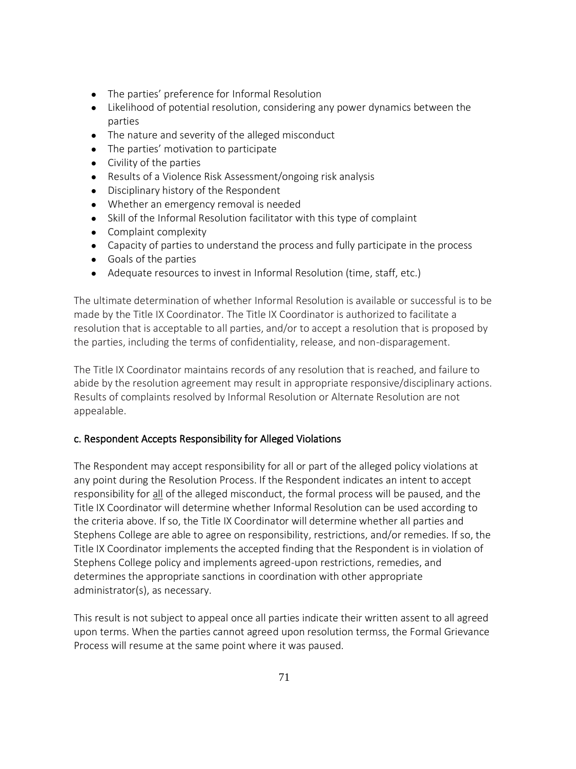- The parties' preference for Informal Resolution
- Likelihood of potential resolution, considering any power dynamics between the parties
- The nature and severity of the alleged misconduct
- The parties' motivation to participate
- Civility of the parties
- Results of a Violence Risk Assessment/ongoing risk analysis
- Disciplinary history of the Respondent
- Whether an emergency removal is needed
- Skill of the Informal Resolution facilitator with this type of complaint
- Complaint complexity
- Capacity of parties to understand the process and fully participate in the process
- Goals of the parties
- Adequate resources to invest in Informal Resolution (time, staff, etc.)

The ultimate determination of whether Informal Resolution is available or successful is to be made by the Title IX Coordinator. The Title IX Coordinator is authorized to facilitate a resolution that is acceptable to all parties, and/or to accept a resolution that is proposed by the parties, including the terms of confidentiality, release, and non-disparagement.

The Title IX Coordinator maintains records of any resolution that is reached, and failure to abide by the resolution agreement may result in appropriate responsive/disciplinary actions. Results of complaints resolved by Informal Resolution or Alternate Resolution are not appealable.

## c. Respondent Accepts Responsibility for Alleged Violations

The Respondent may accept responsibility for all or part of the alleged policy violations at any point during the Resolution Process. If the Respondent indicates an intent to accept responsibility for all of the alleged misconduct, the formal process will be paused, and the Title IX Coordinator will determine whether Informal Resolution can be used according to the criteria above. If so, the Title IX Coordinator will determine whether all parties and Stephens College are able to agree on responsibility, restrictions, and/or remedies. If so, the Title IX Coordinator implements the accepted finding that the Respondent is in violation of Stephens College policy and implements agreed-upon restrictions, remedies, and determines the appropriate sanctions in coordination with other appropriate administrator(s), as necessary.

This result is not subject to appeal once all parties indicate their written assent to all agreed upon terms. When the parties cannot agreed upon resolution termss, the Formal Grievance Process will resume at the same point where it was paused.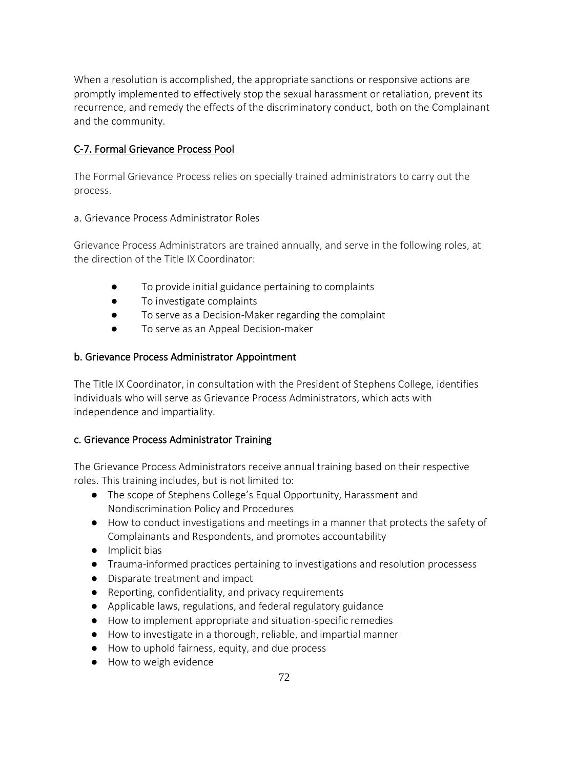When a resolution is accomplished, the appropriate sanctions or responsive actions are promptly implemented to effectively stop the sexual harassment or retaliation, prevent its recurrence, and remedy the effects of the discriminatory conduct, both on the Complainant and the community.

# C-7. Formal Grievance Process Pool

The Formal Grievance Process relies on specially trained administrators to carry out the process.

### a. Grievance Process Administrator Roles

Grievance Process Administrators are trained annually, and serve in the following roles, at the direction of the Title IX Coordinator:

- To provide initial guidance pertaining to complaints
- To investigate complaints
- To serve as a Decision-Maker regarding the complaint
- To serve as an Appeal Decision-maker

### b. Grievance Process Administrator Appointment

The Title IX Coordinator, in consultation with the President of Stephens College, identifies individuals who will serve as Grievance Process Administrators, which acts with independence and impartiality.

### c. Grievance Process Administrator Training

The Grievance Process Administrators receive annual training based on their respective roles. This training includes, but is not limited to:

- The scope of Stephens College's Equal Opportunity, Harassment and Nondiscrimination Policy and Procedures
- How to conduct investigations and meetings in a manner that protects the safety of Complainants and Respondents, and promotes accountability
- Implicit bias
- Trauma-informed practices pertaining to investigations and resolution processess
- Disparate treatment and impact
- Reporting, confidentiality, and privacy requirements
- Applicable laws, regulations, and federal regulatory guidance
- How to implement appropriate and situation-specific remedies
- How to investigate in a thorough, reliable, and impartial manner
- How to uphold fairness, equity, and due process
- How to weigh evidence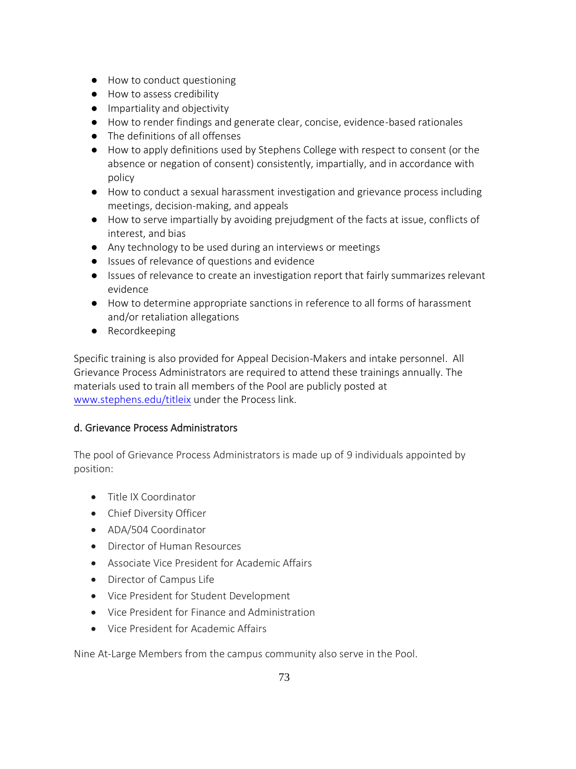- How to conduct questioning
- How to assess credibility
- Impartiality and objectivity
- How to render findings and generate clear, concise, evidence-based rationales
- The definitions of all offenses
- How to apply definitions used by Stephens College with respect to consent (or the absence or negation of consent) consistently, impartially, and in accordance with policy
- How to conduct a sexual harassment investigation and grievance process including meetings, decision-making, and appeals
- How to serve impartially by avoiding prejudgment of the facts at issue, conflicts of interest, and bias
- Any technology to be used during an interviews or meetings
- Issues of relevance of questions and evidence
- Issues of relevance to create an investigation report that fairly summarizes relevant evidence
- How to determine appropriate sanctions in reference to all forms of harassment and/or retaliation allegations
- Recordkeeping

Specific training is also provided for Appeal Decision-Makers and intake personnel. All Grievance Process Administrators are required to attend these trainings annually. The materials used to train all members of the Pool are publicly posted at [www.stephens.edu/titleix](http://www.stephens.edu/titleix) under the Process link.

### d. Grievance Process Administrators

The pool of Grievance Process Administrators is made up of 9 individuals appointed by position:

- Title IX Coordinator
- Chief Diversity Officer
- ADA/504 Coordinator
- Director of Human Resources
- Associate Vice President for Academic Affairs
- Director of Campus Life
- Vice President for Student Development
- Vice President for Finance and Administration
- Vice President for Academic Affairs

Nine At-Large Members from the campus community also serve in the Pool.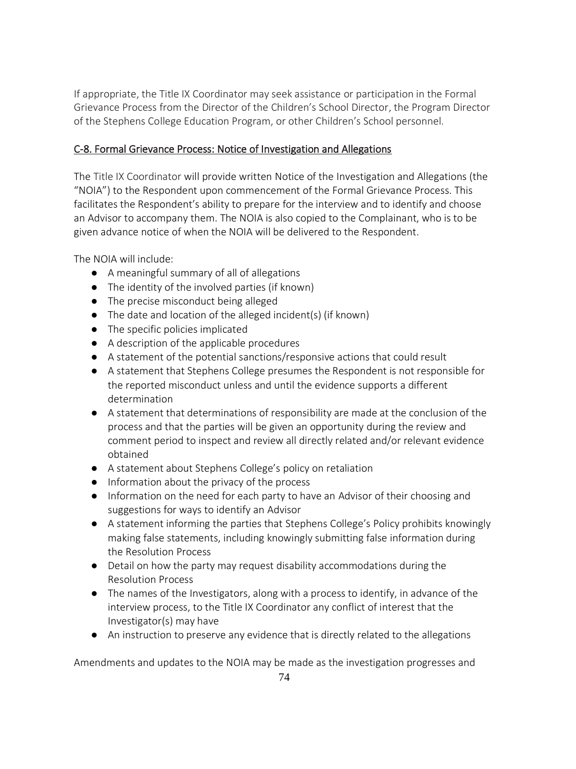If appropriate, the Title IX Coordinator may seek assistance or participation in the Formal Grievance Process from the Director of the Children's School Director, the Program Director of the Stephens College Education Program, or other Children's School personnel.

# C-8. Formal Grievance Process: Notice of Investigation and Allegations

The Title IX Coordinator will provide written Notice of the Investigation and Allegations (the "NOIA") to the Respondent upon commencement of the Formal Grievance Process. This facilitates the Respondent's ability to prepare for the interview and to identify and choose an Advisor to accompany them. The NOIA is also copied to the Complainant, who is to be given advance notice of when the NOIA will be delivered to the Respondent.

The NOIA will include:

- A meaningful summary of all of allegations
- The identity of the involved parties (if known)
- The precise misconduct being alleged
- The date and location of the alleged incident(s) (if known)
- The specific policies implicated
- A description of the applicable procedures
- A statement of the potential sanctions/responsive actions that could result
- A statement that Stephens College presumes the Respondent is not responsible for the reported misconduct unless and until the evidence supports a different determination
- A statement that determinations of responsibility are made at the conclusion of the process and that the parties will be given an opportunity during the review and comment period to inspect and review all directly related and/or relevant evidence obtained
- A statement about Stephens College's policy on retaliation
- Information about the privacy of the process
- Information on the need for each party to have an Advisor of their choosing and suggestions for ways to identify an Advisor
- A statement informing the parties that Stephens College's Policy prohibits knowingly making false statements, including knowingly submitting false information during the Resolution Process
- Detail on how the party may request disability accommodations during the Resolution Process
- The names of the Investigators, along with a process to identify, in advance of the interview process, to the Title IX Coordinator any conflict of interest that the Investigator(s) may have
- An instruction to preserve any evidence that is directly related to the allegations

Amendments and updates to the NOIA may be made as the investigation progresses and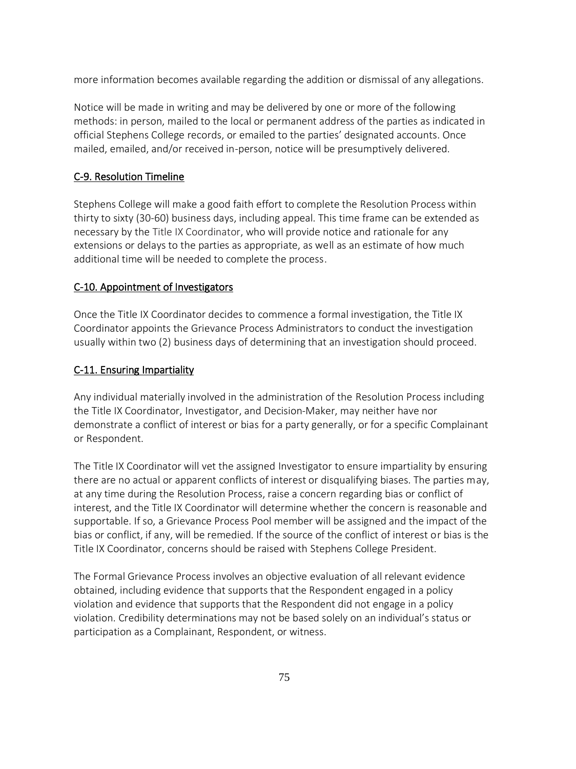more information becomes available regarding the addition or dismissal of any allegations.

Notice will be made in writing and may be delivered by one or more of the following methods: in person, mailed to the local or permanent address of the parties as indicated in official Stephens College records, or emailed to the parties' designated accounts. Once mailed, emailed, and/or received in-person, notice will be presumptively delivered.

### C-9. Resolution Timeline

Stephens College will make a good faith effort to complete the Resolution Process within thirty to sixty (30-60) business days, including appeal. This time frame can be extended as necessary by the Title IX Coordinator, who will provide notice and rationale for any extensions or delays to the parties as appropriate, as well as an estimate of how much additional time will be needed to complete the process.

### C-10. Appointment of Investigators

Once the Title IX Coordinator decides to commence a formal investigation, the Title IX Coordinator appoints the Grievance Process Administrators to conduct the investigation usually within two (2) business days of determining that an investigation should proceed.

#### C-11. Ensuring Impartiality

Any individual materially involved in the administration of the Resolution Process including the Title IX Coordinator, Investigator, and Decision-Maker, may neither have nor demonstrate a conflict of interest or bias for a party generally, or for a specific Complainant or Respondent.

The Title IX Coordinator will vet the assigned Investigator to ensure impartiality by ensuring there are no actual or apparent conflicts of interest or disqualifying biases. The parties may, at any time during the Resolution Process, raise a concern regarding bias or conflict of interest, and the Title IX Coordinator will determine whether the concern is reasonable and supportable. If so, a Grievance Process Pool member will be assigned and the impact of the bias or conflict, if any, will be remedied. If the source of the conflict of interest or bias is the Title IX Coordinator, concerns should be raised with Stephens College President.

The Formal Grievance Process involves an objective evaluation of all relevant evidence obtained, including evidence that supports that the Respondent engaged in a policy violation and evidence that supports that the Respondent did not engage in a policy violation. Credibility determinations may not be based solely on an individual's status or participation as a Complainant, Respondent, or witness.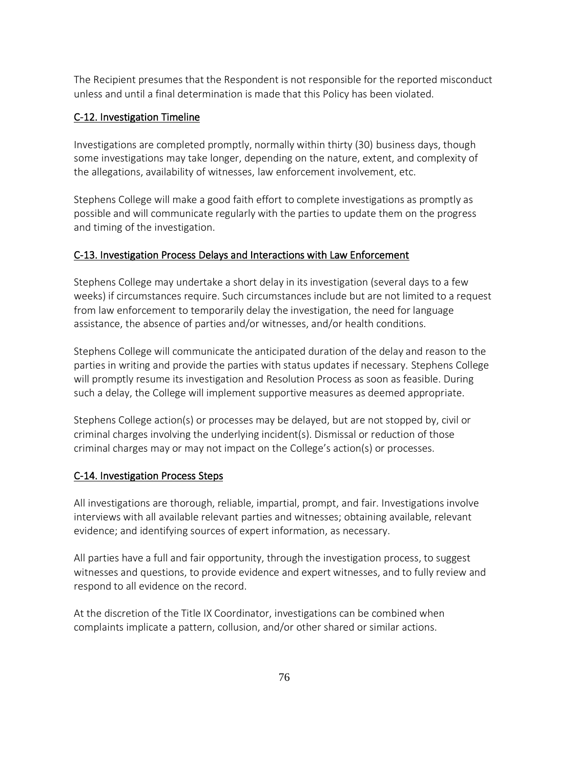The Recipient presumes that the Respondent is not responsible for the reported misconduct unless and until a final determination is made that this Policy has been violated.

### C-12. Investigation Timeline

Investigations are completed promptly, normally within thirty (30) business days, though some investigations may take longer, depending on the nature, extent, and complexity of the allegations, availability of witnesses, law enforcement involvement, etc.

Stephens College will make a good faith effort to complete investigations as promptly as possible and will communicate regularly with the parties to update them on the progress and timing of the investigation.

#### C-13. Investigation Process Delays and Interactions with Law Enforcement

Stephens College may undertake a short delay in its investigation (several days to a few weeks) if circumstances require. Such circumstances include but are not limited to a request from law enforcement to temporarily delay the investigation, the need for language assistance, the absence of parties and/or witnesses, and/or health conditions.

Stephens College will communicate the anticipated duration of the delay and reason to the parties in writing and provide the parties with status updates if necessary. Stephens College will promptly resume its investigation and Resolution Process as soon as feasible. During such a delay, the College will implement supportive measures as deemed appropriate.

Stephens College action(s) or processes may be delayed, but are not stopped by, civil or criminal charges involving the underlying incident(s). Dismissal or reduction of those criminal charges may or may not impact on the College's action(s) or processes.

### C-14. Investigation Process Steps

All investigations are thorough, reliable, impartial, prompt, and fair. Investigations involve interviews with all available relevant parties and witnesses; obtaining available, relevant evidence; and identifying sources of expert information, as necessary.

All parties have a full and fair opportunity, through the investigation process, to suggest witnesses and questions, to provide evidence and expert witnesses, and to fully review and respond to all evidence on the record.

At the discretion of the Title IX Coordinator, investigations can be combined when complaints implicate a pattern, collusion, and/or other shared or similar actions.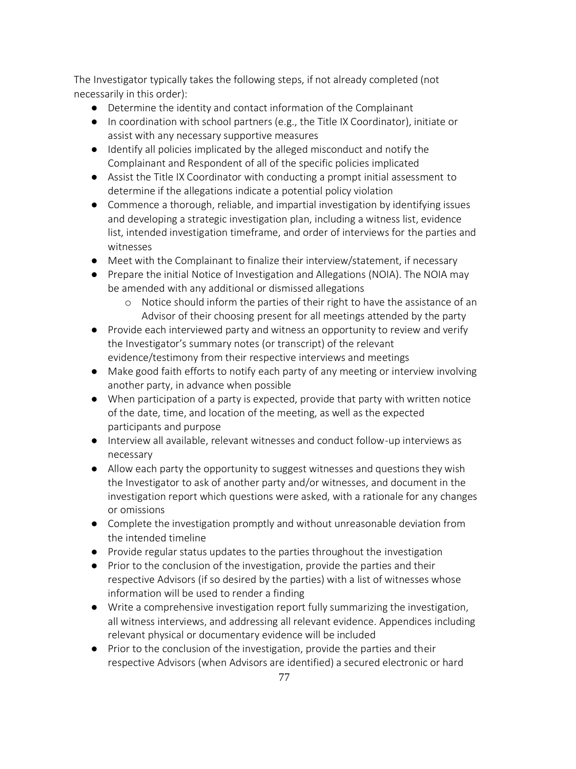The Investigator typically takes the following steps, if not already completed (not necessarily in this order):

- Determine the identity and contact information of the Complainant
- In coordination with school partners (e.g., the Title IX Coordinator), initiate or assist with any necessary supportive measures
- Identify all policies implicated by the alleged misconduct and notify the Complainant and Respondent of all of the specific policies implicated
- Assist the Title IX Coordinator with conducting a prompt initial assessment to determine if the allegations indicate a potential policy violation
- Commence a thorough, reliable, and impartial investigation by identifying issues and developing a strategic investigation plan, including a witness list, evidence list, intended investigation timeframe, and order of interviews for the parties and witnesses
- Meet with the Complainant to finalize their interview/statement, if necessary
- Prepare the initial Notice of Investigation and Allegations (NOIA). The NOIA may be amended with any additional or dismissed allegations
	- o Notice should inform the parties of their right to have the assistance of an Advisor of their choosing present for all meetings attended by the party
- Provide each interviewed party and witness an opportunity to review and verify the Investigator's summary notes (or transcript) of the relevant evidence/testimony from their respective interviews and meetings
- Make good faith efforts to notify each party of any meeting or interview involving another party, in advance when possible
- When participation of a party is expected, provide that party with written notice of the date, time, and location of the meeting, as well as the expected participants and purpose
- Interview all available, relevant witnesses and conduct follow-up interviews as necessary
- Allow each party the opportunity to suggest witnesses and questions they wish the Investigator to ask of another party and/or witnesses, and document in the investigation report which questions were asked, with a rationale for any changes or omissions
- Complete the investigation promptly and without unreasonable deviation from the intended timeline
- Provide regular status updates to the parties throughout the investigation
- Prior to the conclusion of the investigation, provide the parties and their respective Advisors (if so desired by the parties) with a list of witnesses whose information will be used to render a finding
- Write a comprehensive investigation report fully summarizing the investigation, all witness interviews, and addressing all relevant evidence. Appendices including relevant physical or documentary evidence will be included
- Prior to the conclusion of the investigation, provide the parties and their respective Advisors (when Advisors are identified) a secured electronic or hard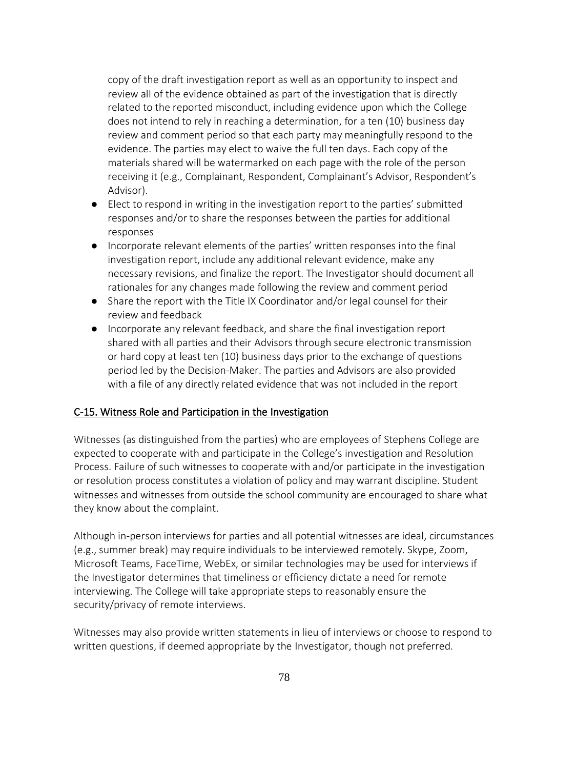copy of the draft investigation report as well as an opportunity to inspect and review all of the evidence obtained as part of the investigation that is directly related to the reported misconduct, including evidence upon which the College does not intend to rely in reaching a determination, for a ten (10) business day review and comment period so that each party may meaningfully respond to the evidence. The parties may elect to waive the full ten days. Each copy of the materials shared will be watermarked on each page with the role of the person receiving it (e.g., Complainant, Respondent, Complainant's Advisor, Respondent's Advisor).

- Elect to respond in writing in the investigation report to the parties' submitted responses and/or to share the responses between the parties for additional responses
- Incorporate relevant elements of the parties' written responses into the final investigation report, include any additional relevant evidence, make any necessary revisions, and finalize the report. The Investigator should document all rationales for any changes made following the review and comment period
- Share the report with the Title IX Coordinator and/or legal counsel for their review and feedback
- Incorporate any relevant feedback, and share the final investigation report shared with all parties and their Advisors through secure electronic transmission or hard copy at least ten (10) business days prior to the exchange of questions period led by the Decision-Maker. The parties and Advisors are also provided with a file of any directly related evidence that was not included in the report

#### C-15. Witness Role and Participation in the Investigation

Witnesses (as distinguished from the parties) who are employees of Stephens College are expected to cooperate with and participate in the College's investigation and Resolution Process. Failure of such witnesses to cooperate with and/or participate in the investigation or resolution process constitutes a violation of policy and may warrant discipline. Student witnesses and witnesses from outside the school community are encouraged to share what they know about the complaint.

Although in-person interviews for parties and all potential witnesses are ideal, circumstances (e.g., summer break) may require individuals to be interviewed remotely. Skype, Zoom, Microsoft Teams, FaceTime, WebEx, or similar technologies may be used for interviews if the Investigator determines that timeliness or efficiency dictate a need for remote interviewing. The College will take appropriate steps to reasonably ensure the security/privacy of remote interviews.

Witnesses may also provide written statements in lieu of interviews or choose to respond to written questions, if deemed appropriate by the Investigator, though not preferred.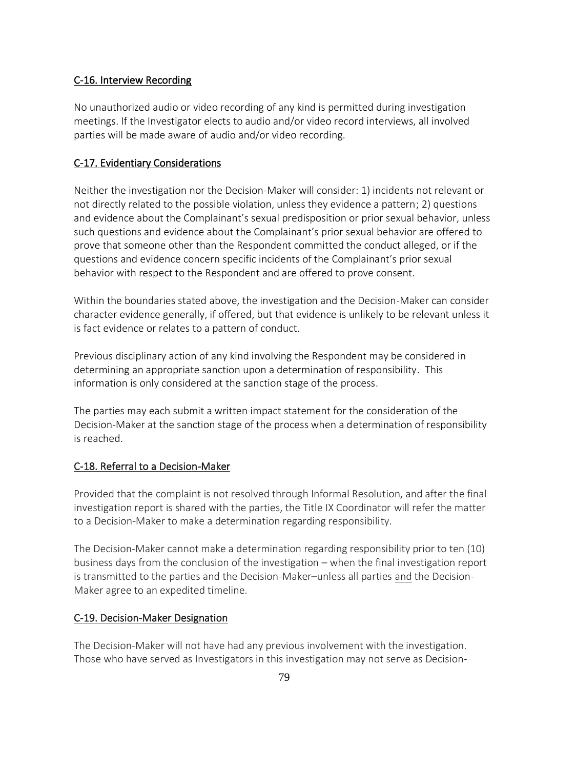#### C-16. Interview Recording

No unauthorized audio or video recording of any kind is permitted during investigation meetings. If the Investigator elects to audio and/or video record interviews, all involved parties will be made aware of audio and/or video recording.

#### C-17. Evidentiary Considerations

Neither the investigation nor the Decision-Maker will consider: 1) incidents not relevant or not directly related to the possible violation, unless they evidence a pattern; 2) questions and evidence about the Complainant's sexual predisposition or prior sexual behavior, unless such questions and evidence about the Complainant's prior sexual behavior are offered to prove that someone other than the Respondent committed the conduct alleged, or if the questions and evidence concern specific incidents of the Complainant's prior sexual behavior with respect to the Respondent and are offered to prove consent.

Within the boundaries stated above, the investigation and the Decision-Maker can consider character evidence generally, if offered, but that evidence is unlikely to be relevant unless it is fact evidence or relates to a pattern of conduct.

Previous disciplinary action of any kind involving the Respondent may be considered in determining an appropriate sanction upon a determination of responsibility. This information is only considered at the sanction stage of the process.

The parties may each submit a written impact statement for the consideration of the Decision-Maker at the sanction stage of the process when a determination of responsibility is reached.

#### C-18. Referral to a Decision-Maker

Provided that the complaint is not resolved through Informal Resolution, and after the final investigation report is shared with the parties, the Title IX Coordinator will refer the matter to a Decision-Maker to make a determination regarding responsibility.

The Decision-Maker cannot make a determination regarding responsibility prior to ten (10) business days from the conclusion of the investigation – when the final investigation report is transmitted to the parties and the Decision-Maker–unless all parties and the Decision-Maker agree to an expedited timeline.

#### C-19. Decision-Maker Designation

The Decision-Maker will not have had any previous involvement with the investigation. Those who have served as Investigators in this investigation may not serve as Decision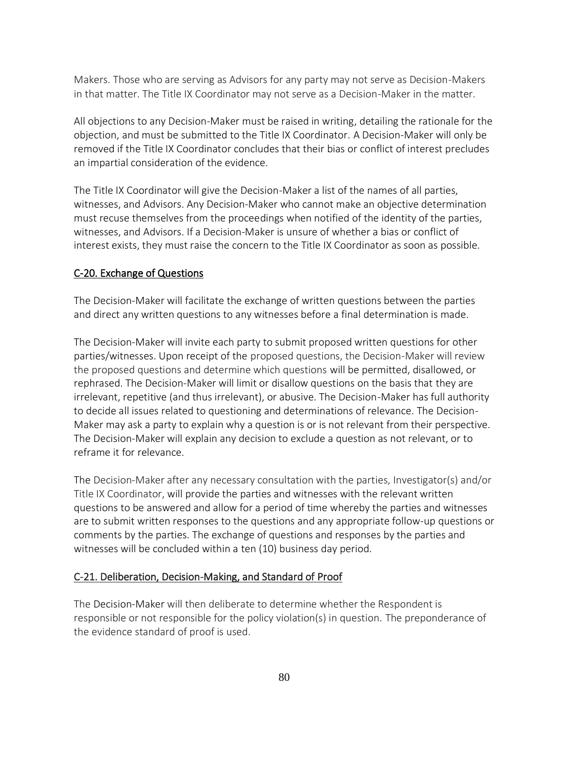Makers. Those who are serving as Advisors for any party may not serve as Decision-Makers in that matter. The Title IX Coordinator may not serve as a Decision-Maker in the matter.

All objections to any Decision-Maker must be raised in writing, detailing the rationale for the objection, and must be submitted to the Title IX Coordinator. A Decision-Maker will only be removed if the Title IX Coordinator concludes that their bias or conflict of interest precludes an impartial consideration of the evidence.

The Title IX Coordinator will give the Decision-Maker a list of the names of all parties, witnesses, and Advisors. Any Decision-Maker who cannot make an objective determination must recuse themselves from the proceedings when notified of the identity of the parties, witnesses, and Advisors. If a Decision-Maker is unsure of whether a bias or conflict of interest exists, they must raise the concern to the Title IX Coordinator as soon as possible.

#### C-20. Exchange of Questions

The Decision-Maker will facilitate the exchange of written questions between the parties and direct any written questions to any witnesses before a final determination is made.

The Decision-Maker will invite each party to submit proposed written questions for other parties/witnesses. Upon receipt of the proposed questions, the Decision-Maker will review the proposed questions and determine which questions will be permitted, disallowed, or rephrased. The Decision-Maker will limit or disallow questions on the basis that they are irrelevant, repetitive (and thus irrelevant), or abusive. The Decision-Maker has full authority to decide all issues related to questioning and determinations of relevance. The Decision-Maker may ask a party to explain why a question is or is not relevant from their perspective. The Decision-Maker will explain any decision to exclude a question as not relevant, or to reframe it for relevance.

The Decision-Maker after any necessary consultation with the parties, Investigator(s) and/or Title IX Coordinator, will provide the parties and witnesses with the relevant written questions to be answered and allow for a period of time whereby the parties and witnesses are to submit written responses to the questions and any appropriate follow-up questions or comments by the parties. The exchange of questions and responses by the parties and witnesses will be concluded within a ten (10) business day period.

#### C-21. Deliberation, Decision-Making, and Standard of Proof

The Decision-Maker will then deliberate to determine whether the Respondent is responsible or not responsible for the policy violation(s) in question. The preponderance of the evidence standard of proof is used.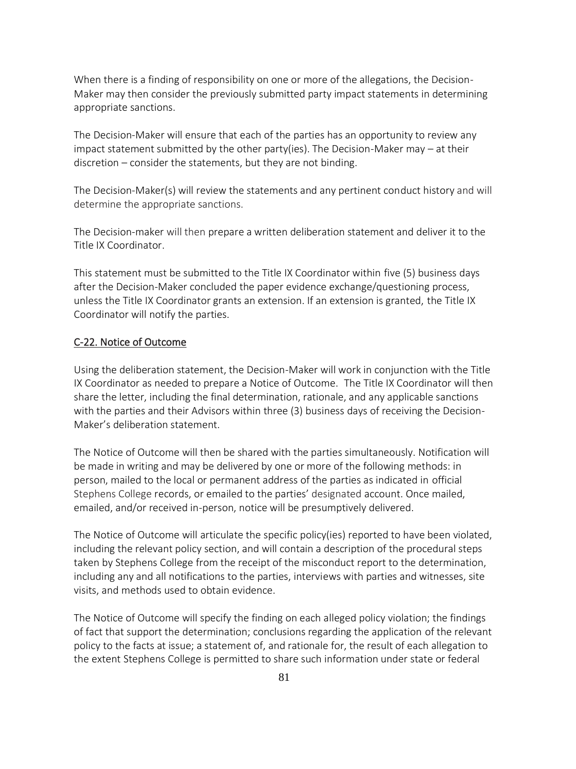When there is a finding of responsibility on one or more of the allegations, the Decision-Maker may then consider the previously submitted party impact statements in determining appropriate sanctions.

The Decision-Maker will ensure that each of the parties has an opportunity to review any impact statement submitted by the other party(ies). The Decision-Maker may  $-$  at their discretion – consider the statements, but they are not binding.

The Decision-Maker(s) will review the statements and any pertinent conduct history and will determine the appropriate sanctions.

The Decision-maker will then prepare a written deliberation statement and deliver it to the Title IX Coordinator.

This statement must be submitted to the Title IX Coordinator within five (5) business days after the Decision-Maker concluded the paper evidence exchange/questioning process, unless the Title IX Coordinator grants an extension. If an extension is granted, the Title IX Coordinator will notify the parties.

### C-22. Notice of Outcome

Using the deliberation statement, the Decision-Maker will work in conjunction with the Title IX Coordinator as needed to prepare a Notice of Outcome. The Title IX Coordinator will then share the letter, including the final determination, rationale, and any applicable sanctions with the parties and their Advisors within three (3) business days of receiving the Decision-Maker's deliberation statement.

The Notice of Outcome will then be shared with the parties simultaneously. Notification will be made in writing and may be delivered by one or more of the following methods: in person, mailed to the local or permanent address of the parties as indicated in official Stephens College records, or emailed to the parties' designated account. Once mailed, emailed, and/or received in-person, notice will be presumptively delivered.

The Notice of Outcome will articulate the specific policy(ies) reported to have been violated, including the relevant policy section, and will contain a description of the procedural steps taken by Stephens College from the receipt of the misconduct report to the determination, including any and all notifications to the parties, interviews with parties and witnesses, site visits, and methods used to obtain evidence.

The Notice of Outcome will specify the finding on each alleged policy violation; the findings of fact that support the determination; conclusions regarding the application of the relevant policy to the facts at issue; a statement of, and rationale for, the result of each allegation to the extent Stephens College is permitted to share such information under state or federal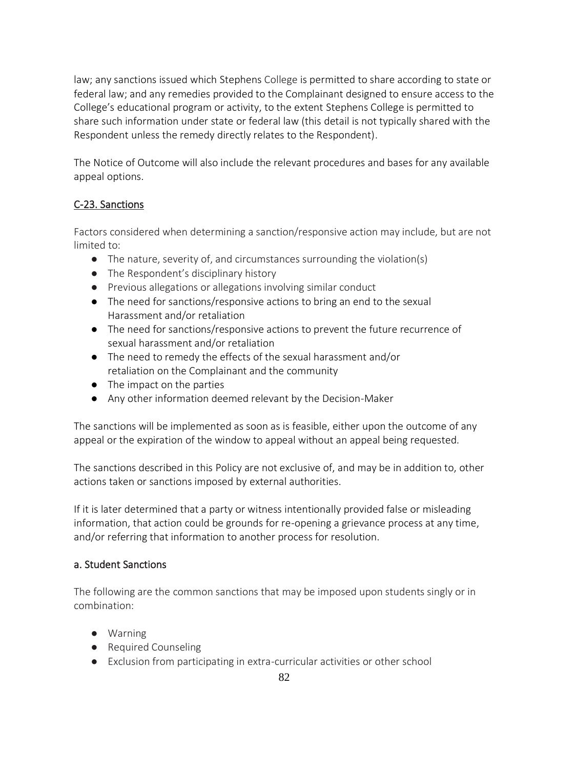law; any sanctions issued which Stephens College is permitted to share according to state or federal law; and any remedies provided to the Complainant designed to ensure access to the College's educational program or activity, to the extent Stephens College is permitted to share such information under state or federal law (this detail is not typically shared with the Respondent unless the remedy directly relates to the Respondent).

The Notice of Outcome will also include the relevant procedures and bases for any available appeal options.

# C-23. Sanctions

Factors considered when determining a sanction/responsive action may include, but are not limited to:

- The nature, severity of, and circumstances surrounding the violation(s)
- The Respondent's disciplinary history
- Previous allegations or allegations involving similar conduct
- The need for sanctions/responsive actions to bring an end to the sexual Harassment and/or retaliation
- The need for sanctions/responsive actions to prevent the future recurrence of sexual harassment and/or retaliation
- The need to remedy the effects of the sexual harassment and/or retaliation on the Complainant and the community
- The impact on the parties
- Any other information deemed relevant by the Decision-Maker

The sanctions will be implemented as soon as is feasible, either upon the outcome of any appeal or the expiration of the window to appeal without an appeal being requested.

The sanctions described in this Policy are not exclusive of, and may be in addition to, other actions taken or sanctions imposed by external authorities.

If it is later determined that a party or witness intentionally provided false or misleading information, that action could be grounds for re-opening a grievance process at any time, and/or referring that information to another process for resolution.

### a. Student Sanctions

The following are the common sanctions that may be imposed upon students singly or in combination:

- Warning
- Required Counseling
- Exclusion from participating in extra-curricular activities or other school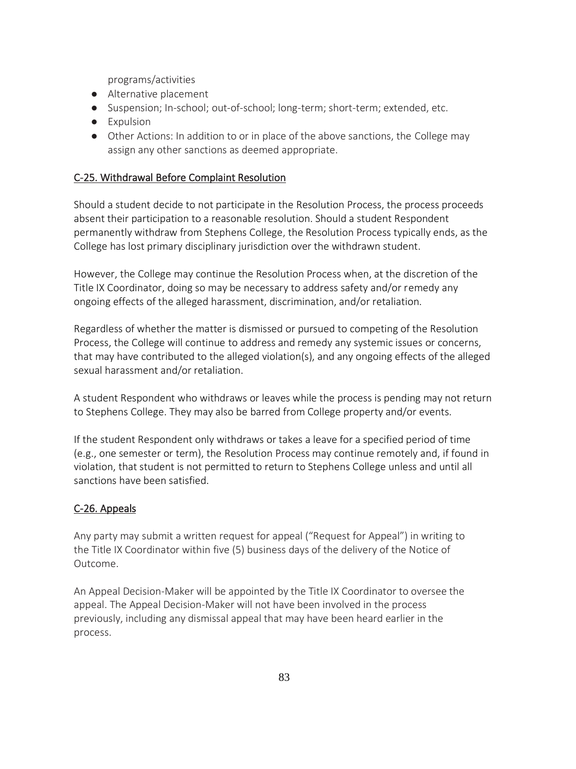programs/activities

- Alternative placement
- Suspension; In-school; out-of-school; long-term; short-term; extended, etc.
- Expulsion
- Other Actions: In addition to or in place of the above sanctions, the College may assign any other sanctions as deemed appropriate.

### C-25. Withdrawal Before Complaint Resolution

Should a student decide to not participate in the Resolution Process, the process proceeds absent their participation to a reasonable resolution. Should a student Respondent permanently withdraw from Stephens College, the Resolution Process typically ends, as the College has lost primary disciplinary jurisdiction over the withdrawn student.

However, the College may continue the Resolution Process when, at the discretion of the Title IX Coordinator, doing so may be necessary to address safety and/or remedy any ongoing effects of the alleged harassment, discrimination, and/or retaliation.

Regardless of whether the matter is dismissed or pursued to competing of the Resolution Process, the College will continue to address and remedy any systemic issues or concerns, that may have contributed to the alleged violation(s), and any ongoing effects of the alleged sexual harassment and/or retaliation.

A student Respondent who withdraws or leaves while the process is pending may not return to Stephens College. They may also be barred from College property and/or events.

If the student Respondent only withdraws or takes a leave for a specified period of time (e.g., one semester or term), the Resolution Process may continue remotely and, if found in violation, that student is not permitted to return to Stephens College unless and until all sanctions have been satisfied.

### C-26. Appeals

Any party may submit a written request for appeal ("Request for Appeal") in writing to the Title IX Coordinator within five (5) business days of the delivery of the Notice of Outcome.

An Appeal Decision-Maker will be appointed by the Title IX Coordinator to oversee the appeal. The Appeal Decision-Maker will not have been involved in the process previously, including any dismissal appeal that may have been heard earlier in the process.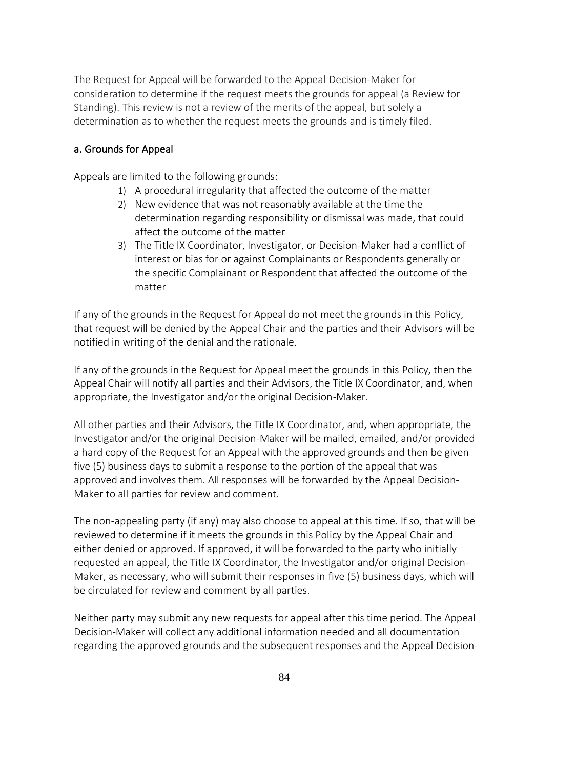The Request for Appeal will be forwarded to the Appeal Decision-Maker for consideration to determine if the request meets the grounds for appeal (a Review for Standing). This review is not a review of the merits of the appeal, but solely a determination as to whether the request meets the grounds and is timely filed.

#### a. Grounds for Appeal

Appeals are limited to the following grounds:

- 1) A procedural irregularity that affected the outcome of the matter
- 2) New evidence that was not reasonably available at the time the determination regarding responsibility or dismissal was made, that could affect the outcome of the matter
- 3) The Title IX Coordinator, Investigator, or Decision-Maker had a conflict of interest or bias for or against Complainants or Respondents generally or the specific Complainant or Respondent that affected the outcome of the matter

If any of the grounds in the Request for Appeal do not meet the grounds in this Policy, that request will be denied by the Appeal Chair and the parties and their Advisors will be notified in writing of the denial and the rationale.

If any of the grounds in the Request for Appeal meet the grounds in this Policy, then the Appeal Chair will notify all parties and their Advisors, the Title IX Coordinator, and, when appropriate, the Investigator and/or the original Decision-Maker.

All other parties and their Advisors, the Title IX Coordinator, and, when appropriate, the Investigator and/or the original Decision-Maker will be mailed, emailed, and/or provided a hard copy of the Request for an Appeal with the approved grounds and then be given five (5) business days to submit a response to the portion of the appeal that was approved and involves them. All responses will be forwarded by the Appeal Decision-Maker to all parties for review and comment.

The non-appealing party (if any) may also choose to appeal at this time. If so, that will be reviewed to determine if it meets the grounds in this Policy by the Appeal Chair and either denied or approved. If approved, it will be forwarded to the party who initially requested an appeal, the Title IX Coordinator, the Investigator and/or original Decision-Maker, as necessary, who will submit their responses in five (5) business days, which will be circulated for review and comment by all parties.

Neither party may submit any new requests for appeal after this time period. The Appeal Decision-Maker will collect any additional information needed and all documentation regarding the approved grounds and the subsequent responses and the Appeal Decision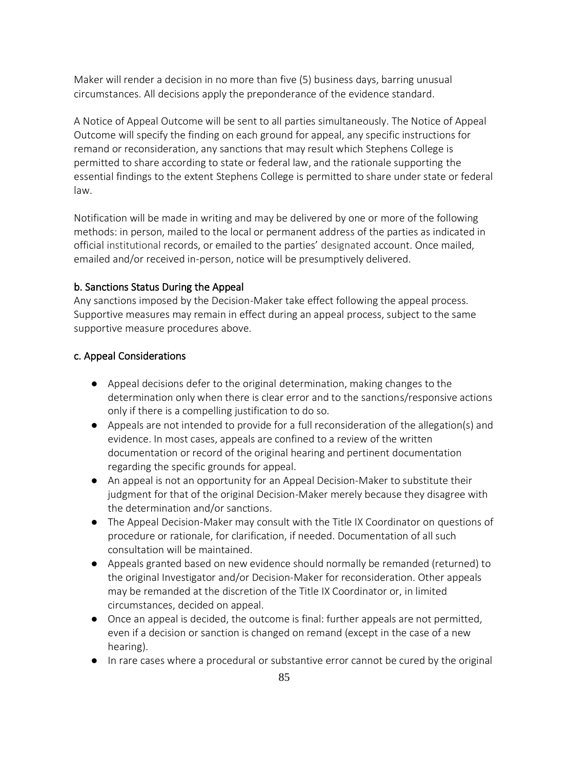Maker will render a decision in no more than five (5) business days, barring unusual circumstances. All decisions apply the preponderance of the evidence standard.

A Notice of Appeal Outcome will be sent to all parties simultaneously. The Notice of Appeal Outcome will specify the finding on each ground for appeal, any specific instructions for remand or reconsideration, any sanctions that may result which Stephens College is permitted to share according to state or federal law, and the rationale supporting the essential findings to the extent Stephens College is permitted to share under state or federal law.

Notification will be made in writing and may be delivered by one or more of the following methods: in person, mailed to the local or permanent address of the parties as indicated in official institutional records, or emailed to the parties' designated account. Once mailed, emailed and/or received in-person, notice will be presumptively delivered.

### b. Sanctions Status During the Appeal

Any sanctions imposed by the Decision-Maker take effect following the appeal process. Supportive measures may remain in effect during an appeal process, subject to the same supportive measure procedures above.

### c. Appeal Considerations

- Appeal decisions defer to the original determination, making changes to the determination only when there is clear error and to the sanctions/responsive actions only if there is a compelling justification to do so.
- Appeals are not intended to provide for a full reconsideration of the allegation(s) and evidence. In most cases, appeals are confined to a review of the written documentation or record of the original hearing and pertinent documentation regarding the specific grounds for appeal.
- An appeal is not an opportunity for an Appeal Decision-Maker to substitute their judgment for that of the original Decision-Maker merely because they disagree with the determination and/or sanctions.
- The Appeal Decision-Maker may consult with the Title IX Coordinator on questions of procedure or rationale, for clarification, if needed. Documentation of all such consultation will be maintained.
- Appeals granted based on new evidence should normally be remanded (returned) to the original Investigator and/or Decision-Maker for reconsideration. Other appeals may be remanded at the discretion of the Title IX Coordinator or, in limited circumstances, decided on appeal.
- Once an appeal is decided, the outcome is final: further appeals are not permitted, even if a decision or sanction is changed on remand (except in the case of a new hearing).
- In rare cases where a procedural or substantive error cannot be cured by the original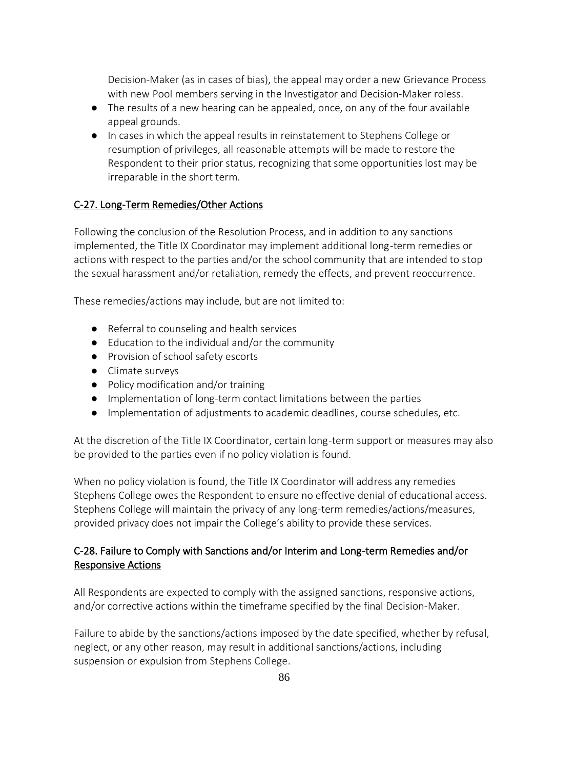Decision-Maker (as in cases of bias), the appeal may order a new Grievance Process with new Pool members serving in the Investigator and Decision-Maker roless.

- The results of a new hearing can be appealed, once, on any of the four available appeal grounds.
- In cases in which the appeal results in reinstatement to Stephens College or resumption of privileges, all reasonable attempts will be made to restore the Respondent to their prior status, recognizing that some opportunities lost may be irreparable in the short term.

### C-27. Long-Term Remedies/Other Actions

Following the conclusion of the Resolution Process, and in addition to any sanctions implemented, the Title IX Coordinator may implement additional long-term remedies or actions with respect to the parties and/or the school community that are intended to stop the sexual harassment and/or retaliation, remedy the effects, and prevent reoccurrence.

These remedies/actions may include, but are not limited to:

- Referral to counseling and health services
- Education to the individual and/or the community
- Provision of school safety escorts
- Climate surveys
- Policy modification and/or training
- Implementation of long-term contact limitations between the parties
- Implementation of adjustments to academic deadlines, course schedules, etc.

At the discretion of the Title IX Coordinator, certain long-term support or measures may also be provided to the parties even if no policy violation is found.

When no policy violation is found, the Title IX Coordinator will address any remedies Stephens College owes the Respondent to ensure no effective denial of educational access. Stephens College will maintain the privacy of any long-term remedies/actions/measures, provided privacy does not impair the College's ability to provide these services.

# C-28. Failure to Comply with Sanctions and/or Interim and Long-term Remedies and/or Responsive Actions

All Respondents are expected to comply with the assigned sanctions, responsive actions, and/or corrective actions within the timeframe specified by the final Decision-Maker.

Failure to abide by the sanctions/actions imposed by the date specified, whether by refusal, neglect, or any other reason, may result in additional sanctions/actions, including suspension or expulsion from Stephens College.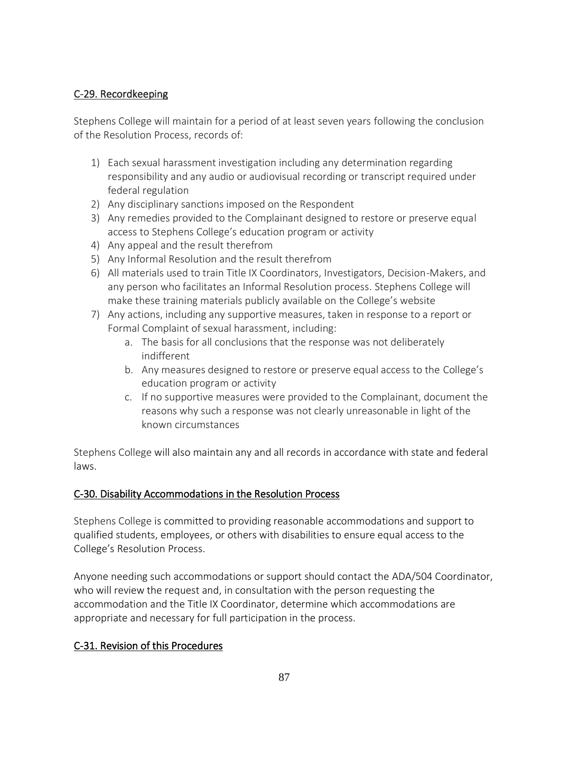# C-29. Recordkeeping

Stephens College will maintain for a period of at least seven years following the conclusion of the Resolution Process, records of:

- 1) Each sexual harassment investigation including any determination regarding responsibility and any audio or audiovisual recording or transcript required under federal regulation
- 2) Any disciplinary sanctions imposed on the Respondent
- 3) Any remedies provided to the Complainant designed to restore or preserve equal access to Stephens College's education program or activity
- 4) Any appeal and the result therefrom
- 5) Any Informal Resolution and the result therefrom
- 6) All materials used to train Title IX Coordinators, Investigators, Decision-Makers, and any person who facilitates an Informal Resolution process. Stephens College will make these training materials publicly available on the College's website
- 7) Any actions, including any supportive measures, taken in response to a report or Formal Complaint of sexual harassment, including:
	- a. The basis for all conclusions that the response was not deliberately indifferent
	- b. Any measures designed to restore or preserve equal access to the College's education program or activity
	- c. If no supportive measures were provided to the Complainant, document the reasons why such a response was not clearly unreasonable in light of the known circumstances

Stephens College will also maintain any and all records in accordance with state and federal laws.

# C-30. Disability Accommodations in the Resolution Process

Stephens College is committed to providing reasonable accommodations and support to qualified students, employees, or others with disabilities to ensure equal access to the College's Resolution Process.

Anyone needing such accommodations or support should contact the ADA/504 Coordinator, who will review the request and, in consultation with the person requesting the accommodation and the Title IX Coordinator, determine which accommodations are appropriate and necessary for full participation in the process.

# C-31. Revision of this Procedures